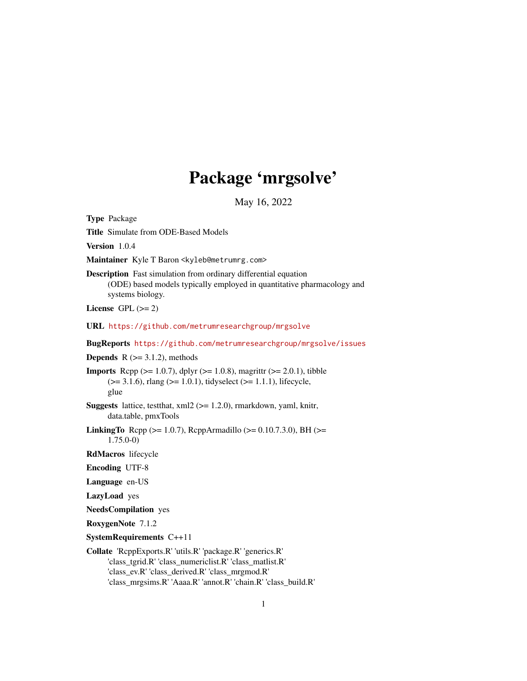# Package 'mrgsolve'

May 16, 2022

<span id="page-0-0"></span>Type Package

Title Simulate from ODE-Based Models

Version 1.0.4

Maintainer Kyle T Baron <kyleb@metrumrg.com>

Description Fast simulation from ordinary differential equation (ODE) based models typically employed in quantitative pharmacology and systems biology.

License GPL  $(>= 2)$ 

URL <https://github.com/metrumresearchgroup/mrgsolve>

BugReports <https://github.com/metrumresearchgroup/mrgsolve/issues>

**Depends**  $R$  ( $>= 3.1.2$ ), methods

**Imports** Rcpp ( $>= 1.0.7$ ), dplyr ( $>= 1.0.8$ ), magrittr ( $>= 2.0.1$ ), tibble  $(>= 3.1.6)$ , rlang  $(>= 1.0.1)$ , tidyselect  $(>= 1.1.1)$ , lifecycle, glue

**Suggests** lattice, test that,  $xml2$  ( $>= 1.2.0$ ), rmarkdown, yaml, knitr, data.table, pmxTools

**LinkingTo** Rcpp ( $>= 1.0.7$ ), RcppArmadillo ( $>= 0.10.7.3.0$ ), BH ( $>=$ 1.75.0-0)

RdMacros lifecycle

Encoding UTF-8

Language en-US

LazyLoad yes

NeedsCompilation yes

RoxygenNote 7.1.2

SystemRequirements C++11

Collate 'RcppExports.R' 'utils.R' 'package.R' 'generics.R' 'class\_tgrid.R' 'class\_numericlist.R' 'class\_matlist.R' 'class\_ev.R' 'class\_derived.R' 'class\_mrgmod.R' 'class\_mrgsims.R' 'Aaaa.R' 'annot.R' 'chain.R' 'class\_build.R'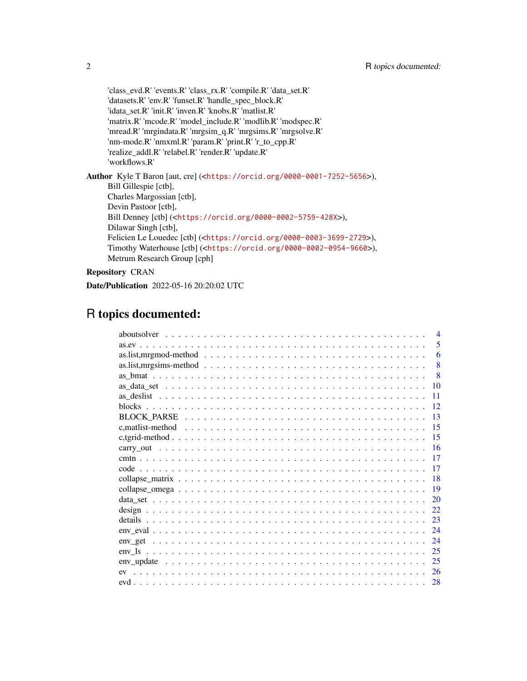'class\_evd.R' 'events.R' 'class\_rx.R' 'compile.R' 'data\_set.R' 'datasets.R' 'env.R' 'funset.R' 'handle\_spec\_block.R' 'idata\_set.R' 'init.R' 'inven.R' 'knobs.R' 'matlist.R' 'matrix.R' 'mcode.R' 'model\_include.R' 'modlib.R' 'modspec.R' 'mread.R' 'mrgindata.R' 'mrgsim\_q.R' 'mrgsims.R' 'mrgsolve.R' 'nm-mode.R' 'nmxml.R' 'param.R' 'print.R' 'r\_to\_cpp.R' 'realize\_addl.R' 'relabel.R' 'render.R' 'update.R' 'workflows.R' Author Kyle T Baron [aut, cre] (<<https://orcid.org/0000-0001-7252-5656>>), Bill Gillespie [ctb], Charles Margossian [ctb], Devin Pastoor [ctb], Bill Denney [ctb] (<<https://orcid.org/0000-0002-5759-428X>>), Dilawar Singh [ctb], Felicien Le Louedec [ctb] (<<https://orcid.org/0000-0003-3699-2729>>), Timothy Waterhouse [ctb] (<<https://orcid.org/0000-0002-0954-9660>>), Metrum Research Group [cph]

Repository CRAN

Date/Publication 2022-05-16 20:20:02 UTC

## R topics documented:

| $\overline{4}$ |
|----------------|
| 5              |
| 6              |
| 8              |
| 8              |
| 10             |
| 11             |
| 12             |
| 13             |
| 15             |
| -15            |
| <b>16</b>      |
| 17             |
| 17             |
| 18             |
| 19             |
| 20             |
| 22             |
| 23             |
| 24             |
| 24             |
| 25             |
| 25             |
| 26             |
| 28             |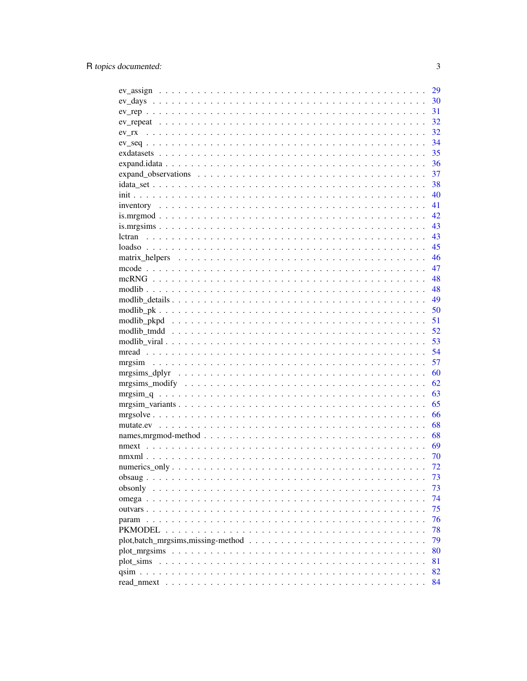|                                                                                                                     | 29  |
|---------------------------------------------------------------------------------------------------------------------|-----|
|                                                                                                                     | 30  |
|                                                                                                                     | 31  |
|                                                                                                                     | 32  |
| ev rx                                                                                                               | 32  |
|                                                                                                                     | 34  |
|                                                                                                                     | 35  |
|                                                                                                                     | 36  |
| $expand_$ observations $\ldots \ldots \ldots \ldots \ldots \ldots \ldots \ldots \ldots \ldots \ldots \ldots \ldots$ | 37  |
|                                                                                                                     | 38  |
|                                                                                                                     | 40  |
|                                                                                                                     | 41  |
|                                                                                                                     | 42  |
|                                                                                                                     | 43  |
| lctran                                                                                                              | 43  |
|                                                                                                                     | 45  |
|                                                                                                                     | 46  |
|                                                                                                                     | 47  |
|                                                                                                                     | 48  |
|                                                                                                                     | 48  |
|                                                                                                                     | 49  |
|                                                                                                                     | 50  |
|                                                                                                                     | 51  |
|                                                                                                                     | 52  |
|                                                                                                                     | 53  |
|                                                                                                                     | 54  |
|                                                                                                                     | 57  |
|                                                                                                                     | 60  |
|                                                                                                                     | 62  |
|                                                                                                                     | 63  |
|                                                                                                                     | 65  |
|                                                                                                                     | 66  |
|                                                                                                                     | 68  |
|                                                                                                                     | 68  |
|                                                                                                                     | -69 |
|                                                                                                                     | 70  |
|                                                                                                                     | 72  |
|                                                                                                                     | 73  |
| obsonly                                                                                                             | 73  |
| omega $\ldots$ $\ldots$ $\ldots$                                                                                    | 74  |
| outvars $\ldots$ $\ldots$ $\ldots$                                                                                  | 75  |
|                                                                                                                     | 76  |
| PKMODEL                                                                                                             | 78  |
|                                                                                                                     | 79  |
|                                                                                                                     | 80  |
|                                                                                                                     | 81  |
| $\sin \dots \dots$                                                                                                  | 82  |
|                                                                                                                     | 84  |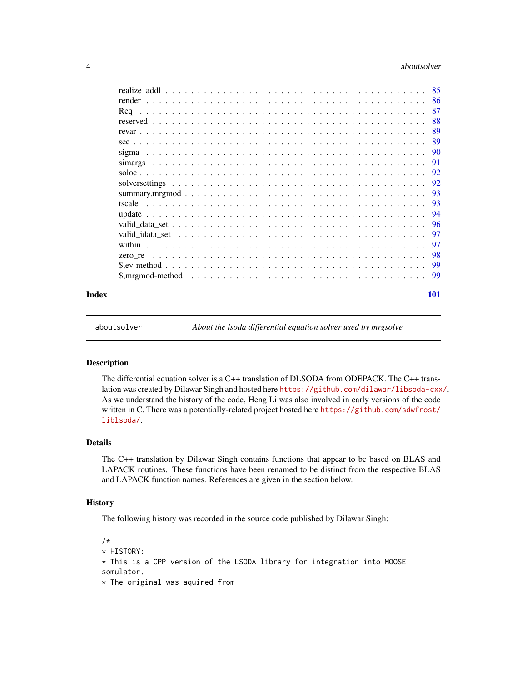#### <span id="page-3-0"></span>4 aboutsolver and the set of the set of the set of the set of the set of the set of the set of the set of the set of the set of the set of the set of the set of the set of the set of the set of the set of the set of the se

|       | -86                                                                                                                         |
|-------|-----------------------------------------------------------------------------------------------------------------------------|
|       | 87<br>Reg<br>a dia kaominina mpikambana amin'ny fivondronan-kaominin'i Nouvelle-Alexandre ao amin'ny fivondronan-kaominin'i |
|       | 88                                                                                                                          |
|       | 89                                                                                                                          |
|       | -89                                                                                                                         |
|       | -90                                                                                                                         |
|       | -91                                                                                                                         |
|       |                                                                                                                             |
|       | 92                                                                                                                          |
|       | -93                                                                                                                         |
|       | 93<br>tscale                                                                                                                |
|       | 94                                                                                                                          |
|       |                                                                                                                             |
|       | 97                                                                                                                          |
|       | 97                                                                                                                          |
|       |                                                                                                                             |
|       | -99                                                                                                                         |
|       |                                                                                                                             |
|       |                                                                                                                             |
| Index | 101                                                                                                                         |

aboutsolver *About the lsoda differential equation solver used by mrgsolve*

### Description

The differential equation solver is a C++ translation of DLSODA from ODEPACK. The C++ translation was created by Dilawar Singh and hosted here <https://github.com/dilawar/libsoda-cxx/>. As we understand the history of the code, Heng Li was also involved in early versions of the code written in C. There was a potentially-related project hosted here [https://github.com/sdwfrost/](https://github.com/sdwfrost/liblsoda/) [liblsoda/](https://github.com/sdwfrost/liblsoda/).

#### Details

The C++ translation by Dilawar Singh contains functions that appear to be based on BLAS and LAPACK routines. These functions have been renamed to be distinct from the respective BLAS and LAPACK function names. References are given in the section below.

#### **History**

The following history was recorded in the source code published by Dilawar Singh:

```
/*
* HISTORY:
* This is a CPP version of the LSODA library for integration into MOOSE
somulator.
```
 $*$  The original was aquired from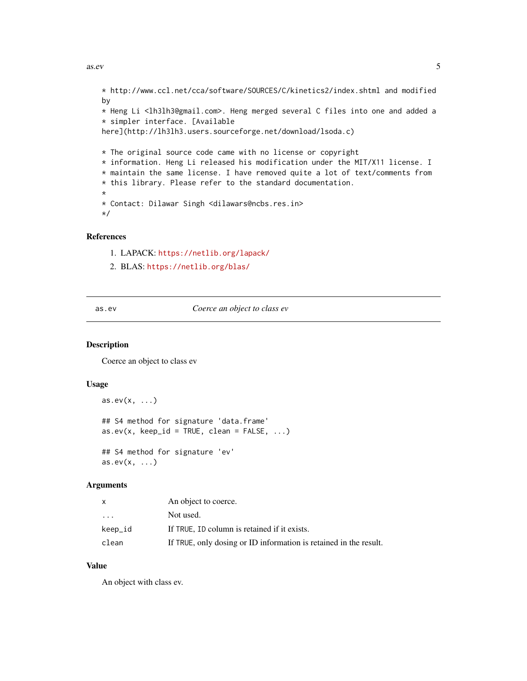```
* http://www.ccl.net/cca/software/SOURCES/C/kinetics2/index.shtml and modified
by
* Heng Li <lh3lh3@gmail.com>. Heng merged several C files into one and added a
* simpler interface. [Available
here](http://lh3lh3.users.sourceforge.net/download/lsoda.c)
* The original source code came with no license or copyright
* information. Heng Li released his modification under the MIT/X11 license. I
* maintain the same license. I have removed quite a lot of text/comments from
* this library. Please refer to the standard documentation.
*
* Contact: Dilawar Singh <dilawars@ncbs.res.in>
*/
```
### References

- 1. LAPACK: <https://netlib.org/lapack/>
- 2. BLAS: <https://netlib.org/blas/>

<span id="page-4-1"></span>as.ev *Coerce an object to class ev*

## **Description**

Coerce an object to class ev

## Usage

```
as.ev(x, \ldots)## S4 method for signature 'data.frame'
as.every(x, keep_id = TRUE, clean = FALSE, ...)## S4 method for signature 'ev'
as.ev(x, \ldots)
```
#### Arguments

| x                       | An object to coerce.                                              |
|-------------------------|-------------------------------------------------------------------|
| $\cdot$ $\cdot$ $\cdot$ | Not used.                                                         |
| keep_id                 | If TRUE, ID column is retained if it exists.                      |
| clean                   | If TRUE, only dosing or ID information is retained in the result. |

### Value

An object with class ev.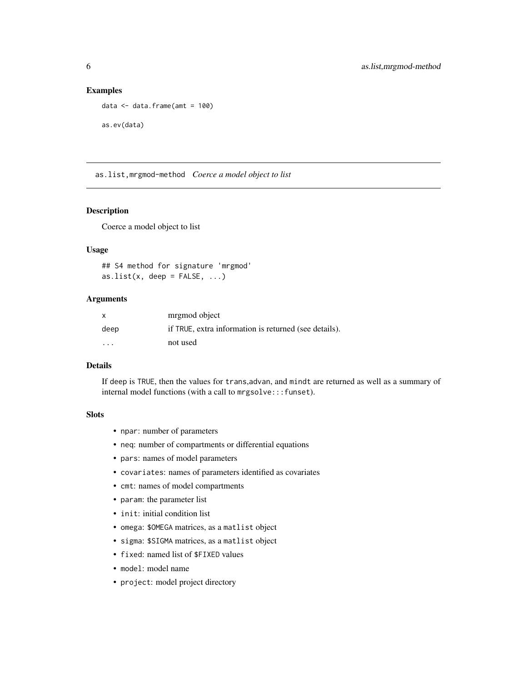## Examples

```
data \leq data.frame(amt = 100)
as.ev(data)
```
as.list,mrgmod-method *Coerce a model object to list*

## Description

Coerce a model object to list

## Usage

## S4 method for signature 'mrgmod' as.list(x, deep =  $FALSE, ...$ )

## **Arguments**

| X                       | mrgmod object                                         |
|-------------------------|-------------------------------------------------------|
| deep                    | if TRUE, extra information is returned (see details). |
| $\cdot$ $\cdot$ $\cdot$ | not used                                              |

## Details

If deep is TRUE, then the values for trans,advan, and mindt are returned as well as a summary of internal model functions (with a call to mrgsolve:::funset).

#### Slots

- npar: number of parameters
- neq: number of compartments or differential equations
- pars: names of model parameters
- covariates: names of parameters identified as covariates
- cmt: names of model compartments
- param: the parameter list
- init: initial condition list
- omega: \$OMEGA matrices, as a matlist object
- sigma: \$SIGMA matrices, as a matlist object
- fixed: named list of \$FIXED values
- model: model name
- project: model project directory

<span id="page-5-0"></span>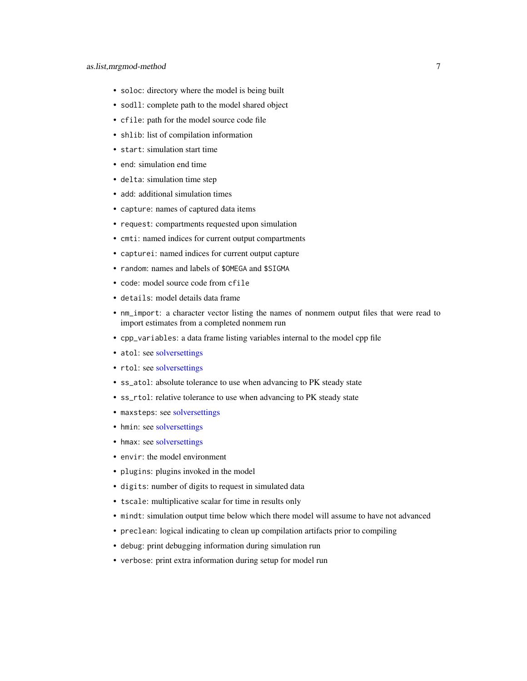- soloc: directory where the model is being built
- sodll: complete path to the model shared object
- cfile: path for the model source code file
- shlib: list of compilation information
- start: simulation start time
- end: simulation end time
- delta: simulation time step
- add: additional simulation times
- capture: names of captured data items
- request: compartments requested upon simulation
- cmti: named indices for current output compartments
- capturei: named indices for current output capture
- random: names and labels of \$OMEGA and \$SIGMA
- code: model source code from cfile
- details: model details data frame
- nm\_import: a character vector listing the names of nonmem output files that were read to import estimates from a completed nonmem run
- cpp\_variables: a data frame listing variables internal to the model cpp file
- atol: see [solversettings](#page-91-1)
- rtol: see [solversettings](#page-91-1)
- ss\_atol: absolute tolerance to use when advancing to PK steady state
- ss\_rtol: relative tolerance to use when advancing to PK steady state
- maxsteps: see [solversettings](#page-91-1)
- hmin: see [solversettings](#page-91-1)
- hmax: see [solversettings](#page-91-1)
- envir: the model environment
- plugins: plugins invoked in the model
- digits: number of digits to request in simulated data
- tscale: multiplicative scalar for time in results only
- mindt: simulation output time below which there model will assume to have not advanced
- preclean: logical indicating to clean up compilation artifacts prior to compiling
- debug: print debugging information during simulation run
- verbose: print extra information during setup for model run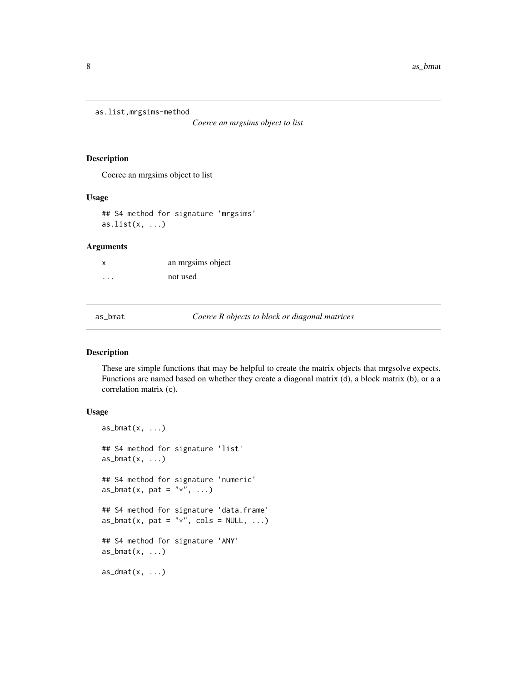```
as.list,mrgsims-method
```
*Coerce an mrgsims object to list*

#### Description

Coerce an mrgsims object to list

#### Usage

## S4 method for signature 'mrgsims' as.list $(x, \ldots)$ 

## Arguments

| x        | an mrgsims object |
|----------|-------------------|
| $\cdots$ | not used          |

as\_bmat *Coerce R objects to block or diagonal matrices*

## Description

These are simple functions that may be helpful to create the matrix objects that mrgsolve expects. Functions are named based on whether they create a diagonal matrix (d), a block matrix (b), or a a correlation matrix (c).

## Usage

```
as\_bmat(x, \ldots)## S4 method for signature 'list'
as_bmat(x, \ldots)## S4 method for signature 'numeric'
as_bmat(x, pat = "*", ...)
## S4 method for signature 'data.frame'
as_bmat(x, pat = "*", cols = NULL, ...)## S4 method for signature 'ANY'
as_bmat(x, \ldots)as\_dmat(x, \ldots)
```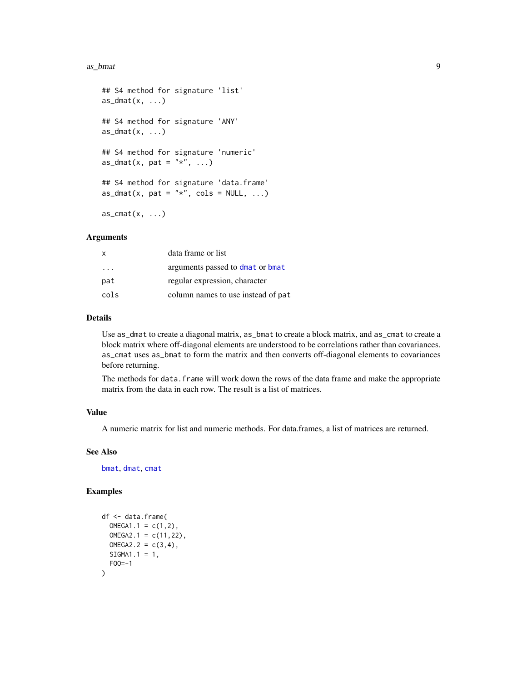#### as\_bmat 9

```
## S4 method for signature 'list'
as\_dmat(x, \ldots)## S4 method for signature 'ANY'
as\_dmat(x, \ldots)## S4 method for signature 'numeric'
as_dmat(x, pat = "*", ...)
## S4 method for signature 'data.frame'
as\_dmat(x, pat = "*", cols = NULL, ...)as\_cmat(x, \ldots)
```
#### Arguments

| X                       | data frame or list                 |
|-------------------------|------------------------------------|
| $\cdot$ $\cdot$ $\cdot$ | arguments passed to dmat or bmat   |
| pat                     | regular expression, character      |
| cols                    | column names to use instead of pat |

## Details

Use as\_dmat to create a diagonal matrix, as\_bmat to create a block matrix, and as\_cmat to create a block matrix where off-diagonal elements are understood to be correlations rather than covariances. as\_cmat uses as\_bmat to form the matrix and then converts off-diagonal elements to covariances before returning.

The methods for data. frame will work down the rows of the data frame and make the appropriate matrix from the data in each row. The result is a list of matrices.

## Value

A numeric matrix for list and numeric methods. For data.frames, a list of matrices are returned.

#### See Also

[bmat](#page-45-1), [dmat](#page-45-1), [cmat](#page-45-1)

```
df <- data.frame(
 OMEGA1.1 = c(1, 2),
 OMEGA2.1 = c(11, 22),
 OMEGA2.2 = c(3, 4),SIGMA1.1 = 1,
 FOO=-1
)
```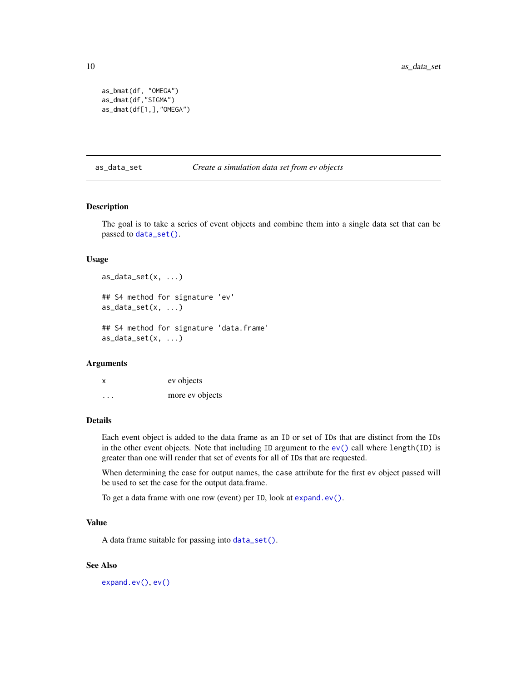```
as_bmat(df, "OMEGA")
as_dmat(df,"SIGMA")
as_dmat(df[1,],"OMEGA")
```
as\_data\_set *Create a simulation data set from ev objects*

#### Description

The goal is to take a series of event objects and combine them into a single data set that can be passed to [data\\_set\(\)](#page-19-1).

## Usage

 $as\_data\_set(x, \ldots)$ 

## S4 method for signature 'ev' as\_data\_set(x, ...)

## S4 method for signature 'data.frame'  $as\_data\_set(x, \ldots)$ 

### Arguments

x ev objects ... more ev objects

## Details

Each event object is added to the data frame as an ID or set of IDs that are distinct from the IDs in the other event objects. Note that including ID argument to the  $ev()$  call where length(ID) is greater than one will render that set of events for all of IDs that are requested.

When determining the case for output names, the case attribute for the first ev object passed will be used to set the case for the output data.frame.

To get a data frame with one row (event) per ID, look at [expand.ev\(\)](#page-35-1).

#### Value

A data frame suitable for passing into [data\\_set\(\)](#page-19-1).

#### See Also

[expand.ev\(\)](#page-35-1), [ev\(\)](#page-25-1)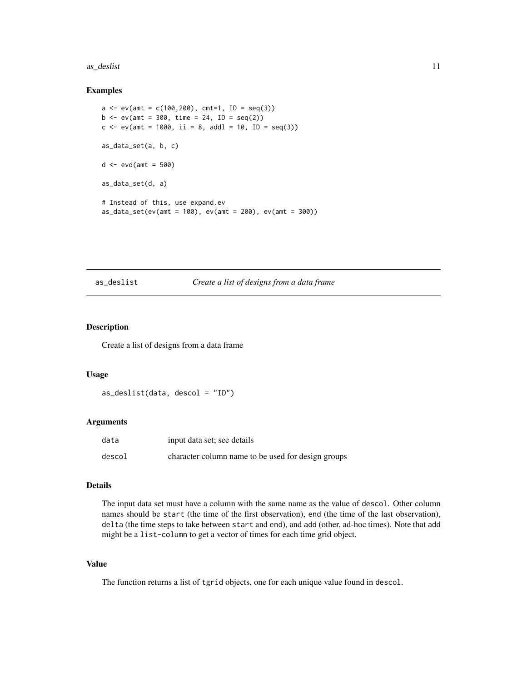#### <span id="page-10-0"></span>as\_deslist 11

#### Examples

```
a \leq -ev(\text{amt} = c(100, 200), \text{ cnt}=1, ID = seq(3))b \le -e ev(amt = 300, time = 24, ID = seq(2))
c \le -ev(\text{amt} = 1000, \text{ ii} = 8, \text{ addl} = 10, \text{ ID} = seq(3))as_data_set(a, b, c)
d \le - evd(amt = 500)
as_data_set(d, a)
# Instead of this, use expand.ev
as_data_set(ev(amt = 100), ev(amt = 200), ev(amt = 300))
```
## as\_deslist *Create a list of designs from a data frame*

## Description

Create a list of designs from a data frame

#### Usage

as\_deslist(data, descol = "ID")

#### Arguments

| data   | input data set; see details                        |
|--------|----------------------------------------------------|
| descol | character column name to be used for design groups |

#### Details

The input data set must have a column with the same name as the value of descol. Other column names should be start (the time of the first observation), end (the time of the last observation), delta (the time steps to take between start and end), and add (other, ad-hoc times). Note that add might be a list-column to get a vector of times for each time grid object.

## Value

The function returns a list of tgrid objects, one for each unique value found in descol.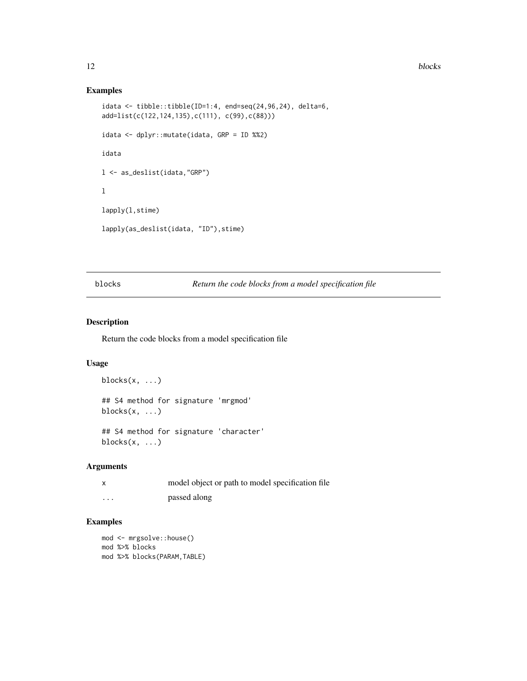#### <span id="page-11-0"></span>12 blocks

## Examples

```
idata \leftarrow tibble::tibble(ID=1:4, end=seq(24,96,24), delta=6,add=list(c(122,124,135),c(111), c(99),c(88)))
idata <- dplyr::mutate(idata, GRP = ID %%2)
idata
l <- as_deslist(idata,"GRP")
l
lapply(l,stime)
lapply(as_deslist(idata, "ID"),stime)
```
blocks *Return the code blocks from a model specification file*

## Description

Return the code blocks from a model specification file

## Usage

```
blocks(x, ...)
## S4 method for signature 'mrgmod'
blocks(x, ...)
## S4 method for signature 'character'
```
## Arguments

blocks $(x, \ldots)$ 

| x        | model object or path to model specification file |
|----------|--------------------------------------------------|
| $\cdots$ | passed along                                     |

```
mod <- mrgsolve::house()
mod %>% blocks
mod %>% blocks(PARAM,TABLE)
```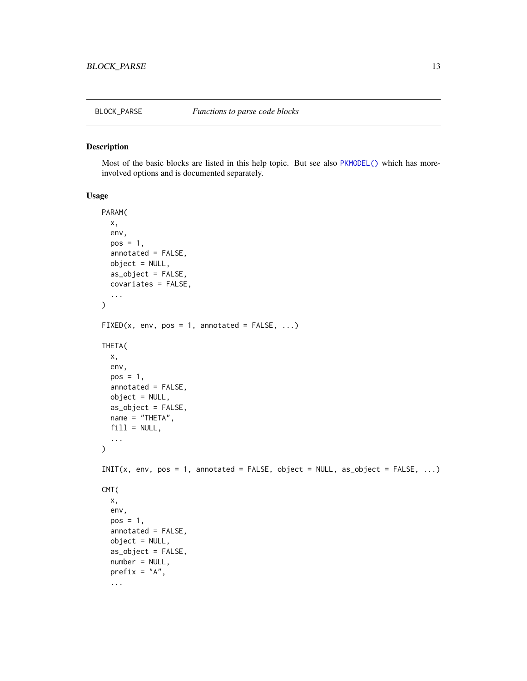<span id="page-12-0"></span>Most of the basic blocks are listed in this help topic. But see also [PKMODEL\(\)](#page-77-1) which has moreinvolved options and is documented separately.

#### Usage

```
PARAM(
  x,
  env,
 pos = 1,
  annotated = FALSE,
 object = NULL,
  as_object = FALSE,
  covariates = FALSE,
  ...
)
FIXED(x, env, pos = 1, annotated = FALSE, ...)THETA(
  x,
  env,
 pos = 1,
  annotated = FALSE,
  object = NULL,as_object = FALSE,
 name = "THETA",
  fill = NULL,...
\mathcal{E}INT(x, env, pos = 1, annotated = FALSE, object = NULL, as\_object = FALSE, ...)CMT(
  x,
  env,
 pos = 1,
  annotated = FALSE,
  object = NULL,as_object = FALSE,
  number = NULL,prefix = "A",...
```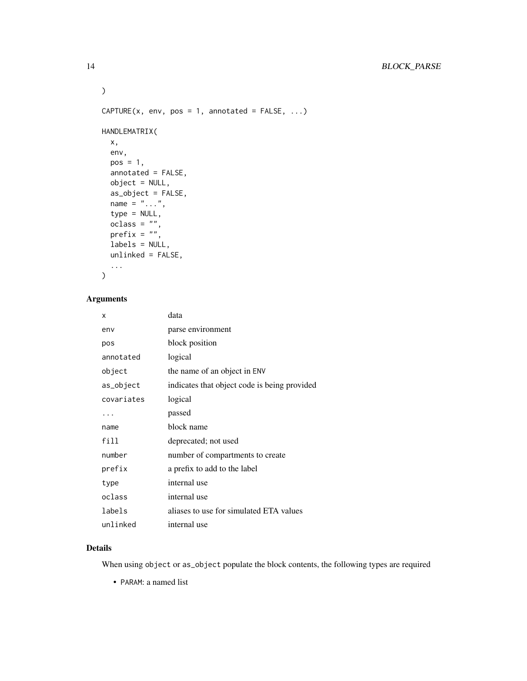```
\mathcal{L}CAPTURE(x, env, pos = 1, annotated = FALSE, ...)HANDLEMATRIX(
 x,
 env,
 pos = 1,
 annotated = FALSE,
 object = NULL,as_object = FALSE,
 name = "...",type = NULL,
  oclass = "",prefix = "",
 labels = NULL,
 unlinked = FALSE,
  ...
\mathcal{L}
```
## Arguments

| x          | data                                         |
|------------|----------------------------------------------|
| env        | parse environment                            |
| pos        | block position                               |
| annotated  | logical                                      |
| object     | the name of an object in ENV                 |
| as_object  | indicates that object code is being provided |
| covariates | logical                                      |
| .          | passed                                       |
| name       | block name                                   |
| fill       | deprecated; not used                         |
| number     | number of compartments to create             |
| prefix     | a prefix to add to the label                 |
| type       | internal use                                 |
| oclass     | internal use                                 |
| labels     | aliases to use for simulated ETA values      |
| unlinked   | internal use                                 |

## Details

When using object or as\_object populate the block contents, the following types are required

• PARAM: a named list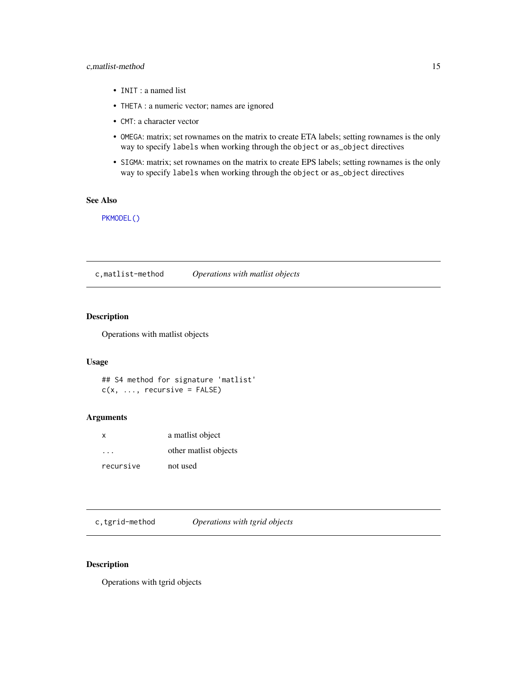#### <span id="page-14-0"></span>c,matlist-method 15

- INIT : a named list
- THETA : a numeric vector; names are ignored
- CMT: a character vector
- OMEGA: matrix; set rownames on the matrix to create ETA labels; setting rownames is the only way to specify labels when working through the object or as\_object directives
- SIGMA: matrix; set rownames on the matrix to create EPS labels; setting rownames is the only way to specify labels when working through the object or as\_object directives

## See Also

[PKMODEL\(\)](#page-77-1)

c,matlist-method *Operations with matlist objects*

## Description

Operations with matlist objects

#### Usage

```
## S4 method for signature 'matlist'
c(x, \ldots, recursive = FALSE)
```
## Arguments

| $\mathsf{x}$ | a matlist object      |
|--------------|-----------------------|
| .            | other matlist objects |
| recursive    | not used              |

c,tgrid-method *Operations with tgrid objects*

## Description

Operations with tgrid objects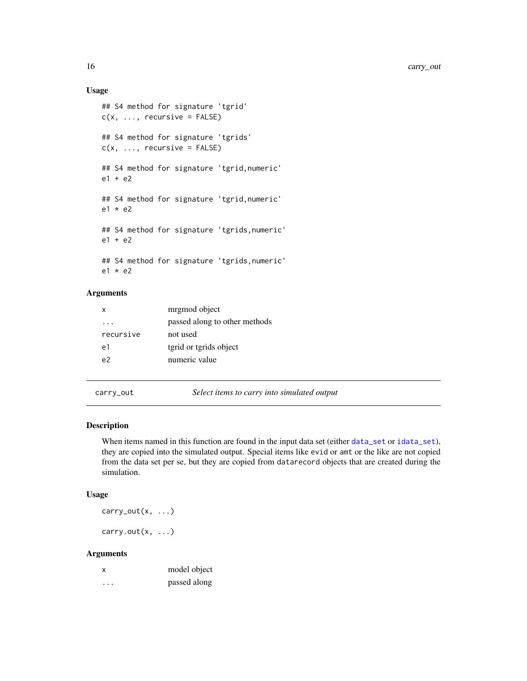## Usage

```
## S4 method for signature 'tgrid'
c(x, \ldots, recursive = FALSE)
## S4 method for signature 'tgrids'
c(x, \ldots, recursive = FALSE)
## S4 method for signature 'tgrid,numeric'
e1 + e2
## S4 method for signature 'tgrid,numeric'
e1 * e2
## S4 method for signature 'tgrids,numeric'
e1 + e2
## S4 method for signature 'tgrids,numeric'
e1 * e2
```
## Arguments

| x         | mrgmod object                 |
|-----------|-------------------------------|
|           | passed along to other methods |
| recursive | not used                      |
| e1        | tgrid or tgrids object        |
| 07 م      | numeric value                 |
|           |                               |

carry\_out *Select items to carry into simulated output*

## Description

When items named in this function are found in the input data set (either [data\\_set](#page-19-1) or [idata\\_set](#page-37-1)), they are copied into the simulated output. Special items like evid or amt or the like are not copied from the data set per se, but they are copied from datarecord objects that are created during the simulation.

#### Usage

carry\_out(x, ...)

carry.out $(x, \ldots)$ 

| X        | model object |
|----------|--------------|
| $\cdots$ | passed along |

<span id="page-15-0"></span>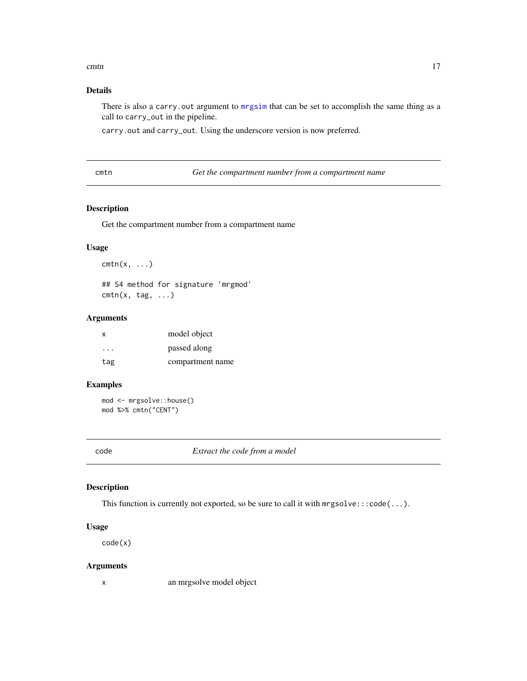#### <span id="page-16-0"></span>cmtn and the contract of the contract of the contract of the contract of the contract of the contract of the contract of the contract of the contract of the contract of the contract of the contract of the contract of the c

## Details

There is also a carry.out argument to [mrgsim](#page-56-1) that can be set to accomplish the same thing as a call to carry\_out in the pipeline.

carry.out and carry\_out. Using the underscore version is now preferred.

cmtn *Get the compartment number from a compartment name*

## Description

Get the compartment number from a compartment name

## Usage

 $cmtn(x, \ldots)$ ## S4 method for signature 'mrgmod'

 $cmin(x, tag, ...)$ 

## Arguments

| x   | model object     |
|-----|------------------|
| .   | passed along     |
| tag | compartment name |

### Examples

```
mod <- mrgsolve::house()
mod %>% cmtn("CENT")
```
code *Extract the code from a model*

## Description

This function is currently not exported, so be sure to call it with mrgsolve:::code(...).

#### Usage

code(x)

#### Arguments

x an mrgsolve model object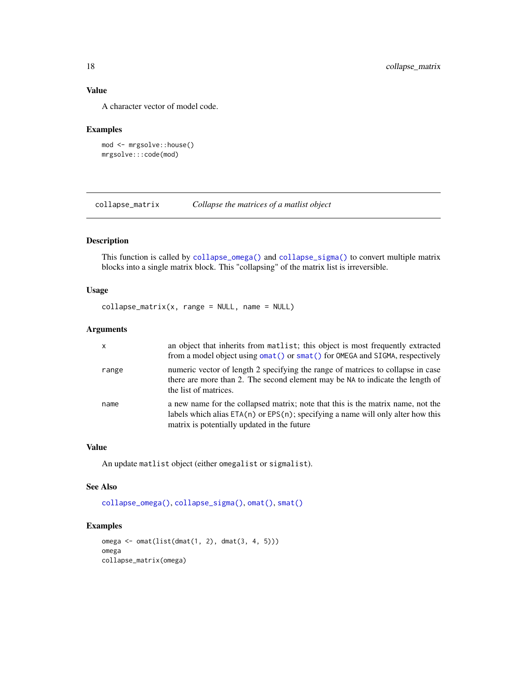## Value

A character vector of model code.

#### Examples

```
mod <- mrgsolve::house()
mrgsolve:::code(mod)
```
<span id="page-17-1"></span>collapse\_matrix *Collapse the matrices of a matlist object*

## Description

This function is called by [collapse\\_omega\(\)](#page-18-1) and [collapse\\_sigma\(\)](#page-18-2) to convert multiple matrix blocks into a single matrix block. This "collapsing" of the matrix list is irreversible.

#### Usage

```
collapse_matrix(x, range = NULL, name = NULL)
```
#### Arguments

| $\mathsf{x}$ | an object that inherits from matlist; this object is most frequently extracted<br>from a model object using omat () or smat () for OMEGA and SIGMA, respectively                                                       |
|--------------|------------------------------------------------------------------------------------------------------------------------------------------------------------------------------------------------------------------------|
| range        | numeric vector of length 2 specifying the range of matrices to collapse in case<br>there are more than 2. The second element may be NA to indicate the length of<br>the list of matrices.                              |
| name         | a new name for the collapsed matrix; note that this is the matrix name, not the<br>labels which alias $ETA(n)$ or $EPS(n)$ ; specifying a name will only alter how this<br>matrix is potentially updated in the future |

#### Value

An update matlist object (either omegalist or sigmalist).

## See Also

[collapse\\_omega\(\)](#page-18-1), [collapse\\_sigma\(\)](#page-18-2), [omat\(\)](#page-73-1), [smat\(\)](#page-89-1)

```
omega <- omat(list(dmat(1, 2), dmat(3, 4, 5)))
omega
collapse_matrix(omega)
```
<span id="page-17-0"></span>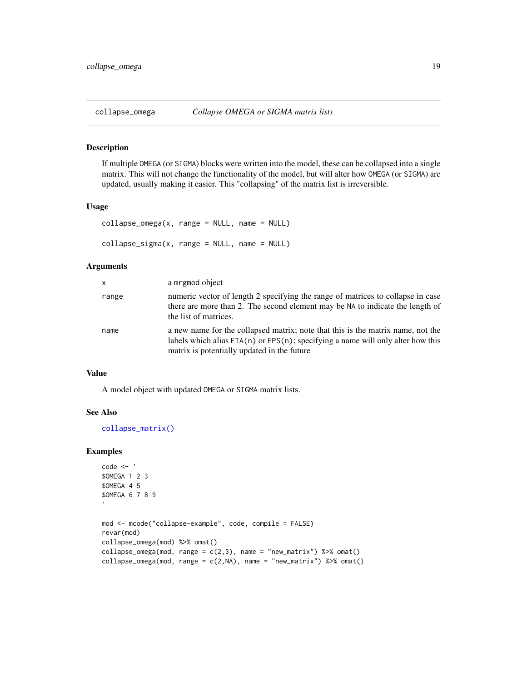<span id="page-18-2"></span><span id="page-18-1"></span><span id="page-18-0"></span>

If multiple OMEGA (or SIGMA) blocks were written into the model, these can be collapsed into a single matrix. This will not change the functionality of the model, but will alter how OMEGA (or SIGMA) are updated, usually making it easier. This "collapsing" of the matrix list is irreversible.

#### Usage

```
collapse\_omega(x, range = NULL, name = NULL)collapse\_sigma(x, range = NULL, name = NULL)
```
## Arguments

| x.    | a mrgmod object                                                                                                                                                                                                        |
|-------|------------------------------------------------------------------------------------------------------------------------------------------------------------------------------------------------------------------------|
| range | numeric vector of length 2 specifying the range of matrices to collapse in case<br>there are more than 2. The second element may be NA to indicate the length of<br>the list of matrices.                              |
| name  | a new name for the collapsed matrix; note that this is the matrix name, not the<br>labels which alias $ETA(n)$ or $EPS(n)$ ; specifying a name will only alter how this<br>matrix is potentially updated in the future |

## Value

A model object with updated OMEGA or SIGMA matrix lists.

#### See Also

[collapse\\_matrix\(\)](#page-17-1)

```
code <- '
$OMEGA 1 2 3
$OMEGA 4 5
$OMEGA 6 7 8 9
mod <- mcode("collapse-example", code, compile = FALSE)
revar(mod)
collapse_omega(mod) %>% omat()
collapse_omega(mod, range = c(2,3), name = "new_matrix") %\gg omat()
collapse_omega(mod, range = c(2, NA), name = "new_matrix") %>% omat()
```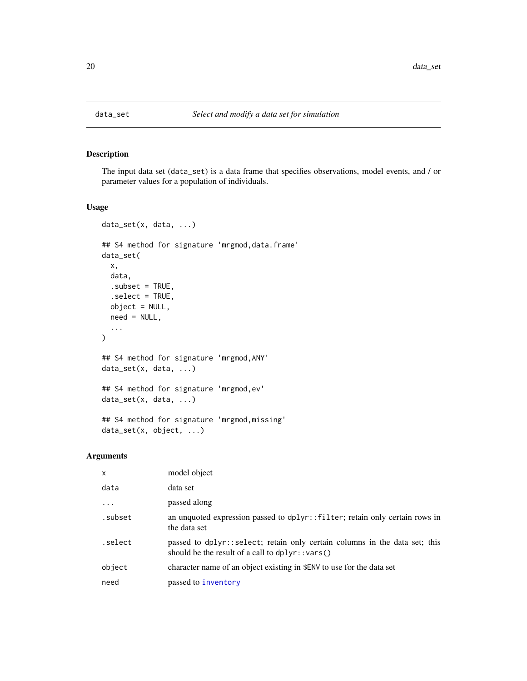<span id="page-19-1"></span><span id="page-19-0"></span>

The input data set (data\_set) is a data frame that specifies observations, model events, and / or parameter values for a population of individuals.

## Usage

```
data_set(x, data, ...)
## S4 method for signature 'mrgmod,data.frame'
data_set(
  x,
  data,
  subset = TRUE,.select = TRUE,
 object = NULL,need = NULL,
  ...
\mathcal{L}## S4 method for signature 'mrgmod,ANY'
data_set(x, data, ...)
## S4 method for signature 'mrgmod,ev'
data_set(x, data, ...)
## S4 method for signature 'mrgmod,missing'
data_set(x, object, ...)
```

| $\mathsf{x}$ | model object                                                                                                                      |
|--------------|-----------------------------------------------------------------------------------------------------------------------------------|
| data         | data set                                                                                                                          |
| $\cdots$     | passed along                                                                                                                      |
| .subset      | an unquoted expression passed to dplyr::filter; retain only certain rows in<br>the data set                                       |
| .select      | passed to dplyr::select; retain only certain columns in the data set; this<br>should be the result of a call to $d$ plyr:: vars() |
| object       | character name of an object existing in \$ENV to use for the data set                                                             |
| need         | passed to inventory                                                                                                               |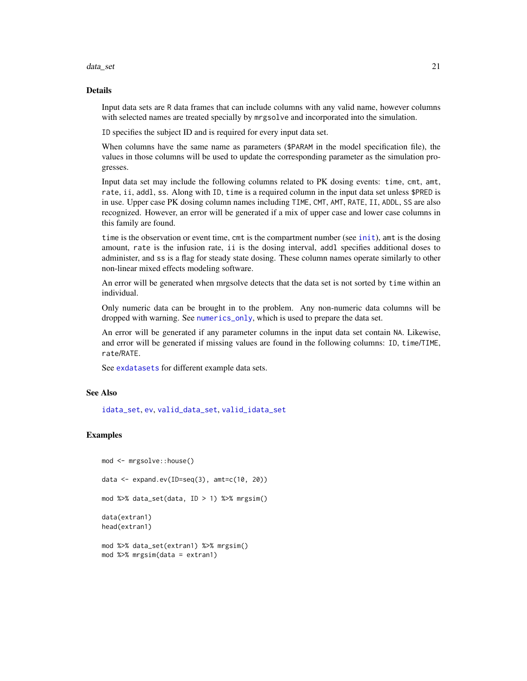#### data\_set 21

## Details

Input data sets are R data frames that can include columns with any valid name, however columns with selected names are treated specially by mrgsolve and incorporated into the simulation.

ID specifies the subject ID and is required for every input data set.

When columns have the same name as parameters (\$PARAM in the model specification file), the values in those columns will be used to update the corresponding parameter as the simulation progresses.

Input data set may include the following columns related to PK dosing events: time, cmt, amt, rate, ii, addl, ss. Along with ID, time is a required column in the input data set unless \$PRED is in use. Upper case PK dosing column names including TIME, CMT, AMT, RATE, II, ADDL, SS are also recognized. However, an error will be generated if a mix of upper case and lower case columns in this family are found.

time is the observation or event time, cmt is the compartment number (see [init](#page-39-1)), amt is the dosing amount, rate is the infusion rate, ii is the dosing interval, addl specifies additional doses to administer, and ss is a flag for steady state dosing. These column names operate similarly to other non-linear mixed effects modeling software.

An error will be generated when mrgsolve detects that the data set is not sorted by time within an individual.

Only numeric data can be brought in to the problem. Any non-numeric data columns will be dropped with warning. See [numerics\\_only](#page-71-1), which is used to prepare the data set.

An error will be generated if any parameter columns in the input data set contain NA. Likewise, and error will be generated if missing values are found in the following columns: ID, time/TIME, rate/RATE.

See [exdatasets](#page-34-1) for different example data sets.

## See Also

[idata\\_set](#page-37-1), [ev](#page-25-1), [valid\\_data\\_set](#page-95-1), [valid\\_idata\\_set](#page-96-1)

```
mod <- mrgsolve::house()
data <- expand.ev(ID=seq(3), amt=c(10, 20))
mod %>% data_set(data, ID > 1) %>% mrgsim()
data(extran1)
head(extran1)
mod %>% data_set(extran1) %>% mrgsim()
```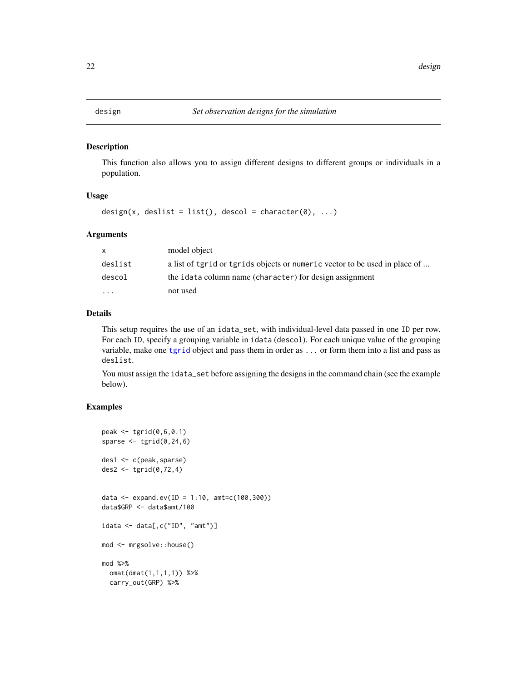<span id="page-21-0"></span>

This function also allows you to assign different designs to different groups or individuals in a population.

#### Usage

design(x, deslist = list(), descol = character(0), ...)

#### Arguments

| X        | model object                                                               |
|----------|----------------------------------------------------------------------------|
| deslist  | a list of tgrid or tgrids objects or numeric vector to be used in place of |
| descol   | the idata column name (character) for design assignment                    |
| $\cdots$ | not used                                                                   |

## Details

This setup requires the use of an idata\_set, with individual-level data passed in one ID per row. For each ID, specify a grouping variable in idata (descol). For each unique value of the grouping variable, make one [tgrid](#page-0-0) object and pass them in order as ... or form them into a list and pass as deslist.

You must assign the idata\_set before assigning the designs in the command chain (see the example below).

```
peak \leq tgrid(0, 6, 0.1)sparse \leq tgrid(0, 24, 6)des1 <- c(peak,sparse)
des2 \leftarrow tgrid(0, 72, 4)data <- expand.ev(ID = 1:10, amt=c(100,300))
data$GRP <- data$amt/100
idata <- data[,c("ID", "amt")]
mod <- mrgsolve::house()
mod %>%
  omat(dmat(1,1,1,1)) %>%
  carry_out(GRP) %>%
```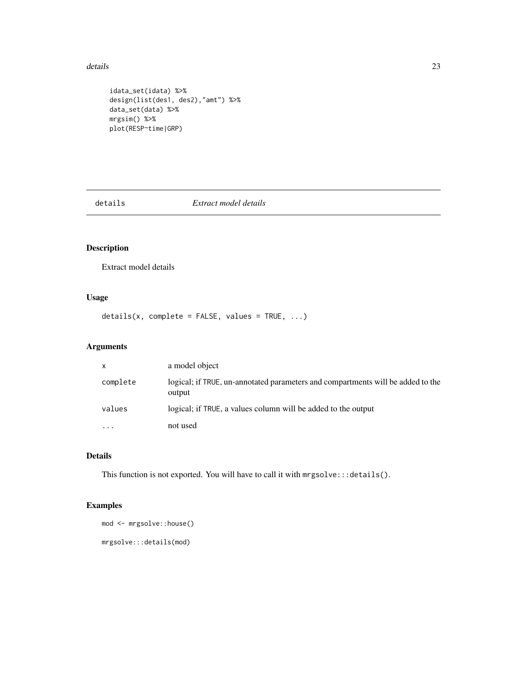#### <span id="page-22-0"></span>details 23

```
idata_set(idata) %>%
design(list(des1, des2),"amt") %>%
data_set(data) %>%
mrgsim() %>%
plot(RESP~time|GRP)
```
details *Extract model details*

## Description

Extract model details

## Usage

 $details(x, complete = FALSE, values = TRUE, ...)$ 

## Arguments

| $\mathsf{x}$            | a model object                                                                            |
|-------------------------|-------------------------------------------------------------------------------------------|
| complete                | logical; if TRUE, un-annotated parameters and compartments will be added to the<br>output |
| values                  | logical; if TRUE, a values column will be added to the output                             |
| $\cdot$ $\cdot$ $\cdot$ | not used                                                                                  |

## Details

This function is not exported. You will have to call it with mrgsolve:::details().

```
mod <- mrgsolve::house()
mrgsolve:::details(mod)
```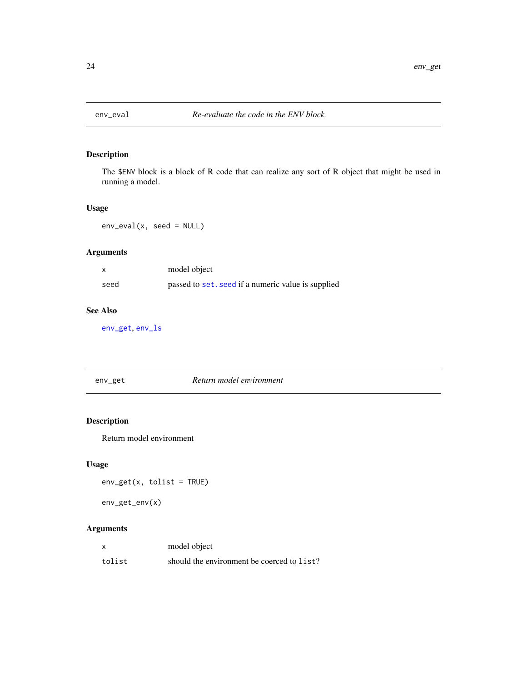<span id="page-23-0"></span>

The \$ENV block is a block of R code that can realize any sort of R object that might be used in running a model.

## Usage

env\_eval(x, seed = NULL)

## Arguments

|      | model object                                       |
|------|----------------------------------------------------|
| seed | passed to set. seed if a numeric value is supplied |

## See Also

[env\\_get](#page-23-1), [env\\_ls](#page-24-1)

<span id="page-23-1"></span>

| env_get | Return model environment |
|---------|--------------------------|
|         |                          |

## Description

Return model environment

## Usage

env\_get(x, tolist = TRUE)

env\_get\_env(x)

|        | model object                               |
|--------|--------------------------------------------|
| tolist | should the environment be coerced to list? |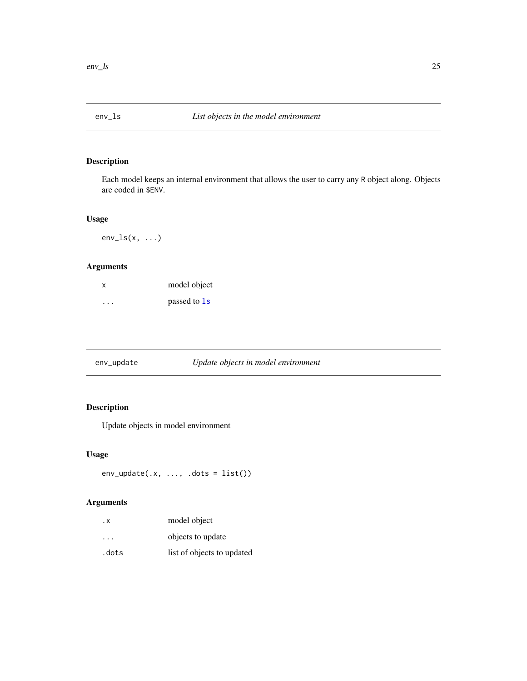<span id="page-24-1"></span><span id="page-24-0"></span>

Each model keeps an internal environment that allows the user to carry any R object along. Objects are coded in \$ENV.

## Usage

 $env_ls(x, \ldots)$ 

## Arguments

| x                       | model object |
|-------------------------|--------------|
| $\cdot$ $\cdot$ $\cdot$ | passed to 1s |

## Description

Update objects in model environment

## Usage

```
env\_update(x, ..., dots = list())
```

| . х     | model object               |
|---------|----------------------------|
| $\cdot$ | objects to update          |
| .dots   | list of objects to updated |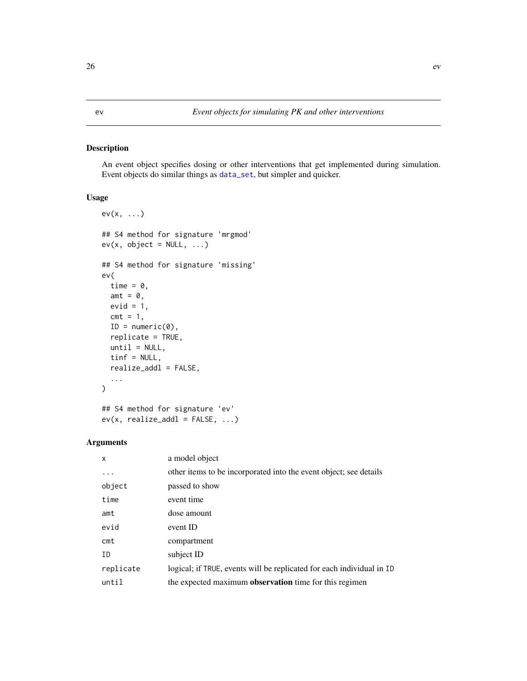<span id="page-25-1"></span><span id="page-25-0"></span>An event object specifies dosing or other interventions that get implemented during simulation. Event objects do similar things as [data\\_set](#page-19-1), but simpler and quicker.

## Usage

```
ev(x, ...)
## S4 method for signature 'mrgmod'
ev(x, object = NULL, ...)## S4 method for signature 'missing'
ev(
  time = \theta,
 amt = 0,
 evid = 1,
  cmt = 1,
  ID = numeric(0),
  replicate = TRUE,
 until = NULL,tinf = NULL,
  realize_addl = FALSE,
  ...
)
## S4 method for signature 'ev'
```
 $ev(x, realize\_add1 = FALSE, ...)$ 

| X         | a model object                                                        |
|-----------|-----------------------------------------------------------------------|
| .         | other items to be incorporated into the event object; see details     |
| object    | passed to show                                                        |
| time      | event time                                                            |
| amt       | dose amount                                                           |
| evid      | event ID                                                              |
| $c$ mt    | compartment                                                           |
| ID        | subject ID                                                            |
| replicate | logical; if TRUE, events will be replicated for each individual in ID |
| until     | the expected maximum <b>observation</b> time for this regimen         |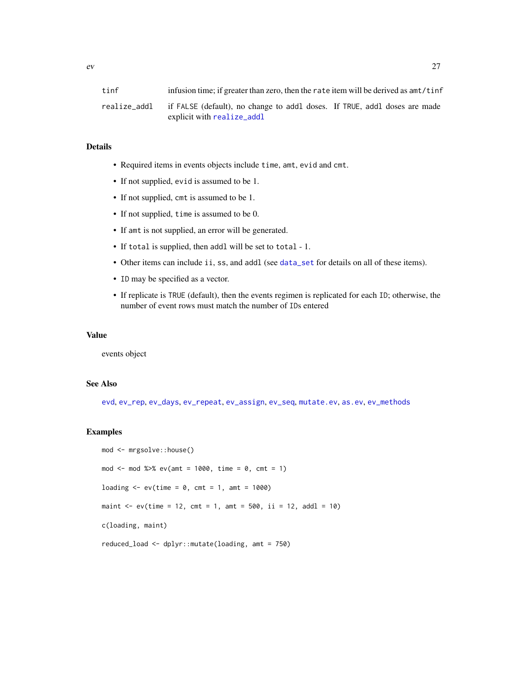## Details

- Required items in events objects include time, amt, evid and cmt.
- If not supplied, evid is assumed to be 1.
- If not supplied, cmt is assumed to be 1.
- If not supplied, time is assumed to be 0.
- If amt is not supplied, an error will be generated.
- If total is supplied, then addl will be set to total 1.
- Other items can include ii, ss, and addl (see [data\\_set](#page-19-1) for details on all of these items).
- ID may be specified as a vector.
- If replicate is TRUE (default), then the events regimen is replicated for each ID; otherwise, the number of event rows must match the number of IDs entered

#### Value

events object

#### See Also

[evd](#page-27-1), [ev\\_rep](#page-30-1), [ev\\_days](#page-29-1), [ev\\_repeat](#page-31-1), [ev\\_assign](#page-28-1), [ev\\_seq](#page-33-1), [mutate.ev](#page-67-1), [as.ev](#page-4-1), [ev\\_methods](#page-0-0)

```
mod <- mrgsolve::house()
mod <- mod %>% ev(amt = 1000, time = 0, cmt = 1)
loading \leq -e ev(time = 0, cmt = 1, amt = 1000)
maint \leq -e ev(time = 12, cmt = 1, amt = 500, ii = 12, addl = 10)
c(loading, maint)
reduced_load <- dplyr::mutate(loading, amt = 750)
```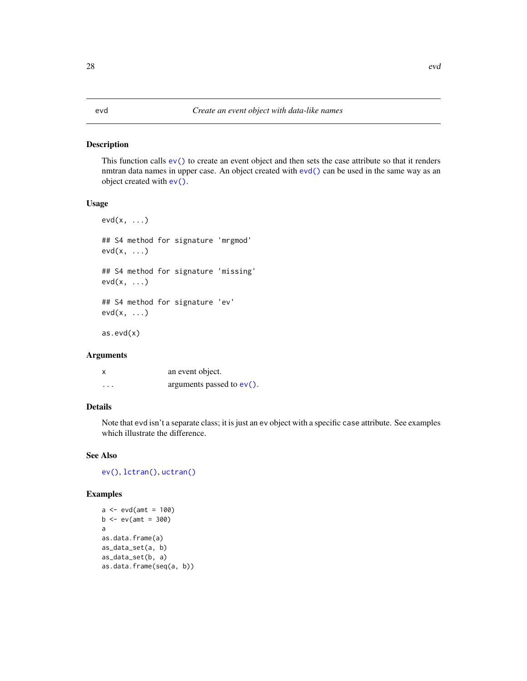This function calls [ev\(\)](#page-25-1) to create an event object and then sets the case attribute so that it renders nmtran data names in upper case. An object created with [evd\(\)](#page-27-1) can be used in the same way as an object created with [ev\(\)](#page-25-1).

## Usage

```
evd(x, \ldots)## S4 method for signature 'mrgmod'
evd(x, ...)
## S4 method for signature 'missing'
evd(x, ...)
## S4 method for signature 'ev'
evd(x, ...)
as.evd(x)
```
## Arguments

| x        | an event object.             |
|----------|------------------------------|
| $\cdots$ | arguments passed to $ev()$ . |

## Details

Note that evd isn't a separate class; it is just an ev object with a specific case attribute. See examples which illustrate the difference.

#### See Also

[ev\(\)](#page-25-1), [lctran\(\)](#page-42-1), [uctran\(\)](#page-42-2)

#### Examples

```
a \leftarrow \text{evd}(\text{amt} = 100)b \le -e v(amt = 300)
a
as.data.frame(a)
as_data_set(a, b)
as_data_set(b, a)
as.data.frame(seq(a, b))
```
#### <span id="page-27-1"></span><span id="page-27-0"></span>28 evd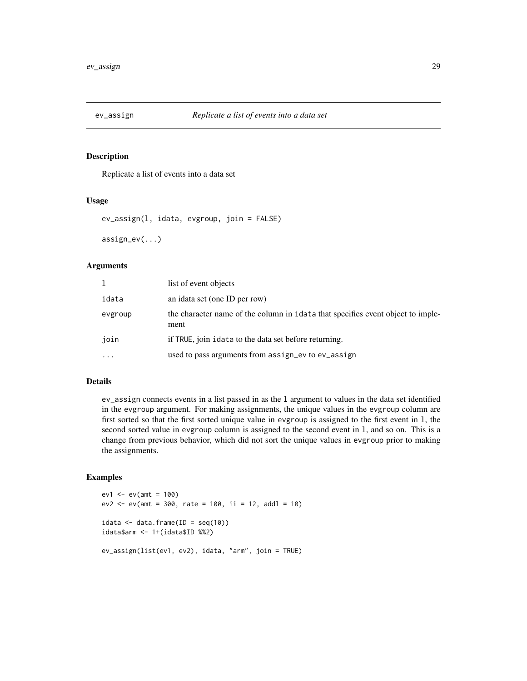<span id="page-28-1"></span><span id="page-28-0"></span>

Replicate a list of events into a data set

#### Usage

```
ev_assign(l, idata, evgroup, join = FALSE)
```
assign\_ev(...)

## Arguments

| 1         | list of event objects                                                                   |
|-----------|-----------------------------------------------------------------------------------------|
| idata     | an idata set (one ID per row)                                                           |
| evgroup   | the character name of the column in idata that specifies event object to imple-<br>ment |
| join      | if TRUE, join idata to the data set before returning.                                   |
| $\ddotsc$ | used to pass arguments from assign_ev to ev_assign                                      |

#### Details

ev\_assign connects events in a list passed in as the l argument to values in the data set identified in the evgroup argument. For making assignments, the unique values in the evgroup column are first sorted so that the first sorted unique value in evgroup is assigned to the first event in l, the second sorted value in evgroup column is assigned to the second event in l, and so on. This is a change from previous behavior, which did not sort the unique values in evgroup prior to making the assignments.

```
ev1 \le - ev(amt = 100)ev2 \le -ev(amt = 300, rate = 100, ii = 12, addl = 10)
idata \leq data.frame(ID = seq(10))
idata$arm <- 1+(idata$ID %%2)
ev_assign(list(ev1, ev2), idata, "arm", join = TRUE)
```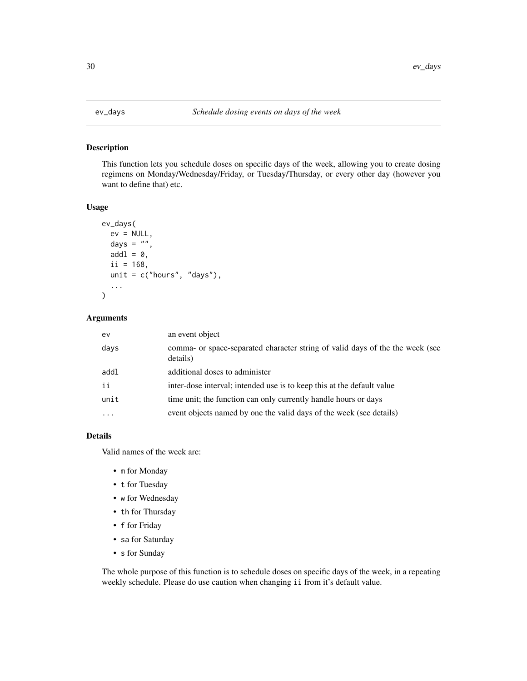This function lets you schedule doses on specific days of the week, allowing you to create dosing regimens on Monday/Wednesday/Friday, or Tuesday/Thursday, or every other day (however you want to define that) etc.

#### Usage

```
ev_days(
  ev = NULL,days = ",
  add1 = 0,
  ii = 168,
  unit = c("hours", "days"),
  ...
)
```
## Arguments

| ev       | an event object                                                                           |
|----------|-------------------------------------------------------------------------------------------|
| days     | comma- or space-separated character string of valid days of the the week (see<br>details) |
| addl     | additional doses to administer                                                            |
| ii       | inter-dose interval; intended use is to keep this at the default value                    |
| unit     | time unit; the function can only currently handle hours or days                           |
| $\cdots$ | event objects named by one the valid days of the week (see details)                       |

## Details

Valid names of the week are:

- m for Monday
- t for Tuesday
- w for Wednesday
- th for Thursday
- f for Friday
- sa for Saturday
- s for Sunday

The whole purpose of this function is to schedule doses on specific days of the week, in a repeating weekly schedule. Please do use caution when changing ii from it's default value.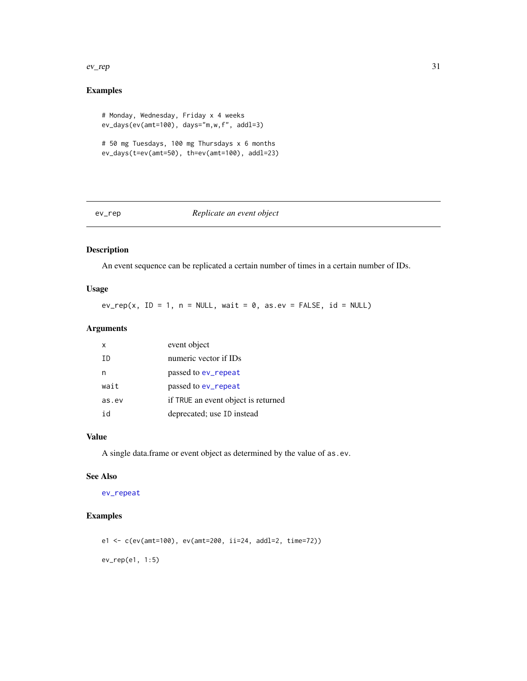#### <span id="page-30-0"></span> $\frac{ev_{\text{}}}{31}$

## Examples

```
# Monday, Wednesday, Friday x 4 weeks
ev_days(ev(amt=100), days="m,w,f", addl=3)
# 50 mg Tuesdays, 100 mg Thursdays x 6 months
ev_days(t=ev(amt=50), th=ev(amt=100), addl=23)
```
<span id="page-30-1"></span>

## ev\_rep *Replicate an event object*

## Description

An event sequence can be replicated a certain number of times in a certain number of IDs.

## Usage

 $ev_{\text{prep}}(x, \text{ID} = 1, n = \text{NULL}, \text{wait} = 0, \text{as}.\text{ev} = \text{FALSE}, \text{id} = \text{NULL})$ 

## Arguments

| x     | event object                        |
|-------|-------------------------------------|
| TD.   | numeric vector if IDs               |
|       | passed to ev_repeat                 |
| wait  | passed to ev_repeat                 |
| as.ev | if TRUE an event object is returned |
| id    | deprecated; use ID instead          |

## Value

A single data.frame or event object as determined by the value of as.ev.

#### See Also

[ev\\_repeat](#page-31-1)

```
e1 <- c(ev(amt=100), ev(amt=200, ii=24, addl=2, time=72))
ev_rep(e1, 1:5)
```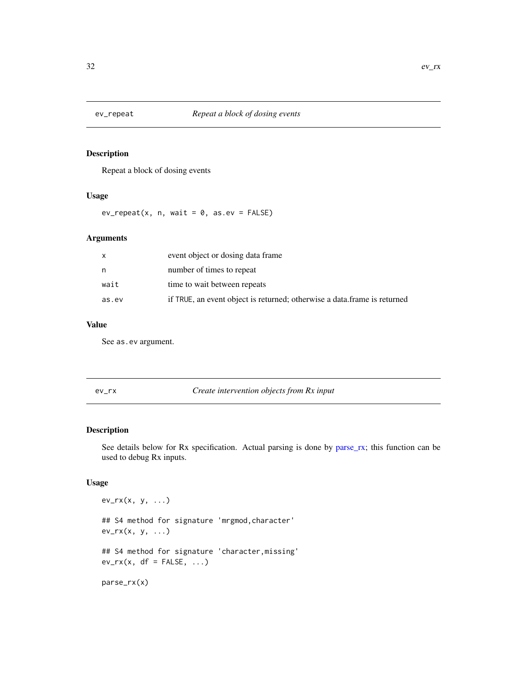<span id="page-31-1"></span><span id="page-31-0"></span>

Repeat a block of dosing events

## Usage

 $ev_{repeated}(x, n, wait = 0, as,ev = FALSE)$ 

## Arguments

| x     | event object or dosing data frame                                        |
|-------|--------------------------------------------------------------------------|
| n     | number of times to repeat                                                |
| wait  | time to wait between repeats                                             |
| as.ev | if TRUE, an event object is returned; otherwise a data frame is returned |

## Value

See as.ev argument.

ev\_rx *Create intervention objects from Rx input*

## <span id="page-31-2"></span>Description

See details below for Rx specification. Actual parsing is done by [parse\\_rx;](#page-31-2) this function can be used to debug Rx inputs.

## Usage

ev\_rx(x, y, ...) ## S4 method for signature 'mrgmod,character'  $ev_r(x, y, ...)$ ## S4 method for signature 'character,missing'  $ev_r(x, df = FALSE, ...)$ parse\_rx(x)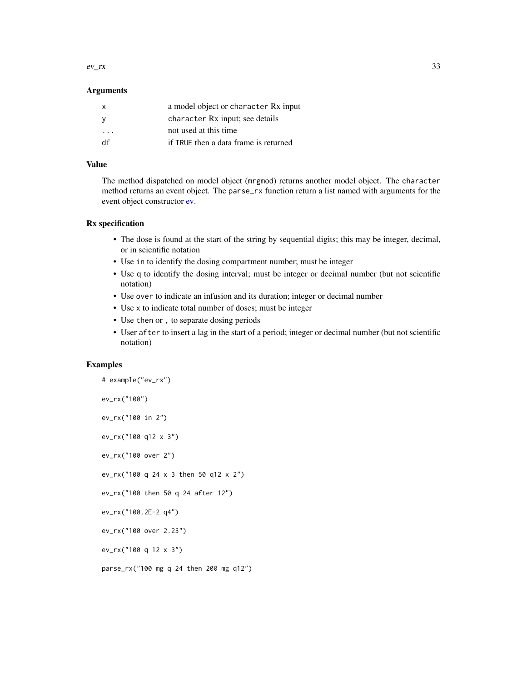$ev\_rx$  33

#### Arguments

| X  | a model object or character Rx input  |
|----|---------------------------------------|
|    | character Rx input; see details       |
| .  | not used at this time                 |
| df | if TRUE then a data frame is returned |
|    |                                       |

## Value

The method dispatched on model object (mrgmod) returns another model object. The character method returns an event object. The parse\_rx function return a list named with arguments for the event object constructor [ev.](#page-25-1)

## Rx specification

- The dose is found at the start of the string by sequential digits; this may be integer, decimal, or in scientific notation
- Use in to identify the dosing compartment number; must be integer
- Use q to identify the dosing interval; must be integer or decimal number (but not scientific notation)
- Use over to indicate an infusion and its duration; integer or decimal number
- Use x to indicate total number of doses; must be integer
- Use then or , to separate dosing periods
- User after to insert a lag in the start of a period; integer or decimal number (but not scientific notation)

```
# example("ev_rx")
ev_rx("100")
ev_rx("100 in 2")
ev_rx("100 q12 x 3")
ev_rx("100 over 2")
ev_rx("100 q 24 x 3 then 50 q12 x 2")
ev_rx("100 then 50 q 24 after 12")
ev_rx("100.2E-2 q4")
ev_rx("100 over 2.23")
ev_rx("100 q 12 x 3")
parse_rx("100 mg q 24 then 200 mg q12")
```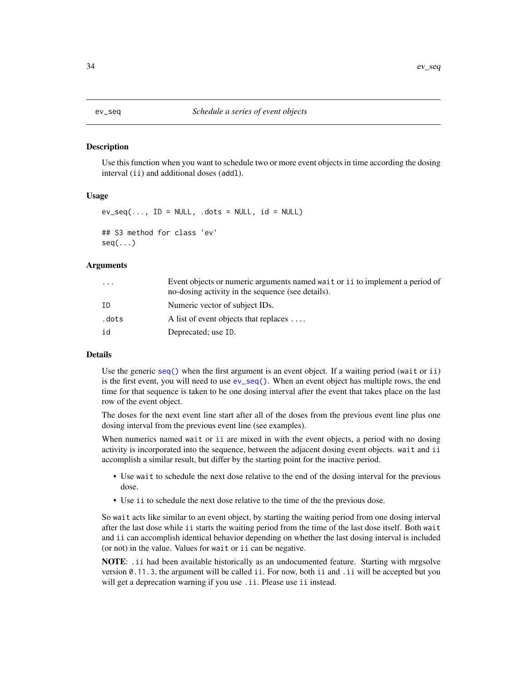<span id="page-33-1"></span><span id="page-33-0"></span>Use this function when you want to schedule two or more event objects in time according the dosing interval (ii) and additional doses (addl).

#### Usage

```
ev\_seq(..., ID = NULL, .dots = NULL, id = NULL)## S3 method for class 'ev'
seq( \ldots )
```
#### Arguments

| $\ddotsc$ | Event objects or numeric arguments named wait or i i to implement a period of<br>no-dosing activity in the sequence (see details). |
|-----------|------------------------------------------------------------------------------------------------------------------------------------|
| ΙD        | Numeric vector of subject IDs.                                                                                                     |
| .dots     | A list of event objects that replaces $\dots$                                                                                      |
| id        | Deprecated; use ID.                                                                                                                |
|           |                                                                                                                                    |

## Details

Use the generic [seq\(\)](#page-0-0) when the first argument is an event object. If a waiting period (wait or ii) is the first event, you will need to use  $ev\_seq()$ . When an event object has multiple rows, the end time for that sequence is taken to be one dosing interval after the event that takes place on the last row of the event object.

The doses for the next event line start after all of the doses from the previous event line plus one dosing interval from the previous event line (see examples).

When numerics named wait or ii are mixed in with the event objects, a period with no dosing activity is incorporated into the sequence, between the adjacent dosing event objects. wait and ii accomplish a similar result, but differ by the starting point for the inactive period.

- Use wait to schedule the next dose relative to the end of the dosing interval for the previous dose.
- Use ii to schedule the next dose relative to the time of the the previous dose.

So wait acts like similar to an event object, by starting the waiting period from one dosing interval after the last dose while ii starts the waiting period from the time of the last dose itself. Both wait and ii can accomplish identical behavior depending on whether the last dosing interval is included (or not) in the value. Values for wait or ii can be negative.

NOTE: .ii had been available historically as an undocumented feature. Starting with mrgsolve version 0.11.3, the argument will be called ii. For now, both ii and .ii will be accepted but you will get a deprecation warning if you use .ii. Please use ii instead.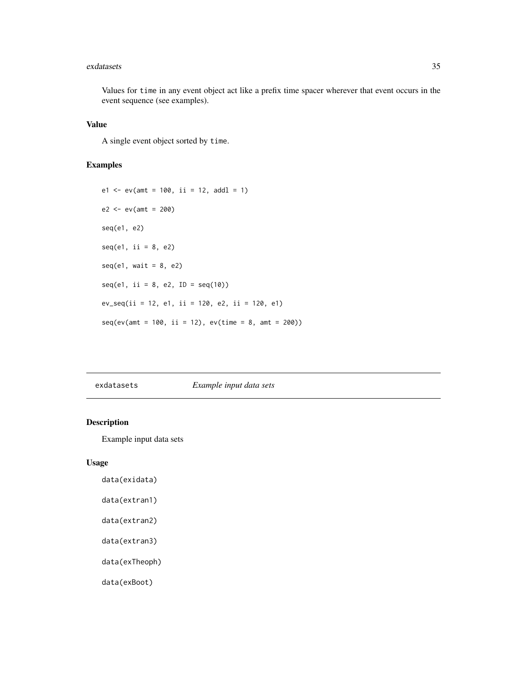#### <span id="page-34-0"></span>exdatasets 35

Values for time in any event object act like a prefix time spacer wherever that event occurs in the event sequence (see examples).

#### Value

A single event object sorted by time.

## Examples

```
e1 \le -ev(\text{amt} = 100, \text{ ii} = 12, \text{ add } = 1)e2 < - ev(amt = 200)
seq(e1, e2)
seq(e1, ii = 8, e2)seq(e1, wait = 8, e2)seq(e1, i1 = 8, e2, ID = seq(10))ev\_seq(i = 12, e1, ii = 120, e2, ii = 120, e1)seq(ev(amt = 100, ii = 12), ev(time = 8, amt = 200))
```
<span id="page-34-1"></span>exdatasets *Example input data sets*

## Description

Example input data sets

#### Usage

data(exidata)

- data(extran1)
- data(extran2)
- data(extran3)

data(exTheoph)

data(exBoot)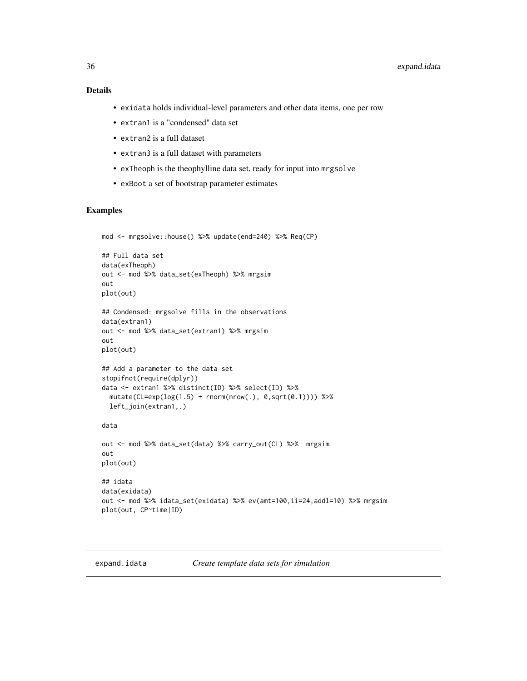- <span id="page-35-0"></span>• exidata holds individual-level parameters and other data items, one per row
- extran1 is a "condensed" data set
- extran2 is a full dataset
- extran3 is a full dataset with parameters
- exTheoph is the theophylline data set, ready for input into mrgsolve
- exBoot a set of bootstrap parameter estimates

#### Examples

```
mod <- mrgsolve::house() %>% update(end=240) %>% Req(CP)
## Full data set
data(exTheoph)
out <- mod %>% data_set(exTheoph) %>% mrgsim
out
plot(out)
## Condensed: mrgsolve fills in the observations
data(extran1)
out <- mod %>% data_set(extran1) %>% mrgsim
out
plot(out)
## Add a parameter to the data set
stopifnot(require(dplyr))
data <- extran1 %>% distinct(ID) %>% select(ID) %>%
  mutate(CL=exp(log(1.5) + rnorm(nrow(.), 0, sqrt(0.1)))) %>%
  left_join(extran1,.)
data
out <- mod %>% data_set(data) %>% carry_out(CL) %>% mrgsim
out
plot(out)
## idata
data(exidata)
out <- mod %>% idata_set(exidata) %>% ev(amt=100,ii=24,addl=10) %>% mrgsim
plot(out, CP~time|ID)
```
<span id="page-35-1"></span>

expand.idata *Create template data sets for simulation*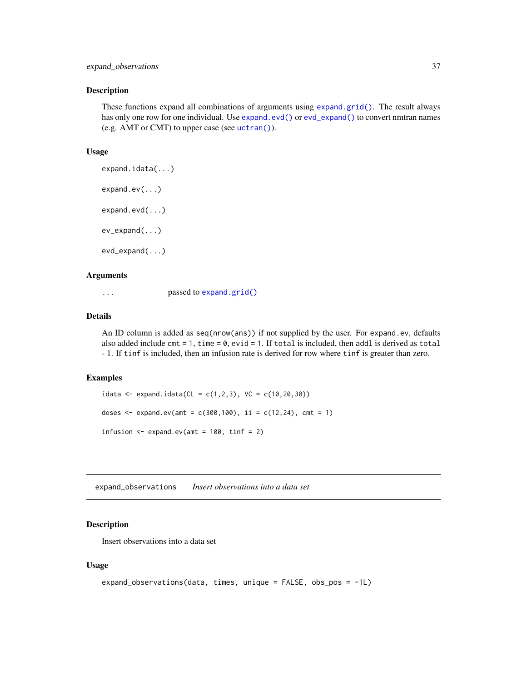These functions expand all combinations of arguments using [expand.grid\(\)](#page-0-0). The result always has only one row for one individual. Use [expand.evd\(\)](#page-35-0) or [evd\\_expand\(\)](#page-35-0) to convert nmtran names (e.g. AMT or CMT) to upper case (see [uctran\(\)](#page-42-0)).

#### Usage

```
expand.idata(...)
expand.ev(...)
expand.evd(...)
ev_expand(...)
evd_expand(...)
```
## Arguments

... passed to [expand.grid\(\)](#page-0-0)

# Details

An ID column is added as seq(nrow(ans)) if not supplied by the user. For expand.ev, defaults also added include cmt = 1, time =  $0$ , evid = 1. If total is included, then addl is derived as total - 1. If tinf is included, then an infusion rate is derived for row where tinf is greater than zero.

## Examples

```
idata <- expand.idata(CL = c(1, 2, 3), VC = c(10, 20, 30))
doses \leq expand.ev(amt = c(300,100), ii = c(12,24), cmt = 1)
infusion \leq expand.ev(amt = 100, tinf = 2)
```
expand\_observations *Insert observations into a data set*

## Description

Insert observations into a data set

#### Usage

```
expand_observations(data, times, unique = FALSE, obs_pos = -1L)
```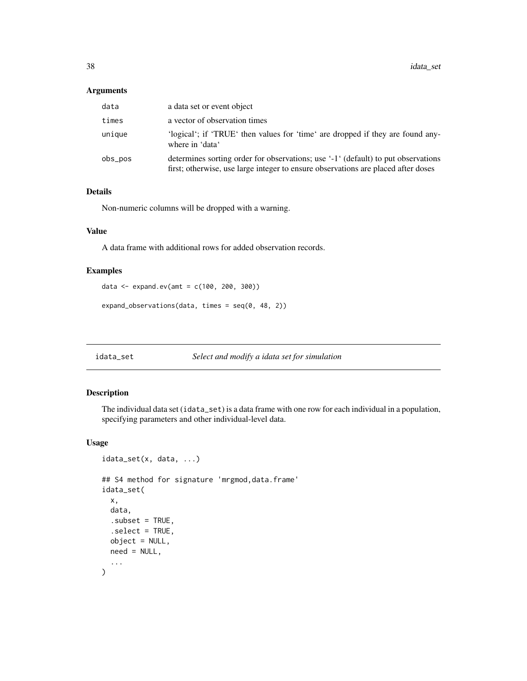38 idata\_set

## Arguments

| data    | a data set or event object                                                                                                                                             |
|---------|------------------------------------------------------------------------------------------------------------------------------------------------------------------------|
| times   | a vector of observation times                                                                                                                                          |
| unique  | 'logical'; if 'TRUE' then values for 'time' are dropped if they are found any-<br>where in 'data'                                                                      |
| obs_pos | determines sorting order for observations; use '-1' (default) to put observations<br>first; otherwise, use large integer to ensure observations are placed after doses |

## Details

Non-numeric columns will be dropped with a warning.

## Value

A data frame with additional rows for added observation records.

## Examples

```
data <- expand.ev(amt = c(100, 200, 300))
```
expand\_observations(data, times = seq(0, 48, 2))

#### <span id="page-37-0"></span>idata\_set *Select and modify a idata set for simulation*

## Description

The individual data set (idata\_set) is a data frame with one row for each individual in a population, specifying parameters and other individual-level data.

#### Usage

```
idata_set(x, data, ...)
## S4 method for signature 'mrgmod,data.frame'
idata_set(
 x,
 data,
  .subset = TRUE,
  .select = TRUE,
 object = NULL,
 need = NULL,
  ...
)
```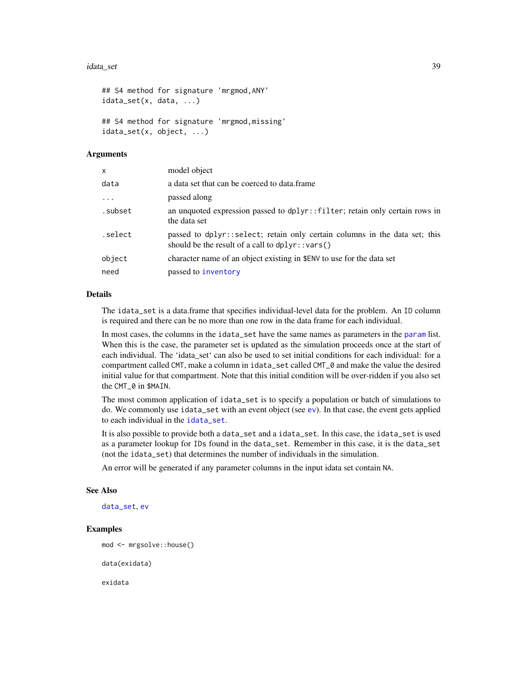#### idata\_set 39

```
## S4 method for signature 'mrgmod,ANY'
idata_set(x, data, ...)
## S4 method for signature 'mrgmod,missing'
idata_set(x, object, ...)
```
#### Arguments

| x        | model object                                                                                                                          |
|----------|---------------------------------------------------------------------------------------------------------------------------------------|
| data     | a data set that can be coerced to data.frame                                                                                          |
| $\cdots$ | passed along                                                                                                                          |
| .subset  | an unquoted expression passed to dplyr::filter; retain only certain rows in<br>the data set                                           |
| .select  | passed to dplyr::select; retain only certain columns in the data set; this<br>should be the result of a call to $d$ plyr:: $var$ s () |
| object   | character name of an object existing in \$ENV to use for the data set                                                                 |
| need     | passed to inventory                                                                                                                   |
|          |                                                                                                                                       |

#### Details

The idata\_set is a data.frame that specifies individual-level data for the problem. An ID column is required and there can be no more than one row in the data frame for each individual.

In most cases, the columns in the idata\_set have the same names as parameters in the [param](#page-75-0) list. When this is the case, the parameter set is updated as the simulation proceeds once at the start of each individual. The 'idata\_set' can also be used to set initial conditions for each individual: for a compartment called CMT, make a column in idata\_set called CMT\_0 and make the value the desired initial value for that compartment. Note that this initial condition will be over-ridden if you also set the CMT\_0 in \$MAIN.

The most common application of idata\_set is to specify a population or batch of simulations to do. We commonly use idata\_set with an event object (see [ev](#page-25-0)). In that case, the event gets applied to each individual in the [idata\\_set](#page-37-0).

It is also possible to provide both a data\_set and a idata\_set. In this case, the idata\_set is used as a parameter lookup for IDs found in the data\_set. Remember in this case, it is the data\_set (not the idata\_set) that determines the number of individuals in the simulation.

An error will be generated if any parameter columns in the input idata set contain NA.

#### See Also

[data\\_set](#page-19-0), [ev](#page-25-0)

# Examples

```
mod <- mrgsolve::house()
data(exidata)
```
exidata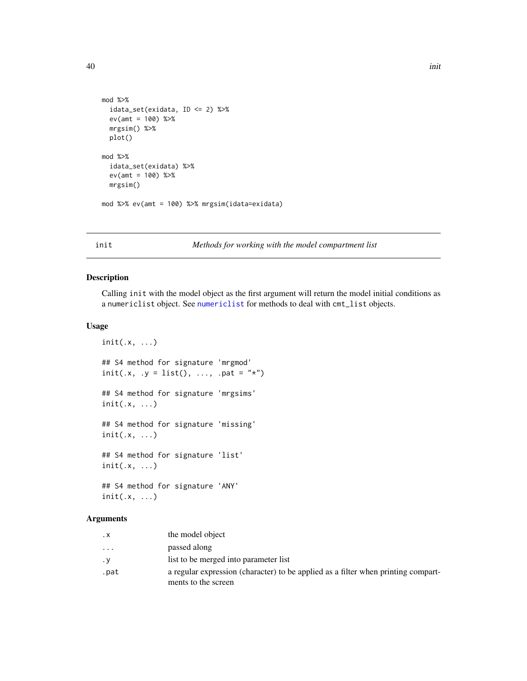```
mod %>%
  idata_set(exidata, ID <= 2) %>%
  ev(amt = 100) %>%
  mrgsim() %>%
  plot()
mod %>%
  idata_set(exidata) %>%
  ev(amt = 100) %>%
  mrgsim()
mod %>% ev(amt = 100) %>% mrgsim(idata=exidata)
```
#### init *Methods for working with the model compartment list*

## Description

Calling init with the model object as the first argument will return the model initial conditions as a numericlist object. See [numericlist](#page-0-0) for methods to deal with cmt\_list objects.

## Usage

```
init(.x, \ldots)## S4 method for signature 'mrgmod'
init(x, y = list(), ..., part = "*")## S4 method for signature 'mrgsims'
init(.x, ...)
## S4 method for signature 'missing'
init(.x, ...)
## S4 method for signature 'list'
init(.x, ...)
## S4 method for signature 'ANY'
init(.x, ...)
```
## Arguments

| $\cdot$ X | the model object                                                                                         |
|-----------|----------------------------------------------------------------------------------------------------------|
| .         | passed along                                                                                             |
| $\cdot$ Y | list to be merged into parameter list                                                                    |
| .pat      | a regular expression (character) to be applied as a filter when printing compart-<br>ments to the screen |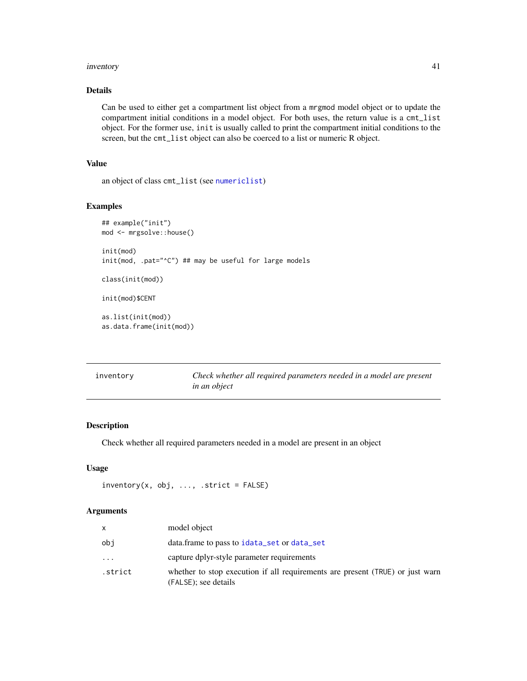#### inventory 41

## Details

Can be used to either get a compartment list object from a mrgmod model object or to update the compartment initial conditions in a model object. For both uses, the return value is a cmt\_list object. For the former use, init is usually called to print the compartment initial conditions to the screen, but the cmt\_list object can also be coerced to a list or numeric R object.

#### Value

an object of class cmt\_list (see [numericlist](#page-0-0))

#### Examples

```
## example("init")
mod <- mrgsolve::house()
init(mod)
init(mod, .pat="^C") ## may be useful for large models
class(init(mod))
init(mod)$CENT
as.list(init(mod))
as.data.frame(init(mod))
```
<span id="page-40-0"></span>

| inventory | Check whether all required parameters needed in a model are present |
|-----------|---------------------------------------------------------------------|
|           | <i>in an object</i>                                                 |

# Description

Check whether all required parameters needed in a model are present in an object

## Usage

```
inventropy(x, obj, ..., strict = FALSE)
```
#### Arguments

|         | model object                                                                                          |
|---------|-------------------------------------------------------------------------------------------------------|
| obi     | data.frame to pass to idata_set or data_set                                                           |
| .       | capture dplyr-style parameter requirements                                                            |
| .strict | whether to stop execution if all requirements are present (TRUE) or just warn<br>(FALSE); see details |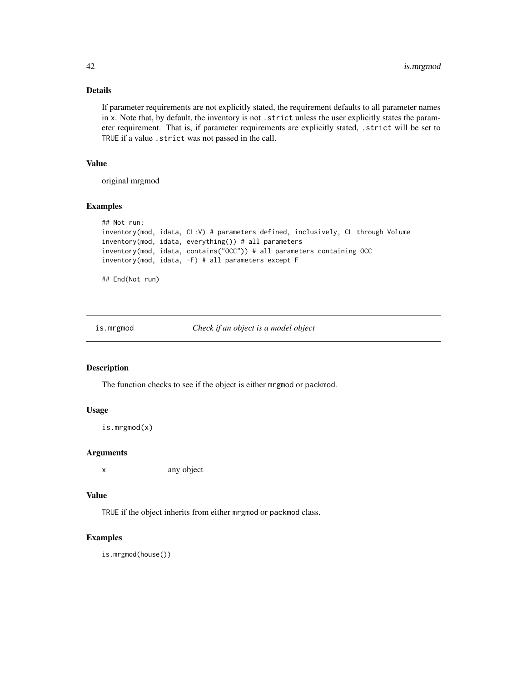# Details

If parameter requirements are not explicitly stated, the requirement defaults to all parameter names in x. Note that, by default, the inventory is not . strict unless the user explicitly states the parameter requirement. That is, if parameter requirements are explicitly stated, .strict will be set to TRUE if a value .strict was not passed in the call.

#### Value

original mrgmod

#### Examples

```
## Not run:
inventory(mod, idata, CL:V) # parameters defined, inclusively, CL through Volume
inventory(mod, idata, everything()) # all parameters
inventory(mod, idata, contains("OCC")) # all parameters containing OCC
inventory(mod, idata, -F) # all parameters except F
```
## End(Not run)

is.mrgmod *Check if an object is a model object*

## Description

The function checks to see if the object is either mrgmod or packmod.

## Usage

```
is.mrgmod(x)
```
#### Arguments

x any object

#### Value

TRUE if the object inherits from either mrgmod or packmod class.

#### Examples

is.mrgmod(house())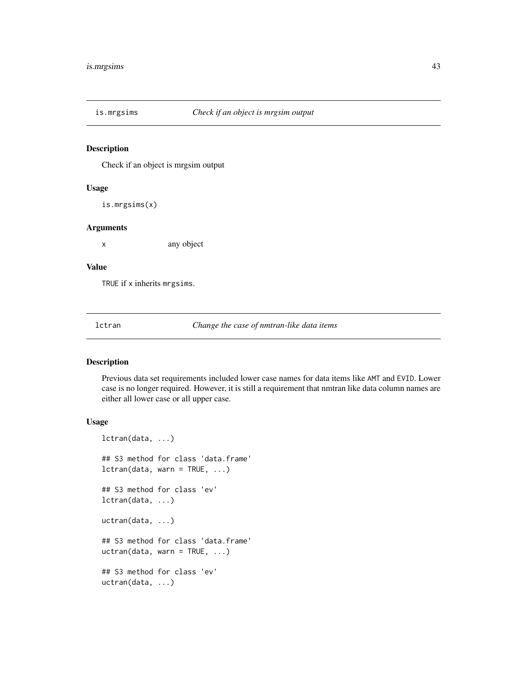Check if an object is mrgsim output

#### Usage

is.mrgsims(x)

#### Arguments

x any object

#### Value

TRUE if x inherits mrgsims.

lctran *Change the case of nmtran-like data items*

## <span id="page-42-0"></span>Description

Previous data set requirements included lower case names for data items like AMT and EVID. Lower case is no longer required. However, it is still a requirement that nmtran like data column names are either all lower case or all upper case.

#### Usage

```
lctran(data, ...)
## S3 method for class 'data.frame'
lctran(data, warn = TRUE, ...)## S3 method for class 'ev'
lctran(data, ...)
uctran(data, ...)
## S3 method for class 'data.frame'
uctran(data, warn = TRUE, ...)## S3 method for class 'ev'
uctran(data, ...)
```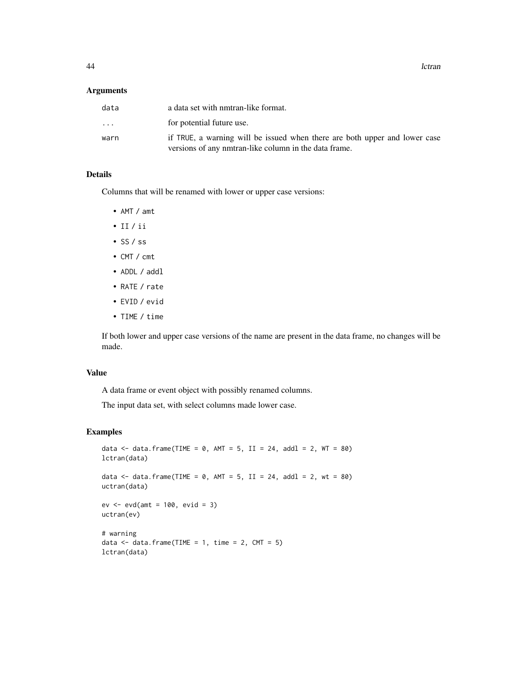44 contract to the contract of the contract of the contract of the contract of the contract of the contract of the contract of the contract of the contract of the contract of the contract of the contract of the contract of

#### Arguments

| data                    | a data set with nmtran-like format.                                                                                                 |
|-------------------------|-------------------------------------------------------------------------------------------------------------------------------------|
| $\cdot$ $\cdot$ $\cdot$ | for potential future use.                                                                                                           |
| warn                    | if TRUE, a warning will be issued when there are both upper and lower case<br>versions of any nmtran-like column in the data frame. |

## Details

Columns that will be renamed with lower or upper case versions:

- AMT / amt
- II / ii
- SS / ss
- CMT / cmt
- ADDL / addl
- RATE / rate
- EVID / evid
- TIME / time

If both lower and upper case versions of the name are present in the data frame, no changes will be made.

#### Value

A data frame or event object with possibly renamed columns.

The input data set, with select columns made lower case.

## Examples

```
data \le data.frame(TIME = 0, AMT = 5, II = 24, addl = 2, WT = 80)
lctran(data)
data \le data.frame(TIME = 0, AMT = 5, II = 24, addl = 2, wt = 80)
uctran(data)
ev <- evd(amt = 100, evid = 3)
uctran(ev)
# warning
data \leq data.frame(TIME = 1, time = 2, CMT = 5)
lctran(data)
```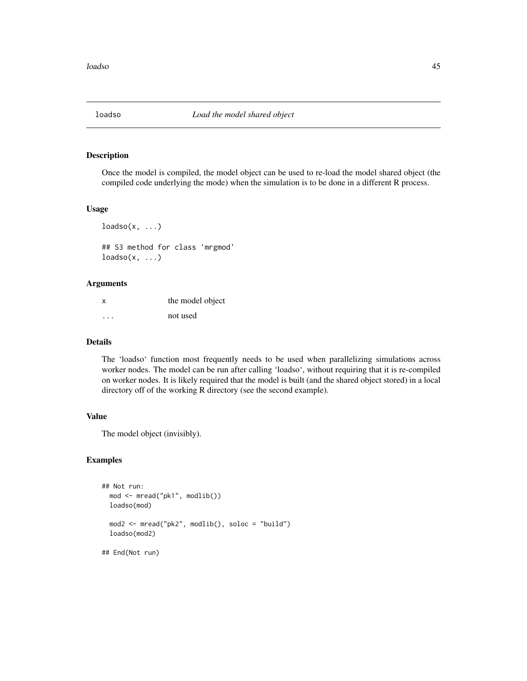Once the model is compiled, the model object can be used to re-load the model shared object (the compiled code underlying the mode) when the simulation is to be done in a different R process.

## Usage

 $loadso(x, ...)$ ## S3 method for class 'mrgmod'  $loadso(x, ...)$ 

#### Arguments

| X        | the model object |  |  |
|----------|------------------|--|--|
| $\cdots$ | not used         |  |  |

#### Details

The 'loadso' function most frequently needs to be used when parallelizing simulations across worker nodes. The model can be run after calling 'loadso', without requiring that it is re-compiled on worker nodes. It is likely required that the model is built (and the shared object stored) in a local directory off of the working R directory (see the second example).

# Value

The model object (invisibly).

## Examples

```
## Not run:
 mod <- mread("pk1", modlib())
 loadso(mod)
 mod2 <- mread("pk2", modlib(), soloc = "build")
 loadso(mod2)
## End(Not run)
```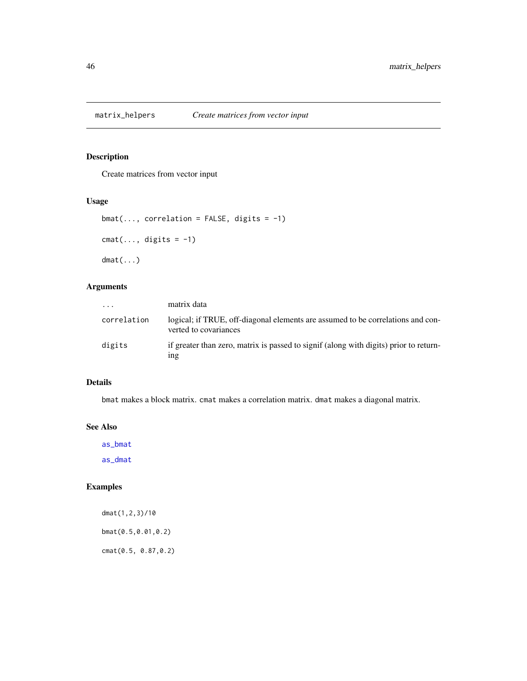Create matrices from vector input

#### Usage

```
bmat(..., correlation = FALSE, digits = -1)cmat(..., digits = -1)
dmat(...)
```
## Arguments

| $\cdots$    | matrix data                                                                                              |
|-------------|----------------------------------------------------------------------------------------------------------|
| correlation | logical; if TRUE, off-diagonal elements are assumed to be correlations and con-<br>verted to covariances |
| digits      | if greater than zero, matrix is passed to signif (along with digits) prior to return-<br>1ng             |

#### Details

bmat makes a block matrix. cmat makes a correlation matrix. dmat makes a diagonal matrix.

#### See Also

[as\\_bmat](#page-7-0)

[as\\_dmat](#page-7-1)

# Examples

dmat(1,2,3)/10 bmat(0.5,0.01,0.2) cmat(0.5, 0.87,0.2)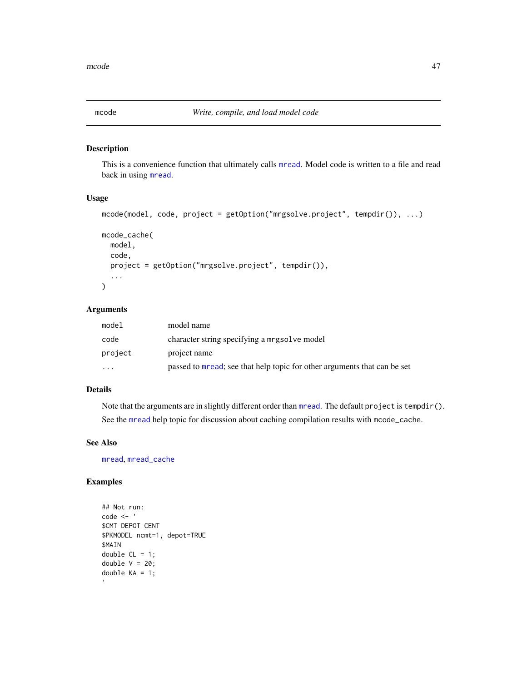<span id="page-46-1"></span><span id="page-46-0"></span>

This is a convenience function that ultimately calls [mread](#page-53-0). Model code is written to a file and read back in using [mread](#page-53-0).

## Usage

```
mcode(model, code, project = getOption("mrgsolve.project", tempdir()), ...)
mcode_cache(
 model,
 code,
 project = getOption("mrgsolve.project", tempdir()),
  ...
\mathcal{E}
```
# Arguments

| model     | model name                                                               |
|-----------|--------------------------------------------------------------------------|
| code      | character string specifying a mrgsolve model                             |
| project   | project name                                                             |
| $\ddotsc$ | passed to mread; see that help topic for other arguments that can be set |

# Details

Note that the arguments are in slightly different order than [mread](#page-53-0). The default project is tempdir(). See the [mread](#page-53-0) help topic for discussion about caching compilation results with mcode\_cache.

#### See Also

[mread](#page-53-0), [mread\\_cache](#page-53-1)

## Examples

```
## Not run:
code <- '
$CMT DEPOT CENT
$PKMODEL ncmt=1, depot=TRUE
$MAIN
double CL = 1;
double V = 20;
double KA = 1;
```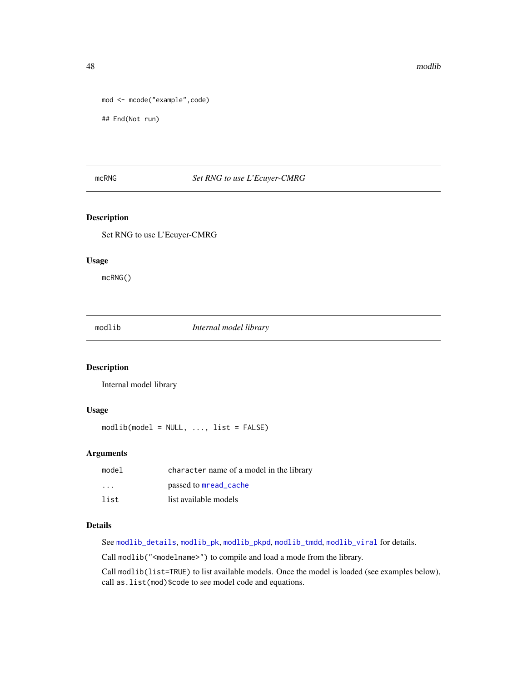```
mod <- mcode("example",code)
```
## End(Not run)

## mcRNG *Set RNG to use L'Ecuyer-CMRG*

## Description

Set RNG to use L'Ecuyer-CMRG

#### Usage

mcRNG()

<span id="page-47-0"></span>modlib *Internal model library*

## Description

Internal model library

#### Usage

 $modlib(model = NULL, ..., list = FALSE)$ 

## Arguments

| model                   | character name of a model in the library |
|-------------------------|------------------------------------------|
| $\cdot$ $\cdot$ $\cdot$ | passed to mread_cache                    |
| list                    | list available models                    |

# Details

See [modlib\\_details](#page-48-0), [modlib\\_pk](#page-49-0), [modlib\\_pkpd](#page-50-0), [modlib\\_tmdd](#page-51-0), [modlib\\_viral](#page-52-0) for details.

Call modlib("<modelname>") to compile and load a mode from the library.

Call modlib(list=TRUE) to list available models. Once the model is loaded (see examples below), call as.list(mod)\$code to see model code and equations.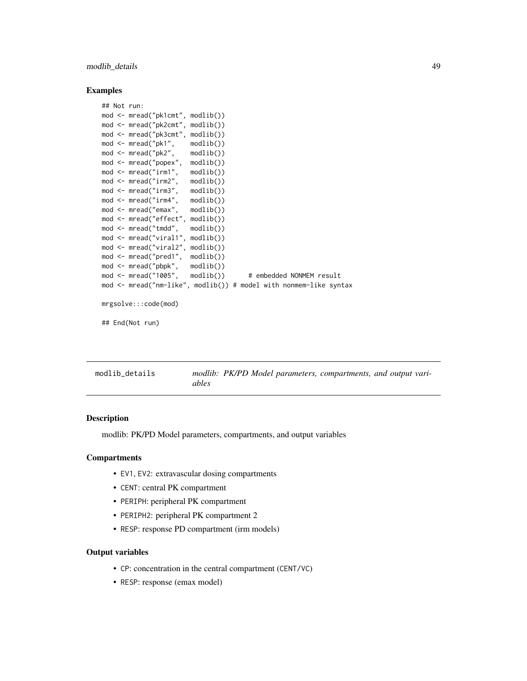## modlib\_details 49

#### Examples

```
## Not run:
mod <- mread("pk1cmt", modlib())
mod <- mread("pk2cmt", modlib())
mod <- mread("pk3cmt", modlib())
mod <- mread("pk1", modlib())
mod <- mread("pk2", modlib())
mod <- mread("popex", modlib())
mod <- mread("irm1", modlib())
mod <- mread("irm2", modlib())
mod <- mread("irm3", modlib())
mod <- mread("irm4", modlib())
mod <- mread("emax", modlib())
mod <- mread("effect", modlib())
mod <- mread("tmdd", modlib())
mod <- mread("viral1", modlib())
mod <- mread("viral2", modlib())
mod <- mread("pred1", modlib())
mod <- mread("pbpk", modlib())
mod <- mread("1005", modlib()) # embedded NONMEM result
mod <- mread("nm-like", modlib()) # model with nonmem-like syntax
mrgsolve:::code(mod)
## End(Not run)
```
<span id="page-48-0"></span>

| modlib details |       |  | modlib: PK/PD Model parameters, compartments, and output vari- |  |  |
|----------------|-------|--|----------------------------------------------------------------|--|--|
|                | ables |  |                                                                |  |  |

#### Description

modlib: PK/PD Model parameters, compartments, and output variables

#### **Compartments**

- EV1, EV2: extravascular dosing compartments
- CENT: central PK compartment
- PERIPH: peripheral PK compartment
- PERIPH2: peripheral PK compartment 2
- RESP: response PD compartment (irm models)

## Output variables

- CP: concentration in the central compartment (CENT/VC)
- RESP: response (emax model)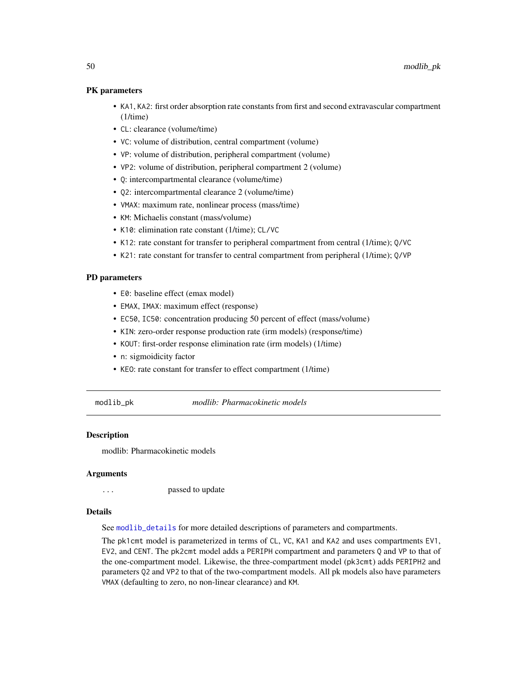#### PK parameters

- KA1, KA2: first order absorption rate constants from first and second extravascular compartment (1/time)
- CL: clearance (volume/time)
- VC: volume of distribution, central compartment (volume)
- VP: volume of distribution, peripheral compartment (volume)
- VP2: volume of distribution, peripheral compartment 2 (volume)
- Q: intercompartmental clearance (volume/time)
- Q2: intercompartmental clearance 2 (volume/time)
- VMAX: maximum rate, nonlinear process (mass/time)
- KM: Michaelis constant (mass/volume)
- K10: elimination rate constant (1/time); CL/VC
- K12: rate constant for transfer to peripheral compartment from central (1/time); Q/VC
- K21: rate constant for transfer to central compartment from peripheral (1/time); Q/VP

#### PD parameters

- E0: baseline effect (emax model)
- EMAX, IMAX: maximum effect (response)
- EC50, IC50: concentration producing 50 percent of effect (mass/volume)
- KIN: zero-order response production rate (irm models) (response/time)
- KOUT: first-order response elimination rate (irm models) (1/time)
- n: sigmoidicity factor
- KEO: rate constant for transfer to effect compartment (1/time)

<span id="page-49-0"></span>modlib\_pk *modlib: Pharmacokinetic models*

#### Description

modlib: Pharmacokinetic models

#### Arguments

... **passed to update** 

#### Details

See [modlib\\_details](#page-48-0) for more detailed descriptions of parameters and compartments.

The pk1cmt model is parameterized in terms of CL, VC, KA1 and KA2 and uses compartments EV1, EV2, and CENT. The pk2cmt model adds a PERIPH compartment and parameters Q and VP to that of the one-compartment model. Likewise, the three-compartment model (pk3cmt) adds PERIPH2 and parameters Q2 and VP2 to that of the two-compartment models. All pk models also have parameters VMAX (defaulting to zero, no non-linear clearance) and KM.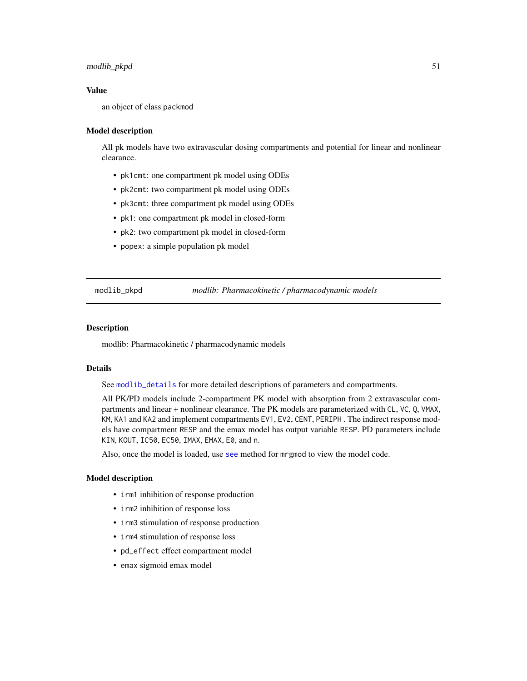## modlib\_pkpd 51

## Value

an object of class packmod

#### Model description

All pk models have two extravascular dosing compartments and potential for linear and nonlinear clearance.

- pk1cmt: one compartment pk model using ODEs
- pk2cmt: two compartment pk model using ODEs
- pk3cmt: three compartment pk model using ODEs
- pk1: one compartment pk model in closed-form
- pk2: two compartment pk model in closed-form
- popex: a simple population pk model

<span id="page-50-0"></span>modlib\_pkpd *modlib: Pharmacokinetic / pharmacodynamic models*

#### Description

modlib: Pharmacokinetic / pharmacodynamic models

## Details

See [modlib\\_details](#page-48-0) for more detailed descriptions of parameters and compartments.

All PK/PD models include 2-compartment PK model with absorption from 2 extravascular compartments and linear + nonlinear clearance. The PK models are parameterized with CL, VC, Q, VMAX, KM, KA1 and KA2 and implement compartments EV1, EV2, CENT, PERIPH . The indirect response models have compartment RESP and the emax model has output variable RESP. PD parameters include KIN, KOUT, IC50, EC50, IMAX, EMAX, E0, and n.

Also, once the model is loaded, use [see](#page-88-0) method for mrgmod to view the model code.

#### Model description

- irm1 inhibition of response production
- irm2 inhibition of response loss
- irm3 stimulation of response production
- irm4 stimulation of response loss
- pd\_effect effect compartment model
- emax sigmoid emax model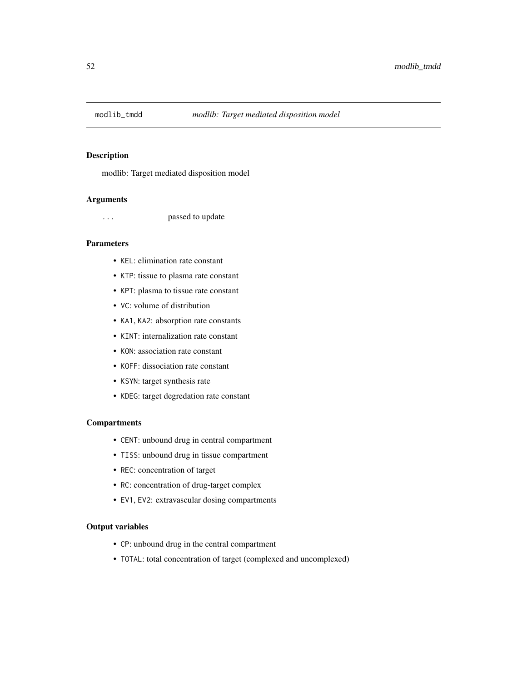<span id="page-51-0"></span>

modlib: Target mediated disposition model

#### Arguments

... passed to update

## Parameters

- KEL: elimination rate constant
- KTP: tissue to plasma rate constant
- KPT: plasma to tissue rate constant
- VC: volume of distribution
- KA1, KA2: absorption rate constants
- KINT: internalization rate constant
- KON: association rate constant
- KOFF: dissociation rate constant
- KSYN: target synthesis rate
- KDEG: target degredation rate constant

## **Compartments**

- CENT: unbound drug in central compartment
- TISS: unbound drug in tissue compartment
- REC: concentration of target
- RC: concentration of drug-target complex
- EV1, EV2: extravascular dosing compartments

## Output variables

- CP: unbound drug in the central compartment
- TOTAL: total concentration of target (complexed and uncomplexed)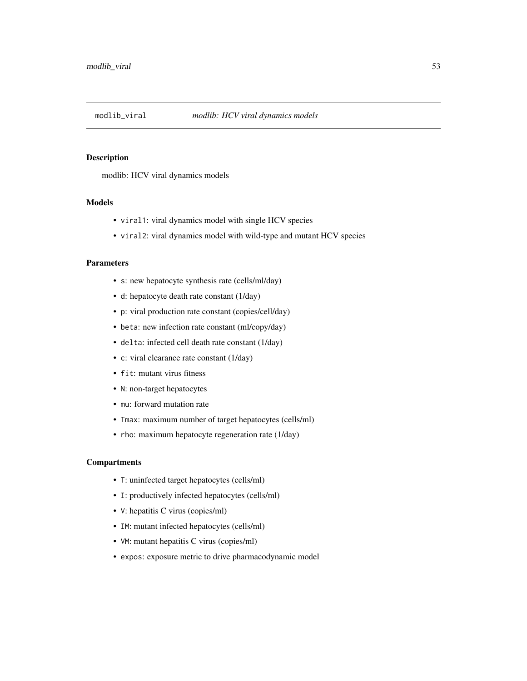<span id="page-52-0"></span>

modlib: HCV viral dynamics models

# Models

- viral1: viral dynamics model with single HCV species
- viral2: viral dynamics model with wild-type and mutant HCV species

#### Parameters

- s: new hepatocyte synthesis rate (cells/ml/day)
- d: hepatocyte death rate constant (1/day)
- p: viral production rate constant (copies/cell/day)
- beta: new infection rate constant (ml/copy/day)
- delta: infected cell death rate constant (1/day)
- c: viral clearance rate constant (1/day)
- fit: mutant virus fitness
- N: non-target hepatocytes
- mu: forward mutation rate
- Tmax: maximum number of target hepatocytes (cells/ml)
- rho: maximum hepatocyte regeneration rate (1/day)

## **Compartments**

- T: uninfected target hepatocytes (cells/ml)
- I: productively infected hepatocytes (cells/ml)
- V: hepatitis C virus (copies/ml)
- IM: mutant infected hepatocytes (cells/ml)
- VM: mutant hepatitis C virus (copies/ml)
- expos: exposure metric to drive pharmacodynamic model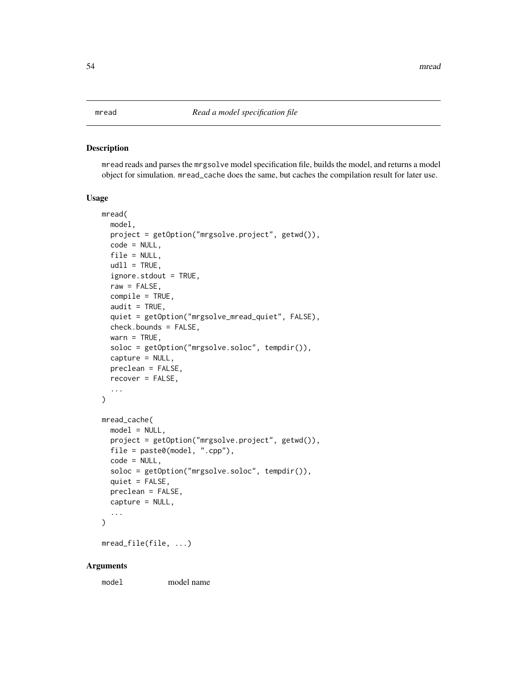<span id="page-53-1"></span><span id="page-53-0"></span>mread reads and parses the mrgsolve model specification file, builds the model, and returns a model object for simulation. mread\_cache does the same, but caches the compilation result for later use.

## Usage

```
mread(
 model,
 project = getOption("mrgsolve.project", getwd()),
  code = NULL,
  file = NULL,
  udl1 = TRUE,ignore.stdout = TRUE,
  raw = FALSE,compile = TRUE,
  audit = TRUE,quiet = getOption("mrgsolve_mread_quiet", FALSE),
  check.bounds = FALSE,
  warn = TRUE,soloc = getOption("mrgsolve.soloc", tempdir()),
  capture = NULL,
  preclean = FALSE,
  recover = FALSE,
  ...
)
mread_cache(
  model = NULL,project = getOption("mrgsolve.project", getwd()),
  file = paste0(model, "cpp"),code = NULL,
  soloc = getOption("mrgsolve.soloc", tempdir()),
  quiet = FALSE,
 preclean = FALSE,
  capture = NULL,
  ...
\lambda
```
mread\_file(file, ...)

#### Arguments

model model name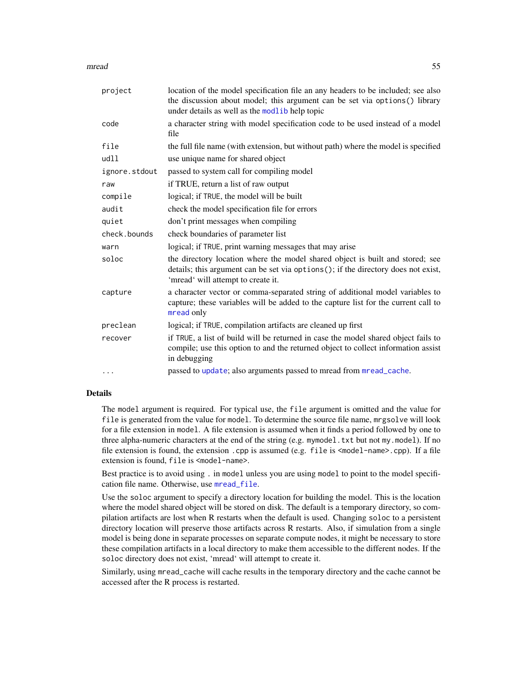| project       | location of the model specification file an any headers to be included; see also<br>the discussion about model; this argument can be set via options() library<br>under details as well as the modlib help topic |  |
|---------------|------------------------------------------------------------------------------------------------------------------------------------------------------------------------------------------------------------------|--|
| code          | a character string with model specification code to be used instead of a model<br>file                                                                                                                           |  |
| file          | the full file name (with extension, but without path) where the model is specified                                                                                                                               |  |
| udll          | use unique name for shared object                                                                                                                                                                                |  |
| ignore.stdout | passed to system call for compiling model                                                                                                                                                                        |  |
| raw           | if TRUE, return a list of raw output                                                                                                                                                                             |  |
| compile       | logical; if TRUE, the model will be built                                                                                                                                                                        |  |
| audit         | check the model specification file for errors                                                                                                                                                                    |  |
| quiet         | don't print messages when compiling                                                                                                                                                                              |  |
| check.bounds  | check boundaries of parameter list                                                                                                                                                                               |  |
| warn          | logical; if TRUE, print warning messages that may arise                                                                                                                                                          |  |
| soloc         | the directory location where the model shared object is built and stored; see<br>details; this argument can be set via options(); if the directory does not exist,<br>'mread' will attempt to create it.         |  |
| capture       | a character vector or comma-separated string of additional model variables to<br>capture; these variables will be added to the capture list for the current call to<br>mread only                                |  |
| preclean      | logical; if TRUE, compilation artifacts are cleaned up first                                                                                                                                                     |  |
| recover       | if TRUE, a list of build will be returned in case the model shared object fails to<br>compile; use this option to and the returned object to collect information assist<br>in debugging                          |  |
| $\cdots$      | passed to update; also arguments passed to mread from mread_cache.                                                                                                                                               |  |

## Details

The model argument is required. For typical use, the file argument is omitted and the value for file is generated from the value for model. To determine the source file name, mrgsolve will look for a file extension in model. A file extension is assumed when it finds a period followed by one to three alpha-numeric characters at the end of the string (e.g. mymodel.txt but not my.model). If no file extension is found, the extension .cpp is assumed (e.g. file is  $\leq$  =  $\leq$   $\leq$   $\leq$   $\leq$   $\leq$   $\leq$   $\leq$   $\leq$   $\leq$   $\leq$   $\leq$   $\leq$   $\leq$   $\leq$   $\leq$   $\leq$   $\leq$   $\leq$   $\leq$   $\leq$   $\leq$   $\leq$   $\leq$   $\leq$  extension is found, file is <model-name>.

Best practice is to avoid using . in model unless you are using model to point to the model specification file name. Otherwise, use [mread\\_file](#page-53-1).

Use the soloc argument to specify a directory location for building the model. This is the location where the model shared object will be stored on disk. The default is a temporary directory, so compilation artifacts are lost when R restarts when the default is used. Changing soloc to a persistent directory location will preserve those artifacts across R restarts. Also, if simulation from a single model is being done in separate processes on separate compute nodes, it might be necessary to store these compilation artifacts in a local directory to make them accessible to the different nodes. If the soloc directory does not exist, 'mread' will attempt to create it.

Similarly, using mread\_cache will cache results in the temporary directory and the cache cannot be accessed after the R process is restarted.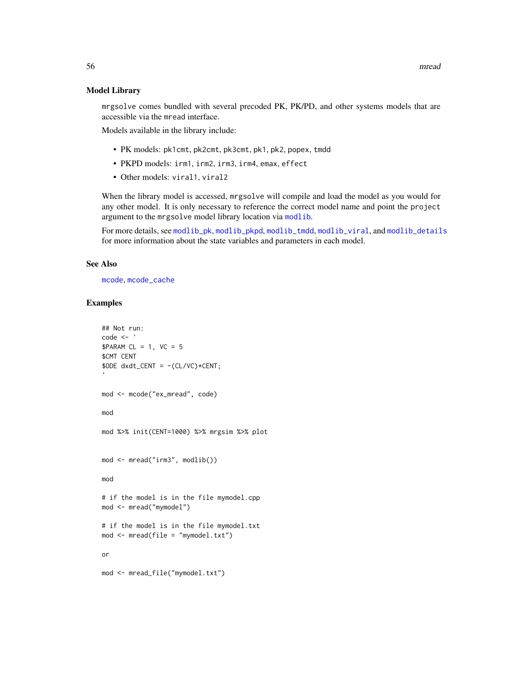#### Model Library

mrgsolve comes bundled with several precoded PK, PK/PD, and other systems models that are accessible via the mread interface.

Models available in the library include:

- PK models: pk1cmt, pk2cmt, pk3cmt, pk1, pk2, popex, tmdd
- PKPD models: irm1, irm2, irm3, irm4, emax, effect
- Other models: viral1, viral2

When the library model is accessed, mrgsolve will compile and load the model as you would for any other model. It is only necessary to reference the correct model name and point the project argument to the mrgsolve model library location via [modlib](#page-47-0).

For more details, see [modlib\\_pk](#page-49-0), [modlib\\_pkpd](#page-50-0), [modlib\\_tmdd](#page-51-0), [modlib\\_viral](#page-52-0), and [modlib\\_details](#page-48-0) for more information about the state variables and parameters in each model.

## See Also

[mcode](#page-46-0), [mcode\\_cache](#page-46-1)

# Examples

```
## Not run:
code <- '
$PARM CL = 1, VC = 5$CMT CENT
$ODE dxdt_CENT = -(CL/VC)*CENT;
mod <- mcode("ex_mread", code)
mod
mod %>% init(CENT=1000) %>% mrgsim %>% plot
mod <- mread("irm3", modlib())
mod
# if the model is in the file mymodel.cpp
mod <- mread("mymodel")
# if the model is in the file mymodel.txt
mod <- mread(file = "mymodel.txt")
or
mod <- mread_file("mymodel.txt")
```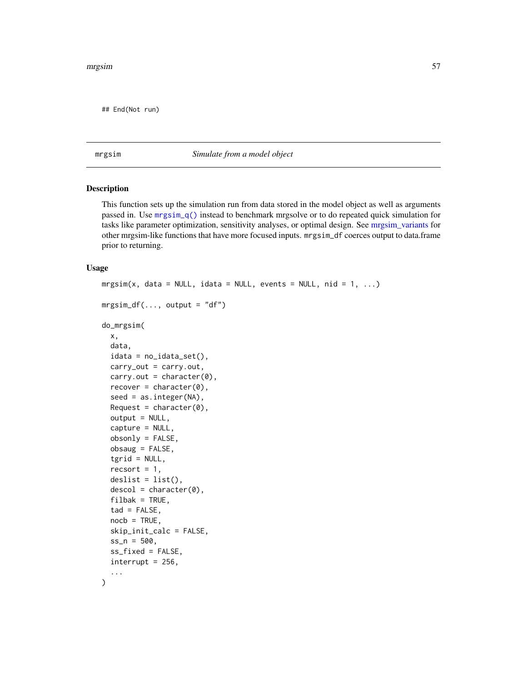## End(Not run)

<span id="page-56-1"></span>

mrgsim *Simulate from a model object*

#### <span id="page-56-0"></span>Description

This function sets up the simulation run from data stored in the model object as well as arguments passed in. Use [mrgsim\\_q\(\)](#page-62-0) instead to benchmark mrgsolve or to do repeated quick simulation for tasks like parameter optimization, sensitivity analyses, or optimal design. See [mrgsim\\_variants](#page-64-0) for other mrgsim-like functions that have more focused inputs. mrgsim\_df coerces output to data.frame prior to returning.

#### Usage

```
mrsim(x, data = NULL, idata = NULL, events = NULL, nid = 1, ...)mrsim_dff(\ldots, output = "df")do_mrgsim(
  x,
  data,
  idata = no_idata_set(),carry_out = carry.out,
  carry.out = character(0),
  recover = character(0),
  seed = as.integer(NA),
  Request = character(0),
  output = NULL,capture = NULL,
  obsonly = FALSE,
  obsaug = FALSE,
  tgrid = NULL,
  recsort = 1,
  deslist = list(),descol = character(0),
  filbak = TRUE,tad = FALSE,noch = TRUE,skip_init_calc = FALSE,
  ss_{n} = 500,
  ss_fixed = FALSE,
  \text{interrupt} = 256,
  ...
)
```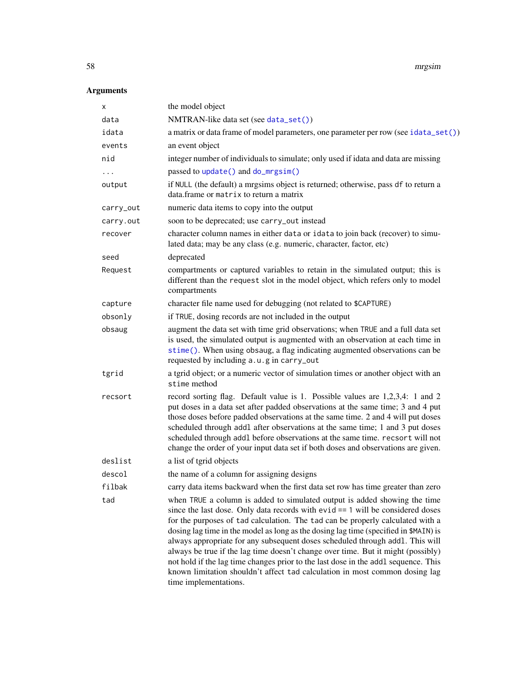58 mrgsim

# Arguments

| х         | the model object                                                                                                                                                                                                                                                                                                                                                                                                                                                                                                                                                                                                                                                                                           |  |  |
|-----------|------------------------------------------------------------------------------------------------------------------------------------------------------------------------------------------------------------------------------------------------------------------------------------------------------------------------------------------------------------------------------------------------------------------------------------------------------------------------------------------------------------------------------------------------------------------------------------------------------------------------------------------------------------------------------------------------------------|--|--|
| data      | NMTRAN-like data set (see data_set())                                                                                                                                                                                                                                                                                                                                                                                                                                                                                                                                                                                                                                                                      |  |  |
| idata     | a matrix or data frame of model parameters, one parameter per row (see idata_set())                                                                                                                                                                                                                                                                                                                                                                                                                                                                                                                                                                                                                        |  |  |
| events    | an event object                                                                                                                                                                                                                                                                                                                                                                                                                                                                                                                                                                                                                                                                                            |  |  |
| nid       | integer number of individuals to simulate; only used if idata and data are missing                                                                                                                                                                                                                                                                                                                                                                                                                                                                                                                                                                                                                         |  |  |
| $\cdots$  | passed to update() and do_mrgsim()                                                                                                                                                                                                                                                                                                                                                                                                                                                                                                                                                                                                                                                                         |  |  |
| output    | if NULL (the default) a mrgsims object is returned; otherwise, pass df to return a<br>data. frame or matrix to return a matrix                                                                                                                                                                                                                                                                                                                                                                                                                                                                                                                                                                             |  |  |
| carry_out | numeric data items to copy into the output                                                                                                                                                                                                                                                                                                                                                                                                                                                                                                                                                                                                                                                                 |  |  |
| carry.out | soon to be deprecated; use carry_out instead                                                                                                                                                                                                                                                                                                                                                                                                                                                                                                                                                                                                                                                               |  |  |
| recover   | character column names in either data or idata to join back (recover) to simu-<br>lated data; may be any class (e.g. numeric, character, factor, etc)                                                                                                                                                                                                                                                                                                                                                                                                                                                                                                                                                      |  |  |
| seed      | deprecated                                                                                                                                                                                                                                                                                                                                                                                                                                                                                                                                                                                                                                                                                                 |  |  |
| Request   | compartments or captured variables to retain in the simulated output; this is<br>different than the request slot in the model object, which refers only to model<br>compartments                                                                                                                                                                                                                                                                                                                                                                                                                                                                                                                           |  |  |
| capture   | character file name used for debugging (not related to \$CAPTURE)                                                                                                                                                                                                                                                                                                                                                                                                                                                                                                                                                                                                                                          |  |  |
| obsonly   | if TRUE, dosing records are not included in the output                                                                                                                                                                                                                                                                                                                                                                                                                                                                                                                                                                                                                                                     |  |  |
| obsaug    | augment the data set with time grid observations; when TRUE and a full data set<br>is used, the simulated output is augmented with an observation at each time in<br>stime(). When using obsaug, a flag indicating augmented observations can be<br>requested by including a.u.g in carry_out                                                                                                                                                                                                                                                                                                                                                                                                              |  |  |
| tgrid     | a tgrid object; or a numeric vector of simulation times or another object with an<br>stime method                                                                                                                                                                                                                                                                                                                                                                                                                                                                                                                                                                                                          |  |  |
| recsort   | record sorting flag. Default value is 1. Possible values are 1,2,3,4: 1 and 2<br>put doses in a data set after padded observations at the same time; 3 and 4 put<br>those doses before padded observations at the same time. 2 and 4 will put doses<br>scheduled through addl after observations at the same time; 1 and 3 put doses<br>scheduled through addl before observations at the same time. recsort will not<br>change the order of your input data set if both doses and observations are given.                                                                                                                                                                                                 |  |  |
| deslist   | a list of tgrid objects                                                                                                                                                                                                                                                                                                                                                                                                                                                                                                                                                                                                                                                                                    |  |  |
| descol    | the name of a column for assigning designs                                                                                                                                                                                                                                                                                                                                                                                                                                                                                                                                                                                                                                                                 |  |  |
| filbak    | carry data items backward when the first data set row has time greater than zero                                                                                                                                                                                                                                                                                                                                                                                                                                                                                                                                                                                                                           |  |  |
| tad       | when TRUE a column is added to simulated output is added showing the time<br>since the last dose. Only data records with $evid == 1$ will be considered doses<br>for the purposes of tad calculation. The tad can be properly calculated with a<br>dosing lag time in the model as long as the dosing lag time (specified in \$MAIN) is<br>always appropriate for any subsequent doses scheduled through addl. This will<br>always be true if the lag time doesn't change over time. But it might (possibly)<br>not hold if the lag time changes prior to the last dose in the addl sequence. This<br>known limitation shouldn't affect tad calculation in most common dosing lag<br>time implementations. |  |  |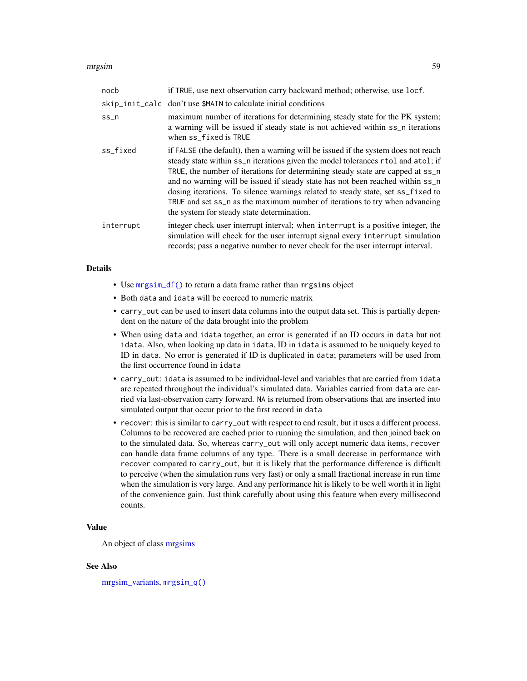#### mrgsim 59

| nocb      | if TRUE, use next observation carry backward method; otherwise, use locf.                                                                                                                                                                                                                                                                                                                                                                                                                                                                                  |  |  |
|-----------|------------------------------------------------------------------------------------------------------------------------------------------------------------------------------------------------------------------------------------------------------------------------------------------------------------------------------------------------------------------------------------------------------------------------------------------------------------------------------------------------------------------------------------------------------------|--|--|
|           | skip_init_calc don't use \$MAIN to calculate initial conditions                                                                                                                                                                                                                                                                                                                                                                                                                                                                                            |  |  |
| $ss_n$    | maximum number of iterations for determining steady state for the PK system;<br>a warning will be issued if steady state is not achieved within ss_n iterations<br>when ss_fixed is TRUE                                                                                                                                                                                                                                                                                                                                                                   |  |  |
| ss_fixed  | if FALSE (the default), then a warning will be issued if the system does not reach<br>steady state within ss_n iterations given the model tolerances rtol and atol; if<br>TRUE, the number of iterations for determining steady state are capped at ss_n<br>and no warning will be issued if steady state has not been reached within ss_n<br>dosing iterations. To silence warnings related to steady state, set ss_fixed to<br>TRUE and set ss_n as the maximum number of iterations to try when advancing<br>the system for steady state determination. |  |  |
| interrupt | integer check user interrupt interval; when interrupt is a positive integer, the<br>simulation will check for the user interrupt signal every interrupt simulation<br>records; pass a negative number to never check for the user interrupt interval.                                                                                                                                                                                                                                                                                                      |  |  |

## **Details**

- Use [mrgsim\\_df\(\)](#page-56-0) to return a data frame rather than mrgsims object
- Both data and idata will be coerced to numeric matrix
- carry\_out can be used to insert data columns into the output data set. This is partially dependent on the nature of the data brought into the problem
- When using data and idata together, an error is generated if an ID occurs in data but not idata. Also, when looking up data in idata, ID in idata is assumed to be uniquely keyed to ID in data. No error is generated if ID is duplicated in data; parameters will be used from the first occurrence found in idata
- carry\_out: idata is assumed to be individual-level and variables that are carried from idata are repeated throughout the individual's simulated data. Variables carried from data are carried via last-observation carry forward. NA is returned from observations that are inserted into simulated output that occur prior to the first record in data
- recover: this is similar to carry\_out with respect to end result, but it uses a different process. Columns to be recovered are cached prior to running the simulation, and then joined back on to the simulated data. So, whereas carry\_out will only accept numeric data items, recover can handle data frame columns of any type. There is a small decrease in performance with recover compared to carry\_out, but it is likely that the performance difference is difficult to perceive (when the simulation runs very fast) or only a small fractional increase in run time when the simulation is very large. And any performance hit is likely to be well worth it in light of the convenience gain. Just think carefully about using this feature when every millisecond counts.

# Value

An object of class [mrgsims](#page-0-0)

#### See Also

[mrgsim\\_variants,](#page-64-0) [mrgsim\\_q\(\)](#page-62-0)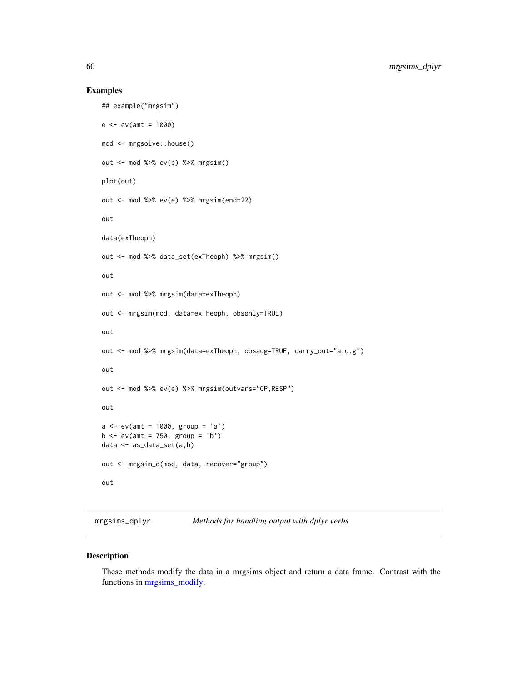#### Examples

```
## example("mrgsim")
e < -ev( amt = 1000)
mod <- mrgsolve::house()
out <- mod %>% ev(e) %>% mrgsim()
plot(out)
out <- mod %>% ev(e) %>% mrgsim(end=22)
out
data(exTheoph)
out <- mod %>% data_set(exTheoph) %>% mrgsim()
out
out <- mod %>% mrgsim(data=exTheoph)
out <- mrgsim(mod, data=exTheoph, obsonly=TRUE)
out
out <- mod %>% mrgsim(data=exTheoph, obsaug=TRUE, carry_out="a.u.g")
out
out <- mod %>% ev(e) %>% mrgsim(outvars="CP,RESP")
out
a \le -ev(\text{amt} = 1000, \text{ group} = 'a')b \le -e^{u} (amt = 750, group = 'b')
data <- as_data_set(a,b)
out <- mrgsim_d(mod, data, recover="group")
out
```
<span id="page-59-0"></span>mrgsims\_dplyr *Methods for handling output with dplyr verbs*

## Description

These methods modify the data in a mrgsims object and return a data frame. Contrast with the functions in [mrgsims\\_modify.](#page-61-0)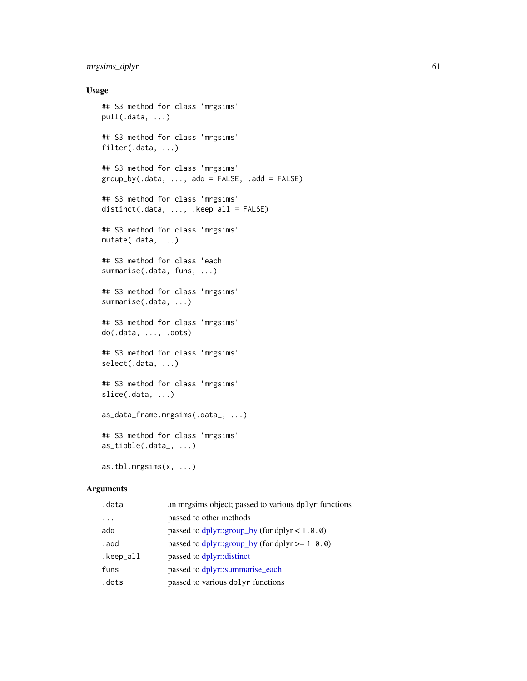## mrgsims\_dplyr 61

## Usage

```
## S3 method for class 'mrgsims'
pull(.data, ...)
## S3 method for class 'mrgsims'
filter(.data, ...)
## S3 method for class 'mrgsims'
group_by(.data, ..., add = FALSE, .add = FALSE)## S3 method for class 'mrgsims'
distinct(.data, ..., .keep_all = FALSE)
## S3 method for class 'mrgsims'
mutate(.data, ...)
## S3 method for class 'each'
summarise(.data, funs, ...)
## S3 method for class 'mrgsims'
summarise(.data, ...)
## S3 method for class 'mrgsims'
do(.data, ..., .dots)
## S3 method for class 'mrgsims'
select(.data, ...)
## S3 method for class 'mrgsims'
slice(.data, ...)
as_data_frame.mrgsims(.data_, ...)
## S3 method for class 'mrgsims'
as_tibble(.data_, ...)
as.tbl.mrgsims(x, ...)
```
#### Arguments

| .data     | an mrgsims object; passed to various dplyr functions |
|-----------|------------------------------------------------------|
| $\cdots$  | passed to other methods                              |
| add       | passed to $dplyr::group_by$ (for $dplyr < 1.0.0$ )   |
| . add     | passed to $dplyr::group_by$ (for $dplyr >= 1.0.0)$   |
| .keep_all | passed to dplyr::distinct                            |
| funs      | passed to dplyr::summarise_each                      |
| .dots     | passed to various dplyr functions                    |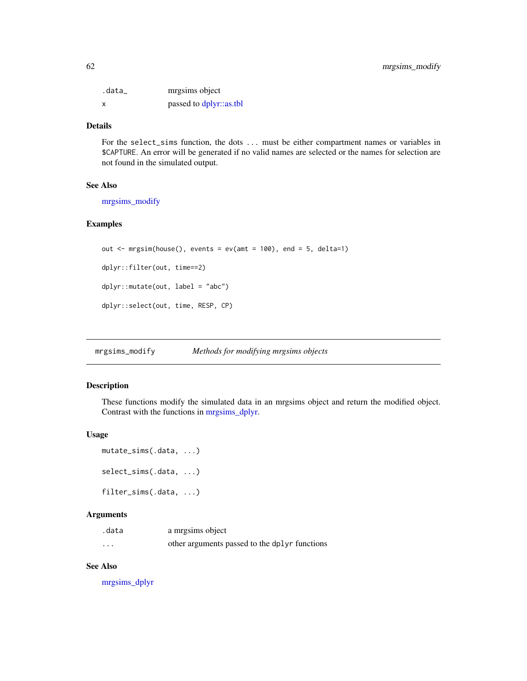| .data_ | mrgsims object          |
|--------|-------------------------|
| x      | passed to dplyr::as.tbl |

## Details

For the select\_sims function, the dots ... must be either compartment names or variables in \$CAPTURE. An error will be generated if no valid names are selected or the names for selection are not found in the simulated output.

## See Also

[mrgsims\\_modify](#page-61-0)

## Examples

```
out \leq mrgsim(house(), events = ev(amt = 100), end = 5, delta=1)
dplyr::filter(out, time==2)
dplyr::mutate(out, label = "abc")
dplyr::select(out, time, RESP, CP)
```
<span id="page-61-0"></span>mrgsims\_modify *Methods for modifying mrgsims objects*

#### Description

These functions modify the simulated data in an mrgsims object and return the modified object. Contrast with the functions in [mrgsims\\_dplyr.](#page-59-0)

## Usage

```
mutate_sims(.data, ...)
select_sims(.data, ...)
filter_sims(.data, ...)
```
#### Arguments

| .data    | a mrgsims object                              |
|----------|-----------------------------------------------|
| $\cdots$ | other arguments passed to the dplyr functions |

## See Also

[mrgsims\\_dplyr](#page-59-0)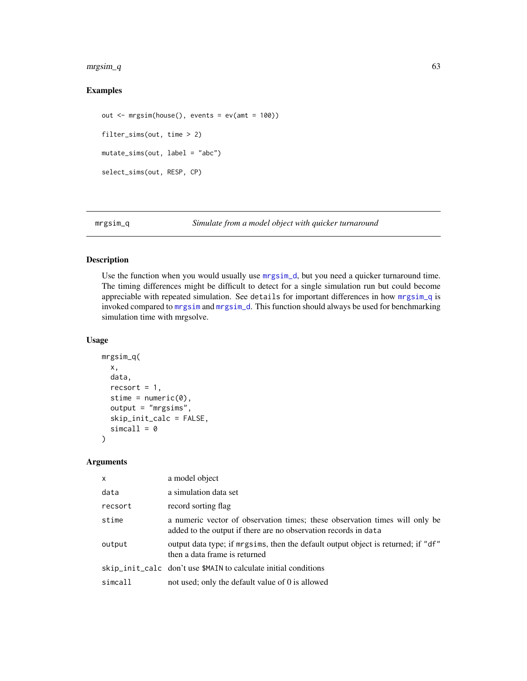#### $\text{mrgsim}_q$  63

# Examples

```
out <- mrgsim(house(), events = ev(amt = 100))
filter_sims(out, time > 2)
mutate_sims(out, label = "abc")
select_sims(out, RESP, CP)
```
## Description

Use the function when you would usually use mrgsim<sub>d</sub>, but you need a quicker turnaround time. The timing differences might be difficult to detect for a single simulation run but could become appreciable with repeated simulation. See details for important differences in how [mrgsim\\_q](#page-62-0) is invoked compared to [mrgsim](#page-56-1) and [mrgsim\\_d](#page-64-1). This function should always be used for benchmarking simulation time with mrgsolve.

## Usage

```
mrgsim_q(
  x,
  data,
  recsort = 1,
  stime = numeric(0),
  output = "mrgsims",
  skip_init_calc = FALSE,
  simcall = 0\mathcal{E}
```
#### Arguments

| $\mathsf{x}$ | a model object                                                                                                                                 |
|--------------|------------------------------------------------------------------------------------------------------------------------------------------------|
| data         | a simulation data set                                                                                                                          |
| recsort      | record sorting flag                                                                                                                            |
| stime        | a numeric vector of observation times; these observation times will only be<br>added to the output if there are no observation records in data |
| output       | output data type; if mrgsims, then the default output object is returned; if "df"<br>then a data frame is returned                             |
|              | skip_init_calc don't use \$MAIN to calculate initial conditions                                                                                |
| simcall      | not used; only the default value of 0 is allowed                                                                                               |

<span id="page-62-0"></span>mrgsim\_q *Simulate from a model object with quicker turnaround*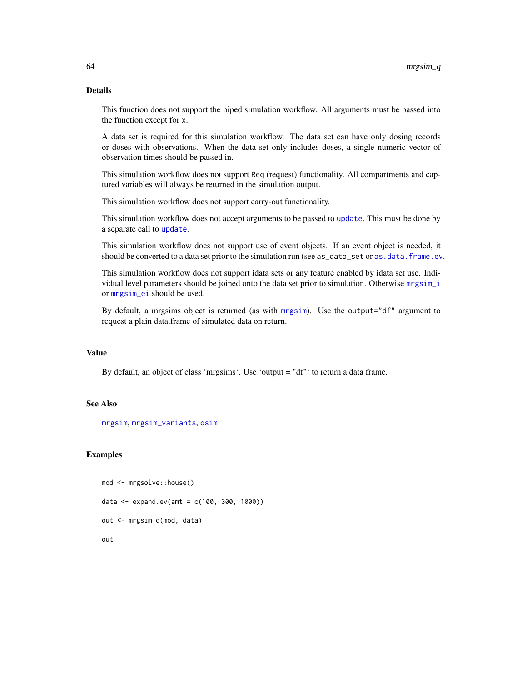## Details

This function does not support the piped simulation workflow. All arguments must be passed into the function except for x.

A data set is required for this simulation workflow. The data set can have only dosing records or doses with observations. When the data set only includes doses, a single numeric vector of observation times should be passed in.

This simulation workflow does not support Req (request) functionality. All compartments and captured variables will always be returned in the simulation output.

This simulation workflow does not support carry-out functionality.

This simulation workflow does not accept arguments to be passed to [update](#page-93-0). This must be done by a separate call to [update](#page-93-0).

This simulation workflow does not support use of event objects. If an event object is needed, it should be converted to a data set prior to the simulation run (see as\_data\_set or [as.data.frame.ev](#page-0-0).

This simulation workflow does not support idata sets or any feature enabled by idata set use. Individual level parameters should be joined onto the data set prior to simulation. Otherwise [mrgsim\\_i](#page-64-1) or [mrgsim\\_ei](#page-64-1) should be used.

By default, a mrgsims object is returned (as with [mrgsim](#page-56-1)). Use the output="df" argument to request a plain data.frame of simulated data on return.

#### Value

By default, an object of class 'mrgsims'. Use 'output = "df"' to return a data frame.

## See Also

[mrgsim](#page-56-1), [mrgsim\\_variants](#page-64-0), [qsim](#page-81-0)

# Examples

```
mod <- mrgsolve::house()
data <- expand.ev(amt = c(100, 300, 1000))
out <- mrgsim_q(mod, data)
out
```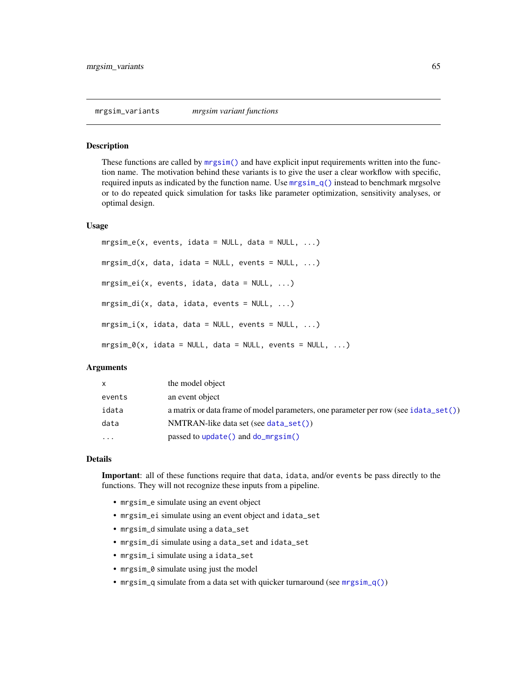<span id="page-64-1"></span><span id="page-64-0"></span>These functions are called by [mrgsim\(\)](#page-56-1) and have explicit input requirements written into the function name. The motivation behind these variants is to give the user a clear workflow with specific, required inputs as indicated by the function name. Use  $mrgsim_q()$  instead to benchmark mrgsolve or to do repeated quick simulation for tasks like parameter optimization, sensitivity analyses, or optimal design.

#### Usage

```
mrsim_e(x, events, idata = NULL, data = NULL, ...)mrsim_d(x, data, idata = NULL, events = NULL, ...)mrgsim_ei(x, events, idata, data = NULL, ...)
mrgsim_di(x, data, idata, events = NULL, ...)
mrsim_i(x, idata, data = NULL, events = NULL, ...)mrsim_0(x, idata = NULL, data = NULL, events = NULL, ...)
```
#### Arguments

| <b>X</b> | the model object                                                                    |
|----------|-------------------------------------------------------------------------------------|
| events   | an event object                                                                     |
| idata    | a matrix or data frame of model parameters, one parameter per row (see idata_set()) |
| data     | $NMTRAN-like$ data set (see data_set())                                             |
| $\cdots$ | passed to $update()$ and $do_mrgsim()$                                              |

## Details

Important: all of these functions require that data, idata, and/or events be pass directly to the functions. They will not recognize these inputs from a pipeline.

- mrgsim\_e simulate using an event object
- mrgsim\_ei simulate using an event object and idata\_set
- mrgsim\_d simulate using a data\_set
- mrgsim\_di simulate using a data\_set and idata\_set
- mrgsim\_i simulate using a idata\_set
- mrgsim\_0 simulate using just the model
- mrgsim\_q simulate from a data set with quicker turnaround (see [mrgsim\\_q\(\)](#page-62-0))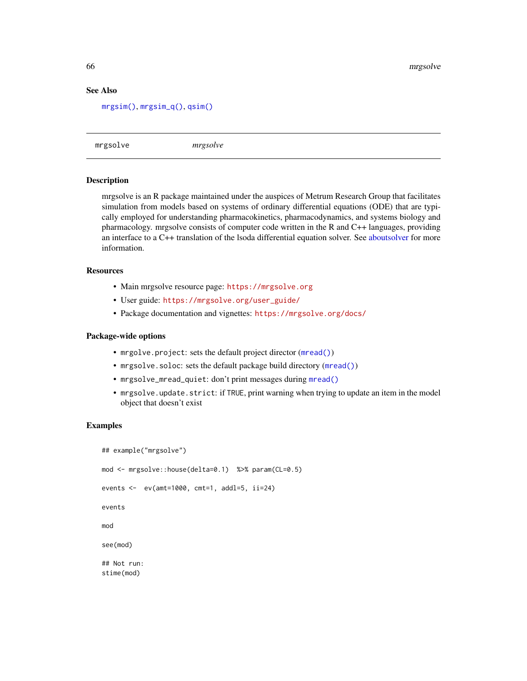## See Also

```
mrgsim(), mrgsim_q(), qsim()
```
mrgsolve *mrgsolve*

#### **Description**

mrgsolve is an R package maintained under the auspices of Metrum Research Group that facilitates simulation from models based on systems of ordinary differential equations (ODE) that are typically employed for understanding pharmacokinetics, pharmacodynamics, and systems biology and pharmacology. mrgsolve consists of computer code written in the R and C++ languages, providing an interface to a C++ translation of the lsoda differential equation solver. See [aboutsolver](#page-3-0) for more information.

## **Resources**

- Main mrgsolve resource page: <https://mrgsolve.org>
- User guide: [https://mrgsolve.org/user\\_guide/](https://mrgsolve.org/user_guide/)
- Package documentation and vignettes: <https://mrgsolve.org/docs/>

## Package-wide options

- mrgolve.project: sets the default project director ([mread\(\)](#page-53-0))
- mrgsolve.soloc: sets the default package build directory ([mread\(\)](#page-53-0))
- mrgsolve\_mread\_quiet: don't print messages during [mread\(\)](#page-53-0)
- mrgsolve.update.strict: if TRUE, print warning when trying to update an item in the model object that doesn't exist

## Examples

stime(mod)

```
## example("mrgsolve")
mod <- mrgsolve::house(delta=0.1) %>% param(CL=0.5)
events <- ev(amt=1000, cmt=1, addl=5, ii=24)
events
mod
see(mod)
## Not run:
```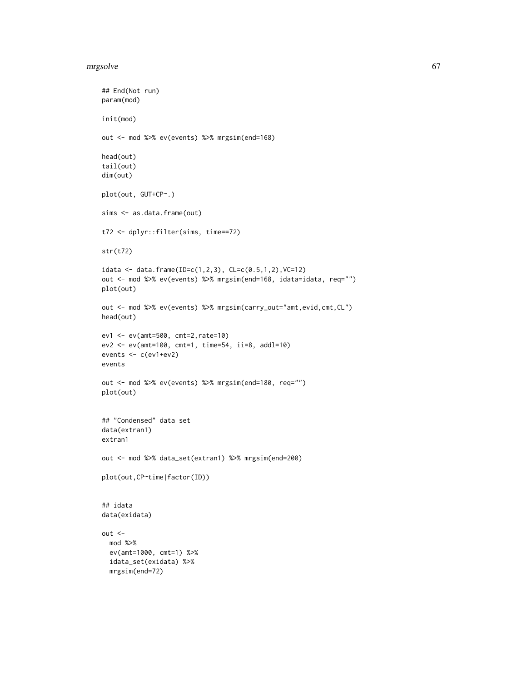#### mrgsolve 67

```
## End(Not run)
param(mod)
init(mod)
out <- mod %>% ev(events) %>% mrgsim(end=168)
head(out)
tail(out)
dim(out)
plot(out, GUT+CP~.)
sims <- as.data.frame(out)
t72 <- dplyr::filter(sims, time==72)
str(t72)
idata <- data.frame(ID=c(1,2,3), CL=c(0.5,1,2), VC=12)
out <- mod %>% ev(events) %>% mrgsim(end=168, idata=idata, req="")
plot(out)
out <- mod %>% ev(events) %>% mrgsim(carry_out="amt,evid,cmt,CL")
head(out)
ev1 <- ev(amt=500, cmt=2,rate=10)
ev2 <- ev(amt=100, cmt=1, time=54, ii=8, addl=10)
events <- c(ev1+ev2)
events
out <- mod %>% ev(events) %>% mrgsim(end=180, req="")
plot(out)
## "Condensed" data set
data(extran1)
extran1
out <- mod %>% data_set(extran1) %>% mrgsim(end=200)
plot(out,CP~time|factor(ID))
## idata
data(exidata)
out <-
  mod %>%
  ev(amt=1000, cmt=1) %>%
  idata_set(exidata) %>%
  mrgsim(end=72)
```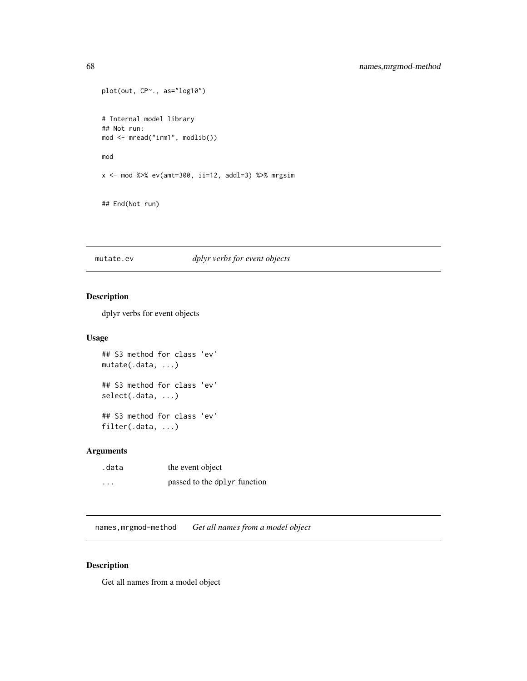```
plot(out, CP~., as="log10")
# Internal model library
## Not run:
mod <- mread("irm1", modlib())
mod
x <- mod %>% ev(amt=300, ii=12, addl=3) %>% mrgsim
```

```
## End(Not run)
```
mutate.ev *dplyr verbs for event objects*

## Description

dplyr verbs for event objects

## Usage

```
## S3 method for class 'ev'
mutate(.data, ...)
## S3 method for class 'ev'
select(.data, ...)
## S3 method for class 'ev'
filter(.data, ...)
```
## Arguments

| .data    | the event object             |
|----------|------------------------------|
| $\cdots$ | passed to the dplyr function |

names,mrgmod-method *Get all names from a model object*

## Description

Get all names from a model object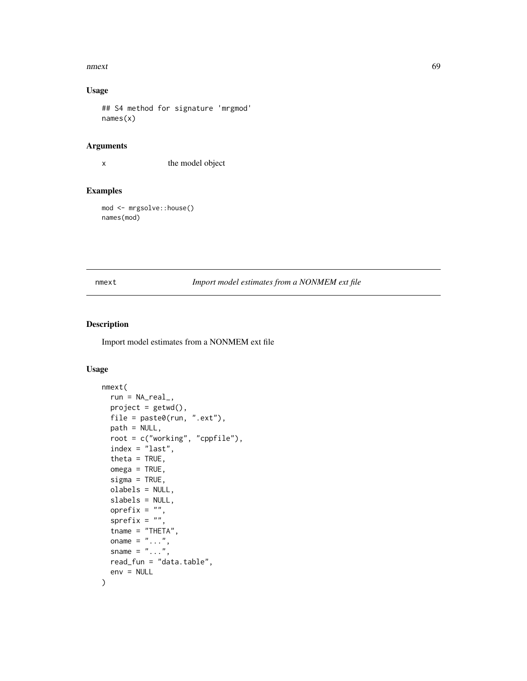#### nmext 69

# Usage

```
## S4 method for signature 'mrgmod'
names(x)
```
#### Arguments

x the model object

## Examples

mod <- mrgsolve::house() names(mod)

# nmext *Import model estimates from a NONMEM ext file*

# Description

Import model estimates from a NONMEM ext file

# Usage

```
nmext(
  run = NA_real_,
 project = getwd(),file = paste0(run, ".ext"),
 path = NULL,
  root = c("working", "cppfile"),
  index = "last",
  theta = TRUE,
  omega = TRUE,signa = TRUE,olabels = NULL,
  slabels = NULL,
  oprefix = ",
  sprefix = ",
  tname = "THETA",
  oname = " \ldots",
  sname = " \dots",
  read_fun = "data.table",
  env = NULL
)
```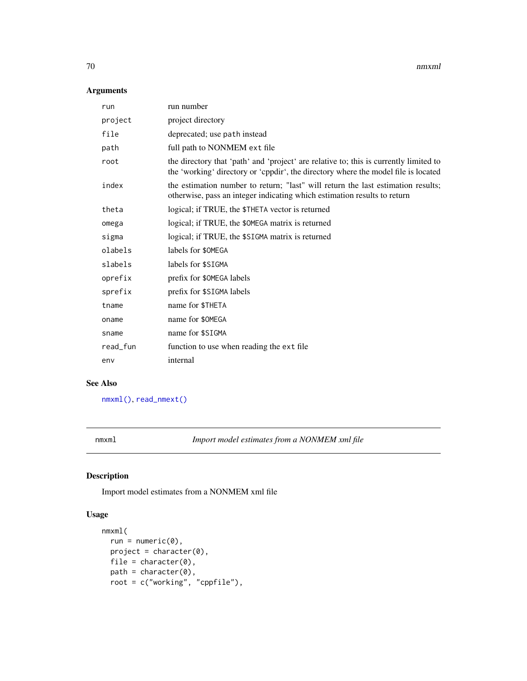70 nmxml

## Arguments

| run      | run number                                                                                                                                                                  |
|----------|-----------------------------------------------------------------------------------------------------------------------------------------------------------------------------|
| project  | project directory                                                                                                                                                           |
| file     | deprecated; use path instead                                                                                                                                                |
| path     | full path to NONMEM ext file                                                                                                                                                |
| root     | the directory that 'path' and 'project' are relative to; this is currently limited to<br>the 'working' directory or 'cppdir', the directory where the model file is located |
| index    | the estimation number to return; "last" will return the last estimation results;<br>otherwise, pass an integer indicating which estimation results to return                |
| theta    | logical; if TRUE, the \$THETA vector is returned                                                                                                                            |
| omega    | logical; if TRUE, the \$0MEGA matrix is returned                                                                                                                            |
| sigma    | logical; if TRUE, the \$SIGMA matrix is returned                                                                                                                            |
| olabels  | labels for \$0MEGA                                                                                                                                                          |
| slabels  | labels for \$SIGMA                                                                                                                                                          |
| oprefix  | prefix for \$0MEGA labels                                                                                                                                                   |
| sprefix  | prefix for \$SIGMA labels                                                                                                                                                   |
| tname    | name for \$THETA                                                                                                                                                            |
| oname    | name for \$0MEGA                                                                                                                                                            |
| sname    | name for \$SIGMA                                                                                                                                                            |
| read_fun | function to use when reading the ext file                                                                                                                                   |
| env      | internal                                                                                                                                                                    |

# See Also

[nmxml\(\)](#page-69-0), [read\\_nmext\(\)](#page-83-0)

<span id="page-69-0"></span>nmxml *Import model estimates from a NONMEM xml file*

# Description

Import model estimates from a NONMEM xml file

# Usage

```
nmxml(
 run = numeric(0),
 project = character(0),
 file = character(0),
 path = character(0),
 root = c("working", "cppfile"),
```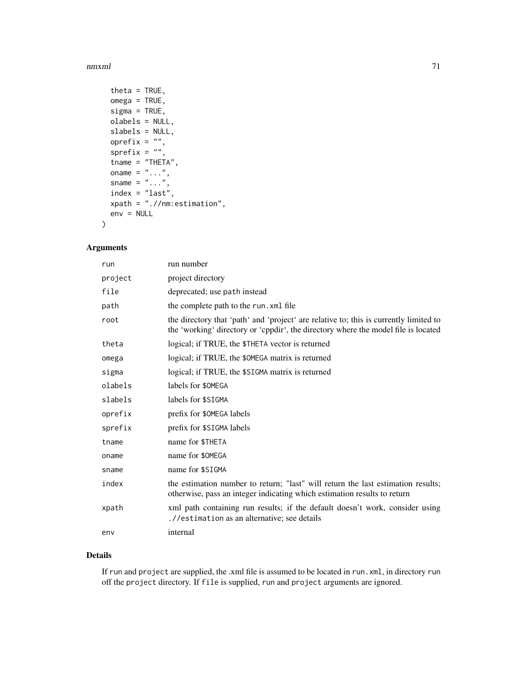#### nmxml 71

```
theta = TRUE,
omega = TRUE,
signa = TRUE,olabels = NULL,
slabels = NULL,
oprefix = "",
sprefix = "",tname = "THETA",
oname = " \dots",
sname = " \dots",
index = "last",
xpath = ".//nm:estimation",
env = NULL
```
## Arguments

)

| run     | run number                                                                                                                                                                  |  |
|---------|-----------------------------------------------------------------------------------------------------------------------------------------------------------------------------|--|
| project | project directory                                                                                                                                                           |  |
| file    | deprecated; use path instead                                                                                                                                                |  |
| path    | the complete path to the run. xml file                                                                                                                                      |  |
| root    | the directory that 'path' and 'project' are relative to; this is currently limited to<br>the 'working' directory or 'cppdir', the directory where the model file is located |  |
| theta   | logical; if TRUE, the \$THETA vector is returned                                                                                                                            |  |
| omega   | logical; if TRUE, the \$0MEGA matrix is returned                                                                                                                            |  |
| sigma   | logical; if TRUE, the \$SIGMA matrix is returned                                                                                                                            |  |
| olabels | labels for \$0MEGA                                                                                                                                                          |  |
| slabels | labels for \$SIGMA                                                                                                                                                          |  |
| oprefix | prefix for \$0MEGA labels                                                                                                                                                   |  |
| sprefix | prefix for \$SIGMA labels                                                                                                                                                   |  |
| tname   | name for \$THETA                                                                                                                                                            |  |
| oname   | name for \$0MEGA                                                                                                                                                            |  |
| sname   | name for \$SIGMA                                                                                                                                                            |  |
| index   | the estimation number to return; "last" will return the last estimation results;<br>otherwise, pass an integer indicating which estimation results to return                |  |
| xpath   | xml path containing run results; if the default doesn't work, consider using<br>.//estimation as an alternative; see details                                                |  |
| env     | internal                                                                                                                                                                    |  |

# Details

If run and project are supplied, the .xml file is assumed to be located in run.xml, in directory run off the project directory. If file is supplied, run and project arguments are ignored.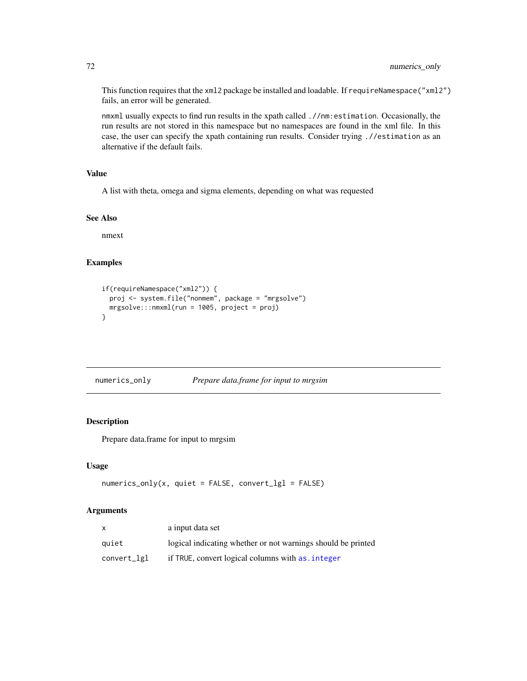This function requires that the xml2 package be installed and loadable. If requireNamespace("xml2") fails, an error will be generated.

nmxml usually expects to find run results in the xpath called .//nm:estimation. Occasionally, the run results are not stored in this namespace but no namespaces are found in the xml file. In this case, the user can specify the xpath containing run results. Consider trying .//estimation as an alternative if the default fails.

## Value

A list with theta, omega and sigma elements, depending on what was requested

#### See Also

nmext

## Examples

```
if(requireNamespace("xml2")) {
  proj <- system.file("nonmem", package = "mrgsolve")
  mrgsolve:::nmxml(run = 1005, project = proj)
}
```

| numerics_only | Prepare data.frame for input to mrgsim |
|---------------|----------------------------------------|
|               |                                        |

## Description

Prepare data.frame for input to mrgsim

#### Usage

```
numerics\_only(x, quiet = FALSE, convert\_lg1 = FALSE)
```
# Arguments

|             | a input data set                                             |
|-------------|--------------------------------------------------------------|
| auiet       | logical indicating whether or not warnings should be printed |
| convert_lgl | if TRUE, convert logical columns with as, integer            |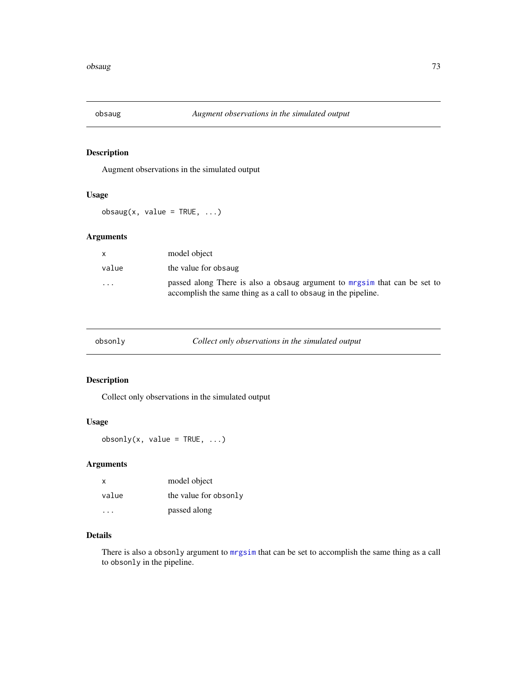<span id="page-72-0"></span>

Augment observations in the simulated output

#### Usage

 $obsaug(x, value = TRUE, ...)$ 

## Arguments

| X        | model object                                                                                                                                |
|----------|---------------------------------------------------------------------------------------------------------------------------------------------|
| value    | the value for obsaug                                                                                                                        |
| $\cdots$ | passed along There is also a obsaug argument to mrgsim that can be set to<br>accomplish the same thing as a call to obsaug in the pipeline. |

| obsonly | Collect only observations in the simulated output |
|---------|---------------------------------------------------|
|---------|---------------------------------------------------|

## Description

Collect only observations in the simulated output

## Usage

obsonly(x, value =  $TRUE$ , ...)

## Arguments

| Χ                       | model object          |
|-------------------------|-----------------------|
| value                   | the value for obsonly |
| $\cdot$ $\cdot$ $\cdot$ | passed along          |

## Details

There is also a obsonly argument to [mrgsim](#page-56-0) that can be set to accomplish the same thing as a call to obsonly in the pipeline.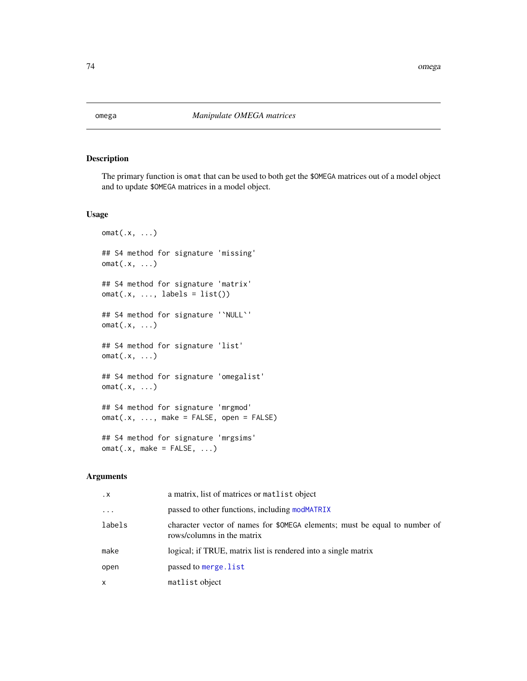<span id="page-73-0"></span>

The primary function is omat that can be used to both get the \$OMEGA matrices out of a model object and to update \$OMEGA matrices in a model object.

#### Usage

```
omat(.x, ...)## S4 method for signature 'missing'
omat(.x, ...)
## S4 method for signature 'matrix'
omat(x, ..., labels = list())## S4 method for signature '`NULL`'
omat(.x, ...)
## S4 method for signature 'list'
omat(.x, \ldots)## S4 method for signature 'omegalist'
omat(.x, ...)
## S4 method for signature 'mrgmod'
omat(.x, ..., make = FALSE, open = FALSE)
## S4 method for signature 'mrgsims'
omat(x, make = FALSE, ...)
```

| $\cdot$ X | a matrix, list of matrices or matrix object                                                              |
|-----------|----------------------------------------------------------------------------------------------------------|
| $\cdots$  | passed to other functions, including modMATRIX                                                           |
| labels    | character vector of names for \$0MEGA elements; must be equal to number of<br>rows/columns in the matrix |
| make      | logical; if TRUE, matrix list is rendered into a single matrix                                           |
| open      | passed to merge. list                                                                                    |
| x         | matlist object                                                                                           |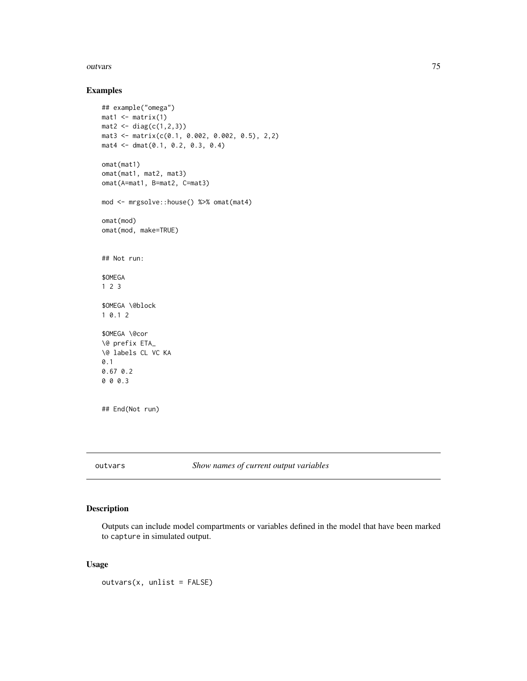#### <span id="page-74-0"></span>outvars 75

## Examples

```
## example("omega")
mat1 <- matrix(1)mat2 < - diag(c(1, 2, 3))mat3 <- matrix(c(0.1, 0.002, 0.002, 0.5), 2,2)
mat4 <- dmat(0.1, 0.2, 0.3, 0.4)
omat(mat1)
omat(mat1, mat2, mat3)
omat(A=mat1, B=mat2, C=mat3)
mod <- mrgsolve::house() %>% omat(mat4)
omat(mod)
omat(mod, make=TRUE)
## Not run:
$OMEGA
1 2 3
$OMEGA \@block
1 0.1 2
$OMEGA \@cor
\@ prefix ETA_
\@ labels CL VC KA
0.1
0.67 0.2
0 0 0.3
## End(Not run)
```
outvars *Show names of current output variables*

## Description

Outputs can include model compartments or variables defined in the model that have been marked to capture in simulated output.

## Usage

 $outvars(x, unlist = FALSE)$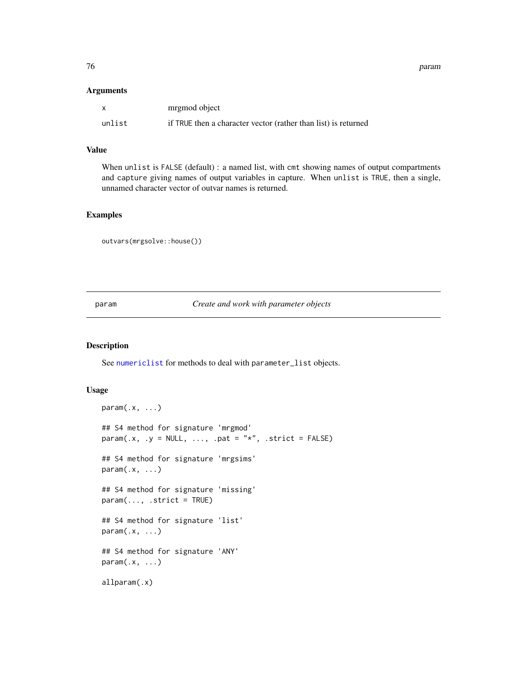<span id="page-75-1"></span>76 param

#### Arguments

| $\mathsf{x}$ | mrgmod object                                                  |
|--------------|----------------------------------------------------------------|
| unlist       | if TRUE then a character vector (rather than list) is returned |

#### Value

When unlist is FALSE (default) : a named list, with cmt showing names of output compartments and capture giving names of output variables in capture. When unlist is TRUE, then a single, unnamed character vector of outvar names is returned.

#### Examples

outvars(mrgsolve::house())

<span id="page-75-0"></span>param *Create and work with parameter objects*

#### Description

See [numericlist](#page-0-0) for methods to deal with parameter\_list objects.

#### Usage

```
param(x, \ldots)## S4 method for signature 'mrgmod'
param(x, y = NULL, ..., part = "*", .strict = FALSE)## S4 method for signature 'mrgsims'
param(x, \ldots)## S4 method for signature 'missing'
param(..., .strict = TRUE)## S4 method for signature 'list'
param(x, \ldots)## S4 method for signature 'ANY'
param(.x, ...)
allparam(.x)
```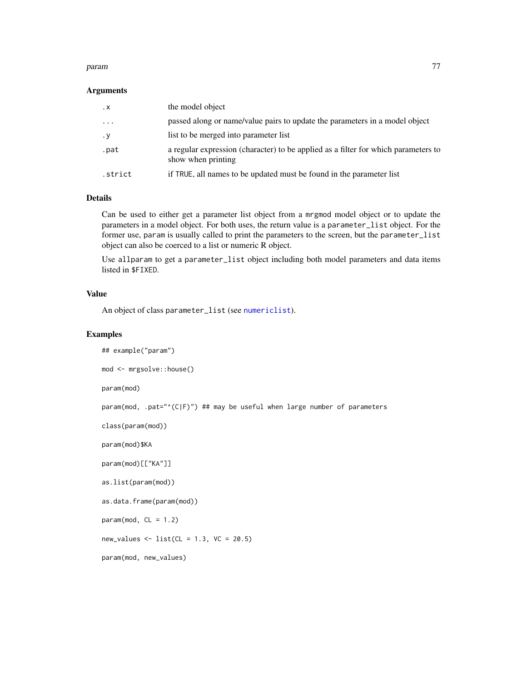#### <span id="page-76-0"></span>param 277 (2008) and 28 million and 2008 and 2008 and 2008 and 2008 and 2008 and 2008 and 2008 and 2008 and 20

#### Arguments

| $\cdot$ X | the model object                                                                                         |
|-----------|----------------------------------------------------------------------------------------------------------|
| $\cdots$  | passed along or name/value pairs to update the parameters in a model object                              |
| $\cdot$ y | list to be merged into parameter list                                                                    |
| .pat      | a regular expression (character) to be applied as a filter for which parameters to<br>show when printing |
| .strict   | if TRUE, all names to be updated must be found in the parameter list                                     |

## Details

Can be used to either get a parameter list object from a mrgmod model object or to update the parameters in a model object. For both uses, the return value is a parameter\_list object. For the former use, param is usually called to print the parameters to the screen, but the parameter\_list object can also be coerced to a list or numeric R object.

Use allparam to get a parameter\_list object including both model parameters and data items listed in \$FIXED.

#### Value

An object of class parameter\_list (see [numericlist](#page-0-0)).

#### Examples

```
## example("param")
```

```
mod <- mrgsolve::house()
```
param(mod)

param(mod, .pat="^(C|F)") ## may be useful when large number of parameters

```
class(param(mod))
```
param(mod)\$KA

param(mod)[["KA"]]

as.list(param(mod))

as.data.frame(param(mod))

 $param(mod, CL = 1.2)$ 

new\_values  $\le$  list(CL = 1.3, VC = 20.5)

param(mod, new\_values)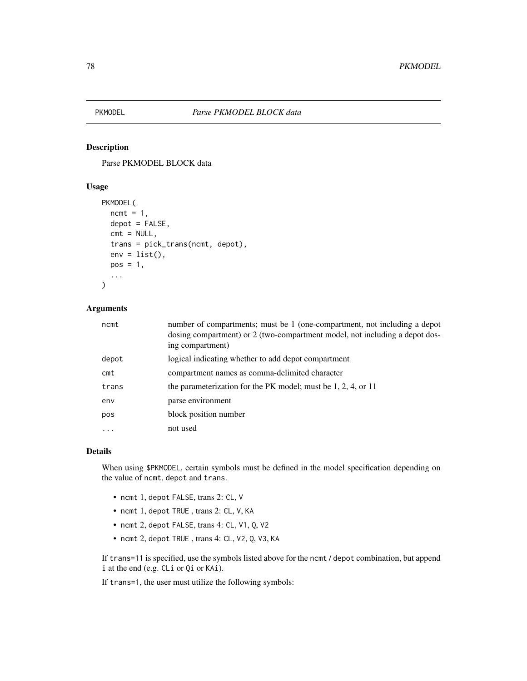<span id="page-77-0"></span>

Parse PKMODEL BLOCK data

#### Usage

```
PKMODEL(
  ncmt = 1,
  depot = FALSE,cmt = NULL,trans = pick_trans(ncmt, depot),
  env = list(),
  pos = 1,
  ...
\mathcal{L}
```
#### Arguments

| ncmt     | number of compartments; must be 1 (one-compartment, not including a depot<br>dosing compartment) or 2 (two-compartment model, not including a depot dos-<br>ing compartment) |
|----------|------------------------------------------------------------------------------------------------------------------------------------------------------------------------------|
| depot    | logical indicating whether to add depot compartment                                                                                                                          |
| $c$ mt   | compartment names as comma-delimited character                                                                                                                               |
| trans    | the parameterization for the PK model; must be $1, 2, 4$ , or $11$                                                                                                           |
| env      | parse environment                                                                                                                                                            |
| pos      | block position number                                                                                                                                                        |
| $\cdots$ | not used                                                                                                                                                                     |

#### Details

When using \$PKMODEL, certain symbols must be defined in the model specification depending on the value of ncmt, depot and trans.

- ncmt 1, depot FALSE, trans 2: CL, V
- ncmt 1, depot TRUE , trans 2: CL, V, KA
- ncmt 2, depot FALSE, trans 4: CL, V1, Q, V2
- ncmt 2, depot TRUE , trans 4: CL, V2, Q, V3, KA

If trans=11 is specified, use the symbols listed above for the ncmt / depot combination, but append i at the end (e.g. CLi or Qi or KAi).

If trans=1, the user must utilize the following symbols: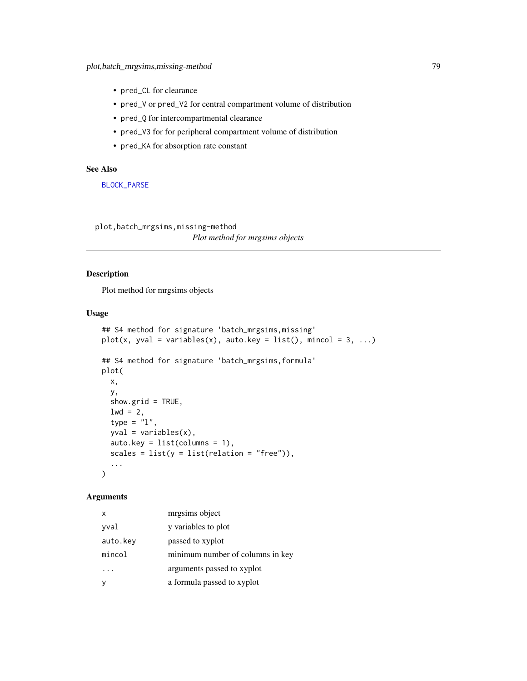- <span id="page-78-0"></span>• pred\_CL for clearance
- pred\_V or pred\_V2 for central compartment volume of distribution
- pred\_Q for intercompartmental clearance
- pred\_V3 for for peripheral compartment volume of distribution
- pred\_KA for absorption rate constant

## See Also

[BLOCK\\_PARSE](#page-12-0)

plot,batch\_mrgsims,missing-method *Plot method for mrgsims objects*

## Description

Plot method for mrgsims objects

#### Usage

```
## S4 method for signature 'batch_mrgsims,missing'
plot(x, yval = variables(x), auto(key = list(), mincol = 3, ...)## S4 method for signature 'batch_mrgsims,formula'
plot(
  x,
 y,
  show.grid = TRUE,
  1wd = 2,
  type = "1",yval = variables(x),
  auto.key = list(columns = 1),
  scales = list(y = list(relation = "free")),
  ...
)
```

| X        | mrgsims object                   |
|----------|----------------------------------|
| yval     | y variables to plot              |
| auto.key | passed to xyplot                 |
| mincol   | minimum number of columns in key |
|          | arguments passed to xyplot       |
| У        | a formula passed to xyplot       |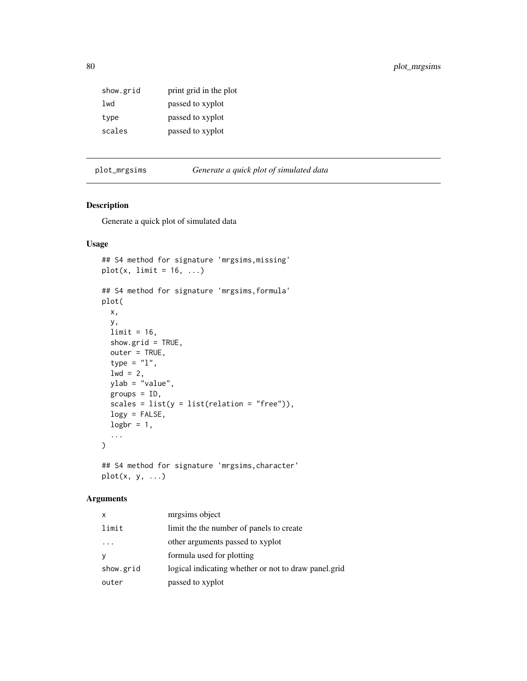<span id="page-79-0"></span>

| show.grid | print grid in the plot |
|-----------|------------------------|
| lwd       | passed to xyplot       |
| type      | passed to xyplot       |
| scales    | passed to xyplot       |

plot\_mrgsims *Generate a quick plot of simulated data*

## Description

Generate a quick plot of simulated data

## Usage

```
## S4 method for signature 'mrgsims,missing'
plot(x, limit = 16, ...)## S4 method for signature 'mrgsims,formula'
plot(
 x,
 y,
 limit = 16,
 show.grid = TRUE,
 outer = TRUE,
  type = "1",1wd = 2,ylab = "value",
 groups = ID,
  scales = list(y = list(relation = "free")),
 logy = FALSE,
 logbr = 1,
  ...
)
## S4 method for signature 'mrgsims,character'
```
## Arguments

 $plot(x, y, ...)$ 

| x         | mrgsims object                                       |
|-----------|------------------------------------------------------|
| limit     | limit the the number of panels to create             |
|           | other arguments passed to xyplot                     |
| y         | formula used for plotting                            |
| show.grid | logical indicating whether or not to draw panel.grid |
| outer     | passed to xyplot                                     |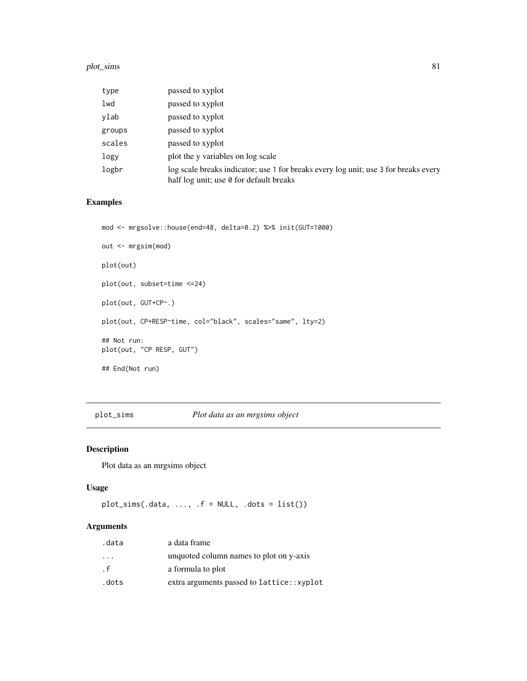#### <span id="page-80-0"></span>plot\_sims 81

| type   | passed to xyplot                                                                                                               |
|--------|--------------------------------------------------------------------------------------------------------------------------------|
| lwd    | passed to xyplot                                                                                                               |
| ylab   | passed to xyplot                                                                                                               |
| groups | passed to xyplot                                                                                                               |
| scales | passed to xyplot                                                                                                               |
| logy   | plot the y variables on log scale                                                                                              |
| logbr  | log scale breaks indicator; use 1 for breaks every log unit; use 3 for breaks every<br>half log unit; use 0 for default breaks |

## Examples

```
mod <- mrgsolve::house(end=48, delta=0.2) %>% init(GUT=1000)
out <- mrgsim(mod)
plot(out)
plot(out, subset=time <=24)
plot(out, GUT+CP~.)
plot(out, CP+RESP~time, col="black", scales="same", lty=2)
## Not run:
plot(out, "CP RESP, GUT")
## End(Not run)
```
plot\_sims *Plot data as an mrgsims object*

## Description

Plot data as an mrgsims object

#### Usage

```
plot\_sims(.data, ..., .f = NULL, .dots = list())
```

| .data                   | a data frame                              |
|-------------------------|-------------------------------------------|
| $\cdot$ $\cdot$ $\cdot$ | unquoted column names to plot on y-axis   |
| . f                     | a formula to plot                         |
| .dots                   | extra arguments passed to lattice::xyplot |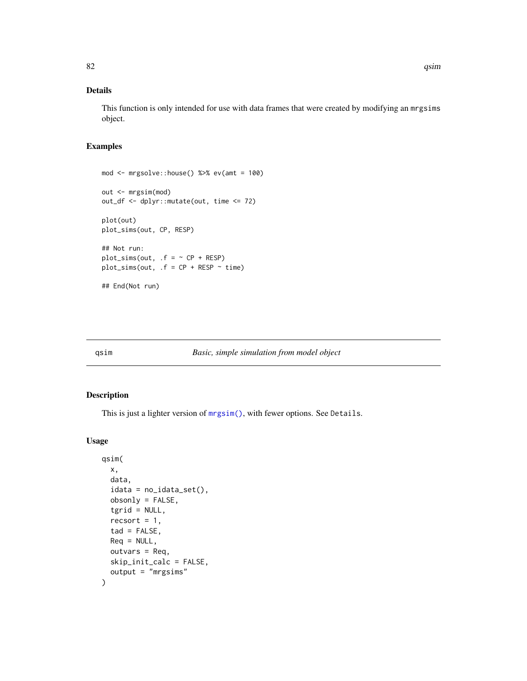## <span id="page-81-0"></span>Details

This function is only intended for use with data frames that were created by modifying an mrgsims object.

## Examples

```
mod <- mrgsolve::house() %>% ev(amt = 100)
out <- mrgsim(mod)
out_df <- dplyr::mutate(out, time <= 72)
plot(out)
plot_sims(out, CP, RESP)
## Not run:
plot\_sims(out, f = ~ CP + RESP)plot_sims(out, .f = CP + RESP \sim time)
## End(Not run)
```
#### qsim *Basic, simple simulation from model object*

#### Description

This is just a lighter version of [mrgsim\(\)](#page-56-0), with fewer options. See Details.

## Usage

```
qsim(
  x,
  data,
  idata = no_idata_set(),
 obsonly = FALSE,
  tgrid = NULL,
  recsort = 1,
  tad = FALSE,Req = NULL,
 outvars = Req,
  skip_init_calc = FALSE,
  output = "mrgsims"
)
```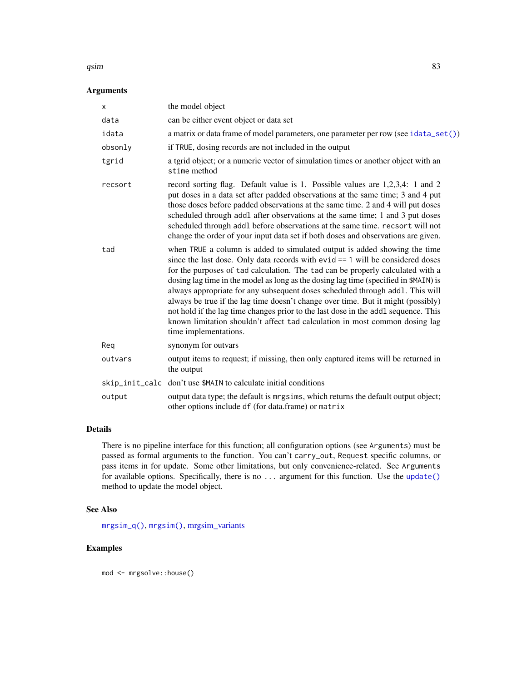#### <span id="page-82-0"></span> $\delta$ qsim 83

## Arguments

| x       | the model object                                                                                                                                                                                                                                                                                                                                                                                                                                                                                                                                                                                                                                                                                           |  |
|---------|------------------------------------------------------------------------------------------------------------------------------------------------------------------------------------------------------------------------------------------------------------------------------------------------------------------------------------------------------------------------------------------------------------------------------------------------------------------------------------------------------------------------------------------------------------------------------------------------------------------------------------------------------------------------------------------------------------|--|
| data    | can be either event object or data set                                                                                                                                                                                                                                                                                                                                                                                                                                                                                                                                                                                                                                                                     |  |
| idata   | a matrix or data frame of model parameters, one parameter per row (see idata_set())                                                                                                                                                                                                                                                                                                                                                                                                                                                                                                                                                                                                                        |  |
| obsonly | if TRUE, dosing records are not included in the output                                                                                                                                                                                                                                                                                                                                                                                                                                                                                                                                                                                                                                                     |  |
| tgrid   | a tgrid object; or a numeric vector of simulation times or another object with an<br>stime method                                                                                                                                                                                                                                                                                                                                                                                                                                                                                                                                                                                                          |  |
| recsort | record sorting flag. Default value is 1. Possible values are 1,2,3,4: 1 and 2<br>put doses in a data set after padded observations at the same time; 3 and 4 put<br>those doses before padded observations at the same time. 2 and 4 will put doses<br>scheduled through addl after observations at the same time; 1 and 3 put doses<br>scheduled through addl before observations at the same time. recsort will not<br>change the order of your input data set if both doses and observations are given.                                                                                                                                                                                                 |  |
| tad     | when TRUE a column is added to simulated output is added showing the time<br>since the last dose. Only data records with $evid == 1$ will be considered doses<br>for the purposes of tad calculation. The tad can be properly calculated with a<br>dosing lag time in the model as long as the dosing lag time (specified in \$MAIN) is<br>always appropriate for any subsequent doses scheduled through addl. This will<br>always be true if the lag time doesn't change over time. But it might (possibly)<br>not hold if the lag time changes prior to the last dose in the addl sequence. This<br>known limitation shouldn't affect tad calculation in most common dosing lag<br>time implementations. |  |
| Reg     | synonym for outvars                                                                                                                                                                                                                                                                                                                                                                                                                                                                                                                                                                                                                                                                                        |  |
| outvars | output items to request; if missing, then only captured items will be returned in<br>the output                                                                                                                                                                                                                                                                                                                                                                                                                                                                                                                                                                                                            |  |
|         | skip_init_calc_don't use \$MAIN to calculate initial conditions                                                                                                                                                                                                                                                                                                                                                                                                                                                                                                                                                                                                                                            |  |
| output  | output data type; the default is mrgsims, which returns the default output object;<br>other options include df (for data.frame) or matrix                                                                                                                                                                                                                                                                                                                                                                                                                                                                                                                                                                  |  |

## Details

There is no pipeline interface for this function; all configuration options (see Arguments) must be passed as formal arguments to the function. You can't carry\_out, Request specific columns, or pass items in for update. Some other limitations, but only convenience-related. See Arguments for available options. Specifically, there is no ... argument for this function. Use the [update\(\)](#page-93-0) method to update the model object.

## See Also

[mrgsim\\_q\(\)](#page-62-0), [mrgsim\(\)](#page-56-0), [mrgsim\\_variants](#page-64-0)

## Examples

mod <- mrgsolve::house()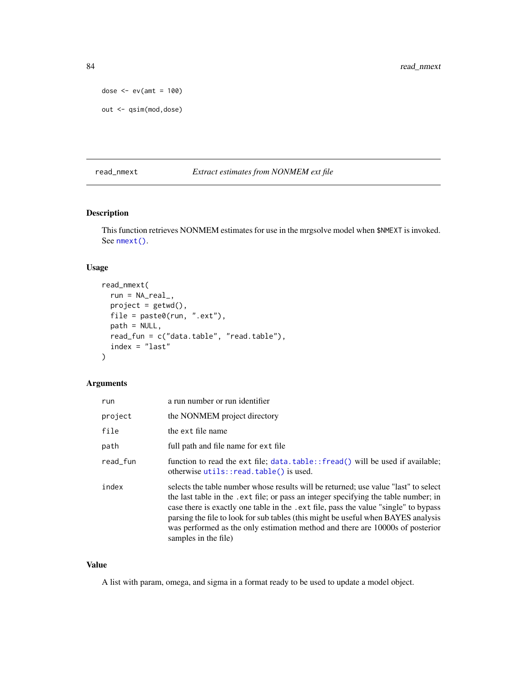```
dose \leq - ev(amt = 100)
out <- qsim(mod,dose)
```
## read\_nmext *Extract estimates from NONMEM ext file*

## Description

This function retrieves NONMEM estimates for use in the mrgsolve model when \$NMEXT is invoked. See [nmext\(\)](#page-68-0).

#### Usage

```
read_nmext(
  run = NA\_real_project = getwd(),
 file = paste0(run, ".ext"),
 path = NULL,
  read_fun = c("data.table", "read.table"),
  index = "last"
\lambda
```
## Arguments

| run      | a run number or run identifier                                                                                                                                                                                                                                                                                                                                                                                                                                   |
|----------|------------------------------------------------------------------------------------------------------------------------------------------------------------------------------------------------------------------------------------------------------------------------------------------------------------------------------------------------------------------------------------------------------------------------------------------------------------------|
| project  | the NONMEM project directory                                                                                                                                                                                                                                                                                                                                                                                                                                     |
| file     | the ext file name                                                                                                                                                                                                                                                                                                                                                                                                                                                |
| path     | full path and file name for ext file                                                                                                                                                                                                                                                                                                                                                                                                                             |
| read_fun | function to read the ext file; data.table:: fread() will be used if available;<br>otherwise utils::read.table() is used.                                                                                                                                                                                                                                                                                                                                         |
| index    | selects the table number whose results will be returned; use value "last" to select<br>the last table in the .ext file; or pass an integer specifying the table number; in<br>case there is exactly one table in the . ext file, pass the value "single" to bypass<br>parsing the file to look for sub tables (this might be useful when BAYES analysis<br>was performed as the only estimation method and there are 10000s of posterior<br>samples in the file) |

## Value

A list with param, omega, and sigma in a format ready to be used to update a model object.

<span id="page-83-0"></span>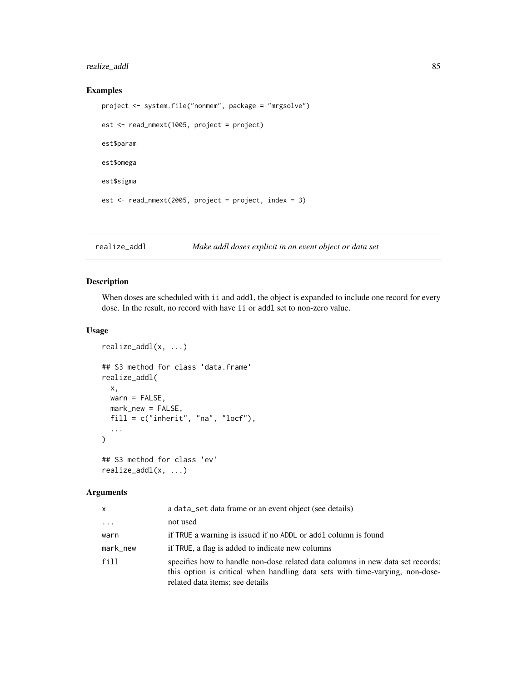## <span id="page-84-0"></span>realize\_addl 85

## Examples

```
project <- system.file("nonmem", package = "mrgsolve")
est <- read_nmext(1005, project = project)
est$param
est$omega
est$sigma
est \le read_nmext(2005, project = project, index = 3)
```
realize\_addl *Make addl doses explicit in an event object or data set*

## Description

When doses are scheduled with ii and addl, the object is expanded to include one record for every dose. In the result, no record with have ii or addl set to non-zero value.

## Usage

```
realize_addl(x, ...)
## S3 method for class 'data.frame'
realize_addl(
 x,
 warn = FALSE,
 mark_new = FALSE,
 fill = c("inherit", "na", "locf"),
  ...
\mathcal{L}## S3 method for class 'ev'
realize_addl(x, ...)
```

| x        | a data_set data frame or an event object (see details)                                                                                                                                            |
|----------|---------------------------------------------------------------------------------------------------------------------------------------------------------------------------------------------------|
| $\cdots$ | not used                                                                                                                                                                                          |
| warn     | if TRUE a warning is issued if no ADDL or addl column is found                                                                                                                                    |
| mark_new | if TRUE, a flag is added to indicate new columns                                                                                                                                                  |
| fill     | specifies how to handle non-dose related data columns in new data set records;<br>this option is critical when handling data sets with time-varying, non-dose-<br>related data items; see details |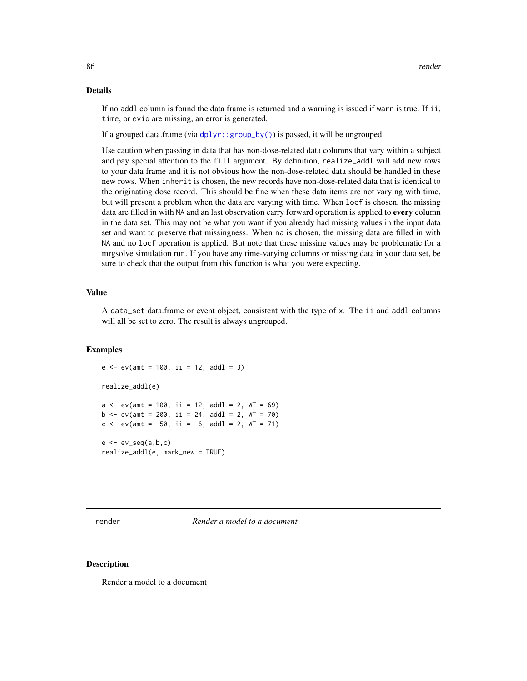## Details

If no addl column is found the data frame is returned and a warning is issued if warn is true. If ii, time, or evid are missing, an error is generated.

If a grouped data.frame (via [dplyr::group\\_by\(\)](#page-0-0)) is passed, it will be ungrouped.

Use caution when passing in data that has non-dose-related data columns that vary within a subject and pay special attention to the fill argument. By definition, realize\_addl will add new rows to your data frame and it is not obvious how the non-dose-related data should be handled in these new rows. When inherit is chosen, the new records have non-dose-related data that is identical to the originating dose record. This should be fine when these data items are not varying with time, but will present a problem when the data are varying with time. When locf is chosen, the missing data are filled in with NA and an last observation carry forward operation is applied to every column in the data set. This may not be what you want if you already had missing values in the input data set and want to preserve that missingness. When na is chosen, the missing data are filled in with NA and no locf operation is applied. But note that these missing values may be problematic for a mrgsolve simulation run. If you have any time-varying columns or missing data in your data set, be sure to check that the output from this function is what you were expecting.

#### Value

A data\_set data.frame or event object, consistent with the type of x. The ii and addl columns will all be set to zero. The result is always ungrouped.

## Examples

```
e \le -ev(\text{amt} = 100, i = 12, addl = 3)realize_addl(e)
a \leq -ev(\text{amt} = 100, \text{ ii} = 12, \text{ add } = 2, \text{ WT} = 69)b \le -e ev(amt = 200, ii = 24, addl = 2, WT = 70)
c \le -ev(\text{amt} = 50, \text{ ii} = 6, \text{ add } = 2, \text{ WT} = 71)e \leftarrow ev\_seq(a, b, c)realize_addl(e, mark_new = TRUE)
```
render *Render a model to a document*

#### Description

Render a model to a document

<span id="page-85-0"></span>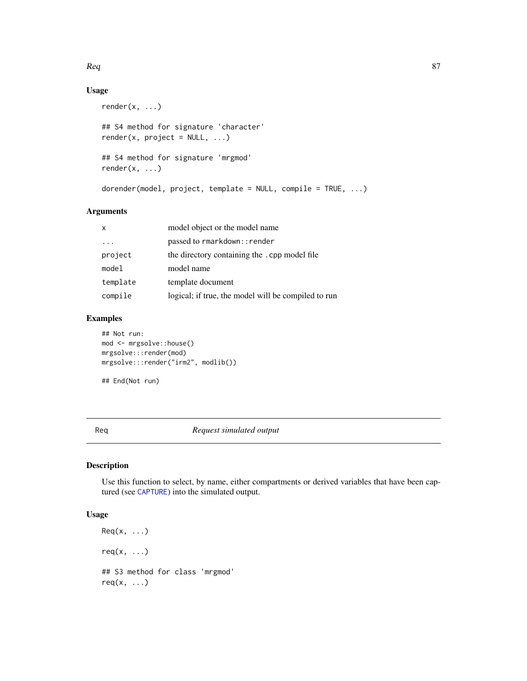#### <span id="page-86-0"></span> $\textit{Req}$  87

## Usage

```
render(x, ...)## S4 method for signature 'character'
render(x, project = NULL, ...)## S4 method for signature 'mrgmod'
render(x, ...)
dorender(model, project, template = NULL, compile = TRUE, ...)
```
#### Arguments

| $\mathsf{x}$ | model object or the model name                      |
|--------------|-----------------------------------------------------|
|              | passed to rmarkdown:: render                        |
| project      | the directory containing the .cpp model file        |
| model        | model name                                          |
| template     | template document                                   |
| compile      | logical; if true, the model will be compiled to run |

## Examples

## End(Not run)

## Not run: mod <- mrgsolve::house() mrgsolve:::render(mod) mrgsolve:::render("irm2", modlib())

Req *Request simulated output*

#### Description

Use this function to select, by name, either compartments or derived variables that have been captured (see [CAPTURE](#page-12-1)) into the simulated output.

## Usage

```
\text{Req}(x, \ldots)req(x, \ldots)## S3 method for class 'mrgmod'
req(x, \ldots)
```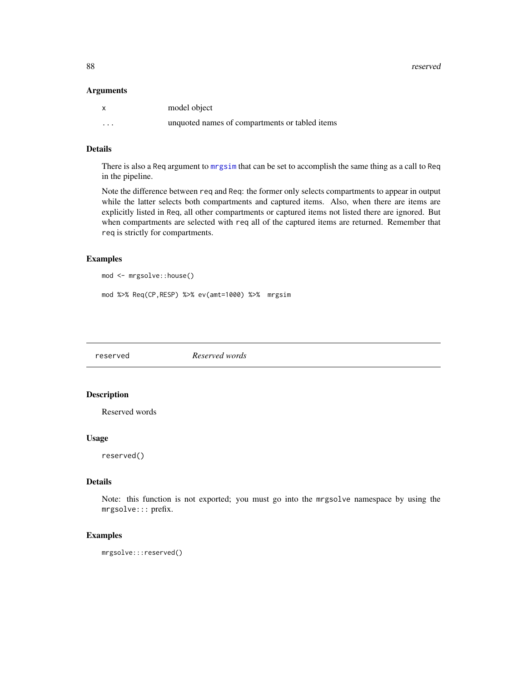<span id="page-87-0"></span>88 reserved

#### Arguments

| $\mathsf{x}$ | model object                                   |
|--------------|------------------------------------------------|
| $\cdots$     | unquoted names of compartments or tabled items |

## Details

There is also a Req argument to [mrgsim](#page-56-0) that can be set to accomplish the same thing as a call to Req in the pipeline.

Note the difference between req and Req: the former only selects compartments to appear in output while the latter selects both compartments and captured items. Also, when there are items are explicitly listed in Req, all other compartments or captured items not listed there are ignored. But when compartments are selected with req all of the captured items are returned. Remember that req is strictly for compartments.

#### Examples

```
mod <- mrgsolve::house()
```

```
mod %>% Req(CP,RESP) %>% ev(amt=1000) %>% mrgsim
```
reserved *Reserved words*

#### Description

Reserved words

#### Usage

reserved()

## Details

Note: this function is not exported; you must go into the mrgsolve namespace by using the mrgsolve::: prefix.

## Examples

mrgsolve:::reserved()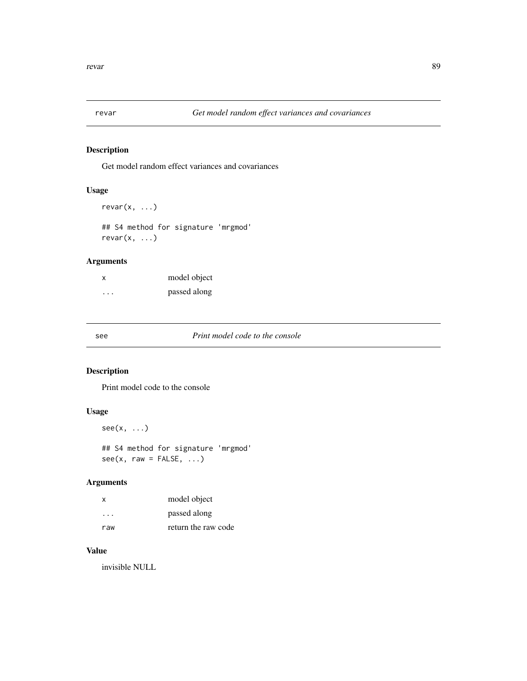<span id="page-88-0"></span>

Get model random effect variances and covariances

## Usage

```
revar(x, \ldots)
```
## S4 method for signature 'mrgmod'  $revar(x, \ldots)$ 

## Arguments

| X | model object |
|---|--------------|
| . | passed along |

## see *Print model code to the console*

## Description

Print model code to the console

## Usage

 $see(x, \ldots)$ 

## S4 method for signature 'mrgmod'  $see(x, raw = FALSE, ...)$ 

## Arguments

| X   | model object        |
|-----|---------------------|
| .   | passed along        |
| raw | return the raw code |

## Value

invisible NULL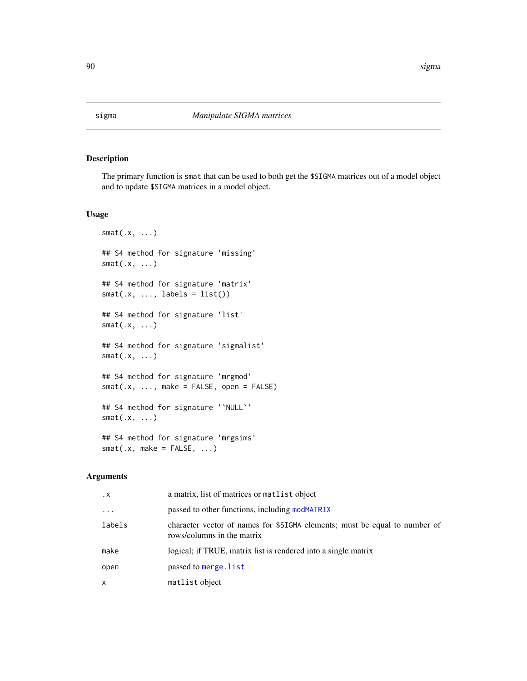<span id="page-89-0"></span>

The primary function is smat that can be used to both get the \$SIGMA matrices out of a model object and to update \$SIGMA matrices in a model object.

#### Usage

```
smat(.x, \ldots)## S4 method for signature 'missing'
smat(.x, \ldots)## S4 method for signature 'matrix'
smat(x, ..., labels = list())## S4 method for signature 'list'
smat(.x, \ldots)## S4 method for signature 'sigmalist'
smat(.x, \ldots)## S4 method for signature 'mrgmod'
smat(x, ..., make = FALSE, open = FALSE)## S4 method for signature '`NULL`'
smat(.x, \ldots)## S4 method for signature 'mrgsims'
smat(x, make = FALSE, ...)
```

| $\cdot$ X | a matrix, list of matrices or matrix object                                                              |
|-----------|----------------------------------------------------------------------------------------------------------|
| $\cdots$  | passed to other functions, including modMATRIX                                                           |
| labels    | character vector of names for \$SIGMA elements; must be equal to number of<br>rows/columns in the matrix |
| make      | logical; if TRUE, matrix list is rendered into a single matrix                                           |
| open      | passed to merge. list                                                                                    |
| x         | matlist object                                                                                           |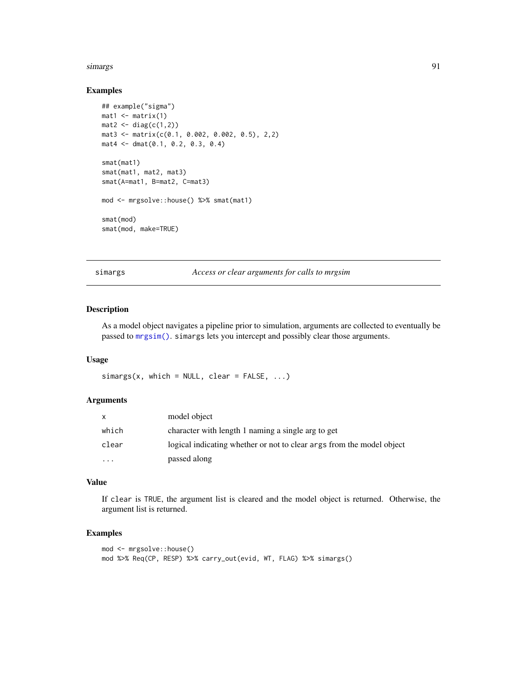#### <span id="page-90-0"></span>simargs 91

#### Examples

```
## example("sigma")
mat1 <- matrix(1)mat2 \leftarrow diag(c(1,2))mat3 <- matrix(c(0.1, 0.002, 0.002, 0.5), 2,2)
mat4 <- dmat(0.1, 0.2, 0.3, 0.4)
smat(mat1)
smat(mat1, mat2, mat3)
smat(A=mat1, B=mat2, C=mat3)
mod <- mrgsolve::house() %>% smat(mat1)
smat(mod)
smat(mod, make=TRUE)
```
simargs *Access or clear arguments for calls to mrgsim*

#### Description

As a model object navigates a pipeline prior to simulation, arguments are collected to eventually be passed to [mrgsim\(\)](#page-56-0). simargs lets you intercept and possibly clear those arguments.

#### Usage

```
simas(x, which = NULL, clear = FALSE, ...)
```
#### Arguments

| X        | model object                                                          |
|----------|-----------------------------------------------------------------------|
| which    | character with length 1 naming a single arg to get                    |
| clear    | logical indicating whether or not to clear args from the model object |
| $\cdots$ | passed along                                                          |

#### Value

If clear is TRUE, the argument list is cleared and the model object is returned. Otherwise, the argument list is returned.

#### Examples

```
mod <- mrgsolve::house()
mod %>% Req(CP, RESP) %>% carry_out(evid, WT, FLAG) %>% simargs()
```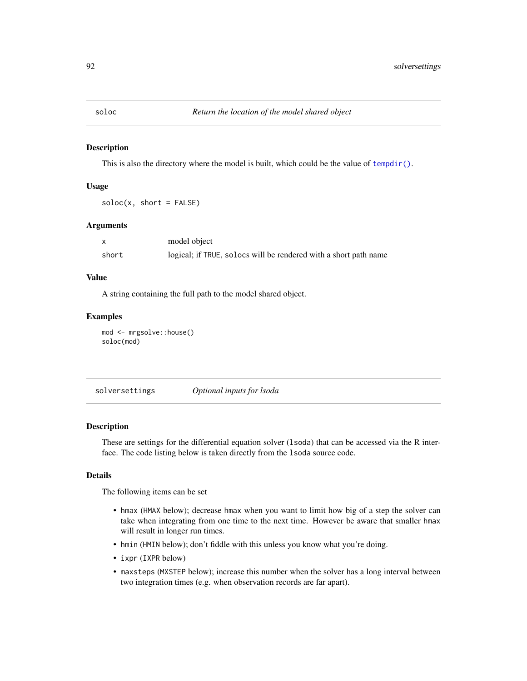<span id="page-91-1"></span>

This is also the directory where the model is built, which could be the value of  $tempdir()$ .

#### Usage

 $soloc(x, short = FALSE)$ 

#### Arguments

|       | model object                                                     |
|-------|------------------------------------------------------------------|
| short | logical; if TRUE, solocs will be rendered with a short path name |

#### Value

A string containing the full path to the model shared object.

## Examples

```
mod <- mrgsolve::house()
soloc(mod)
```
<span id="page-91-0"></span>solversettings *Optional inputs for lsoda*

#### Description

These are settings for the differential equation solver (lsoda) that can be accessed via the R interface. The code listing below is taken directly from the lsoda source code.

#### Details

The following items can be set

- hmax (HMAX below); decrease hmax when you want to limit how big of a step the solver can take when integrating from one time to the next time. However be aware that smaller hmax will result in longer run times.
- hmin (HMIN below); don't fiddle with this unless you know what you're doing.
- ixpr (IXPR below)
- maxsteps (MXSTEP below); increase this number when the solver has a long interval between two integration times (e.g. when observation records are far apart).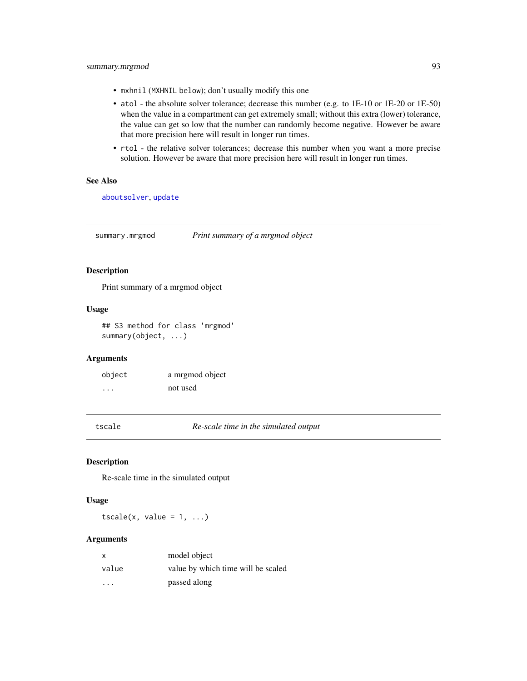- <span id="page-92-0"></span>• mxhnil (MXHNIL below); don't usually modify this one
- atol the absolute solver tolerance; decrease this number (e.g. to 1E-10 or 1E-20 or 1E-50) when the value in a compartment can get extremely small; without this extra (lower) tolerance, the value can get so low that the number can randomly become negative. However be aware that more precision here will result in longer run times.
- rtol the relative solver tolerances; decrease this number when you want a more precise solution. However be aware that more precision here will result in longer run times.

## See Also

[aboutsolver](#page-3-0), [update](#page-93-0)

summary.mrgmod *Print summary of a mrgmod object*

#### Description

Print summary of a mrgmod object

#### Usage

## S3 method for class 'mrgmod' summary(object, ...)

#### **Arguments**

| object | a mrgmod object |
|--------|-----------------|
| .      | not used        |

tscale *Re-scale time in the simulated output*

#### Description

Re-scale time in the simulated output

#### Usage

 $tscale(x, value = 1, ...)$ 

| x                       | model object                       |
|-------------------------|------------------------------------|
| value                   | value by which time will be scaled |
| $\cdot$ $\cdot$ $\cdot$ | passed along                       |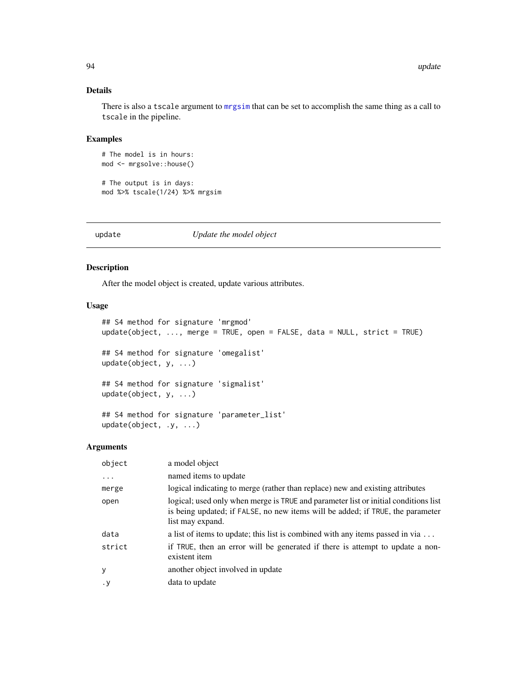#### Details

There is also a tscale argument to [mrgsim](#page-56-0) that can be set to accomplish the same thing as a call to tscale in the pipeline.

#### Examples

# The model is in hours: mod <- mrgsolve::house()

# The output is in days: mod %>% tscale(1/24) %>% mrgsim

<span id="page-93-0"></span>

update *Update the model object*

#### Description

After the model object is created, update various attributes.

#### Usage

```
## S4 method for signature 'mrgmod'
update(object, ..., merge = TRUE, open = FALSE, data = NULL, strict = TRUE)
## S4 method for signature 'omegalist'
update(object, y, ...)
## S4 method for signature 'sigmalist'
update(object, y, ...)
## S4 method for signature 'parameter_list'
update(object, .y, ...)
```

| object | a model object                                                                                                                                                                            |
|--------|-------------------------------------------------------------------------------------------------------------------------------------------------------------------------------------------|
| .      | named items to update                                                                                                                                                                     |
| merge  | logical indicating to merge (rather than replace) new and existing attributes                                                                                                             |
| open   | logical; used only when merge is TRUE and parameter list or initial conditions list<br>is being updated; if FALSE, no new items will be added; if TRUE, the parameter<br>list may expand. |
| data   | a list of items to update; this list is combined with any items passed in via $\dots$                                                                                                     |
| strict | if TRUE, then an error will be generated if there is attempt to update a non-<br>existent item                                                                                            |
| y      | another object involved in update                                                                                                                                                         |
| . у    | data to update                                                                                                                                                                            |

<span id="page-93-1"></span>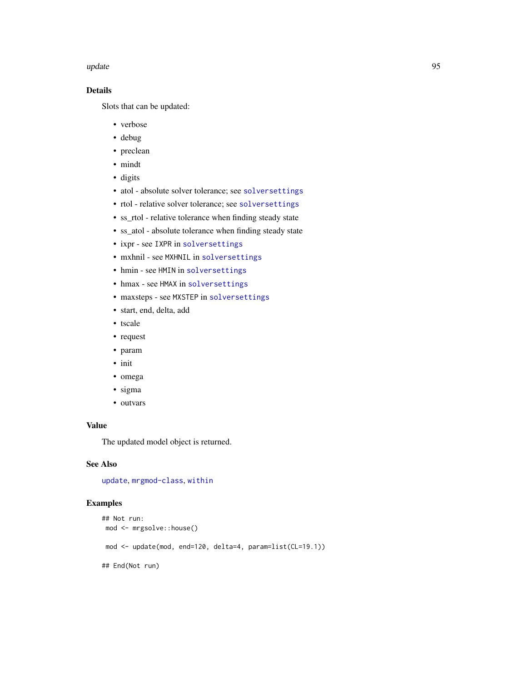#### <span id="page-94-0"></span>update and the set of the set of the set of the set of the set of the set of the set of the set of the set of the set of the set of the set of the set of the set of the set of the set of the set of the set of the set of th

## Details

Slots that can be updated:

- verbose
- debug
- preclean
- mindt
- digits
- atol absolute solver tolerance; see [solversettings](#page-91-0)
- rtol relative solver tolerance; see [solversettings](#page-91-0)
- ss\_rtol relative tolerance when finding steady state
- ss\_atol absolute tolerance when finding steady state
- ixpr see IXPR in [solversettings](#page-91-0)
- mxhnil see MXHNIL in [solversettings](#page-91-0)
- hmin see HMIN in [solversettings](#page-91-0)
- hmax see HMAX in [solversettings](#page-91-0)
- maxsteps see MXSTEP in [solversettings](#page-91-0)
- start, end, delta, add
- tscale
- request
- param
- init
- omega
- sigma
- outvars

## Value

The updated model object is returned.

## See Also

[update](#page-93-0), [mrgmod-class](#page-0-0), [within](#page-96-0)

## Examples

```
## Not run:
mod <- mrgsolve::house()
mod <- update(mod, end=120, delta=4, param=list(CL=19.1))
## End(Not run)
```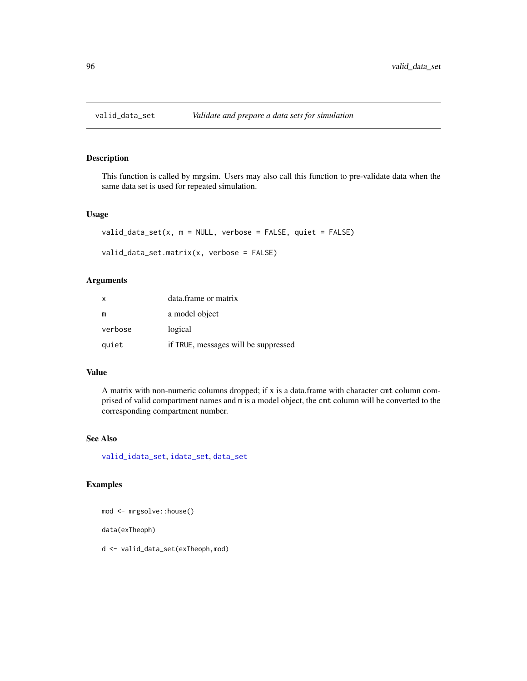<span id="page-95-1"></span><span id="page-95-0"></span>

This function is called by mrgsim. Users may also call this function to pre-validate data when the same data set is used for repeated simulation.

#### Usage

```
valid_data_set(x, m = NULL, verbose = FALSE, quiet = FALSE)
```

```
valid_data_set.matrix(x, verbose = FALSE)
```
## Arguments

| X       | data.frame or matrix                 |
|---------|--------------------------------------|
| m       | a model object                       |
| verbose | logical                              |
| quiet   | if TRUE, messages will be suppressed |

#### Value

A matrix with non-numeric columns dropped; if x is a data.frame with character cmt column comprised of valid compartment names and m is a model object, the cmt column will be converted to the corresponding compartment number.

#### See Also

[valid\\_idata\\_set](#page-96-1), [idata\\_set](#page-37-0), [data\\_set](#page-19-0)

## Examples

mod <- mrgsolve::house()

data(exTheoph)

d <- valid\_data\_set(exTheoph,mod)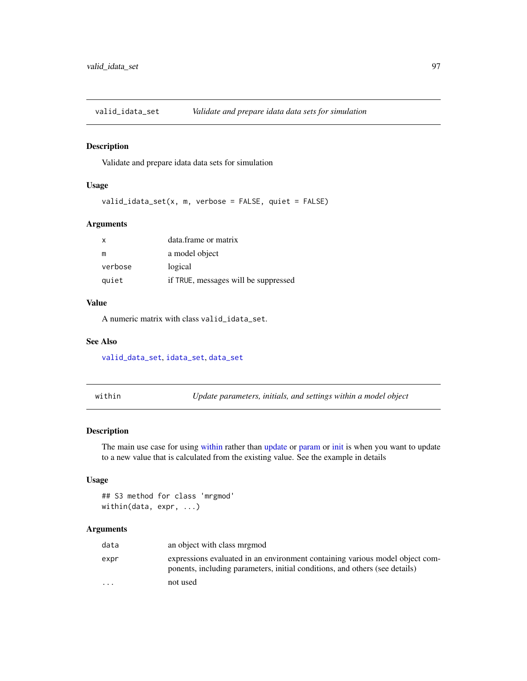<span id="page-96-2"></span><span id="page-96-1"></span>

Validate and prepare idata data sets for simulation

## Usage

valid\_idata\_set(x, m, verbose = FALSE, quiet = FALSE)

#### Arguments

| X       | data.frame or matrix                 |
|---------|--------------------------------------|
| m       | a model object                       |
| verbose | logical                              |
| quiet   | if TRUE, messages will be suppressed |

## Value

A numeric matrix with class valid\_idata\_set.

#### See Also

[valid\\_data\\_set](#page-95-0), [idata\\_set](#page-37-0), [data\\_set](#page-19-0)

<span id="page-96-0"></span>within *Update parameters, initials, and settings within a model object*

#### Description

The main use case for using [within](#page-96-0) rather than [update](#page-93-0) or [param](#page-75-0) or [init](#page-39-0) is when you want to update to a new value that is calculated from the existing value. See the example in details

## Usage

## S3 method for class 'mrgmod' within(data, expr, ...)

| data     | an object with class mrgmod                                                                                                                                 |
|----------|-------------------------------------------------------------------------------------------------------------------------------------------------------------|
| expr     | expressions evaluated in an environment containing various model object com-<br>ponents, including parameters, initial conditions, and others (see details) |
| $\cdots$ | not used                                                                                                                                                    |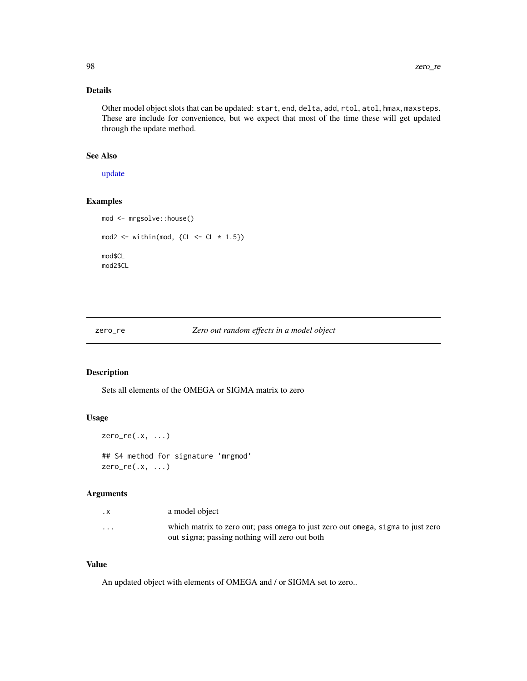## <span id="page-97-0"></span>Details

Other model object slots that can be updated: start, end, delta, add, rtol, atol, hmax, maxsteps. These are include for convenience, but we expect that most of the time these will get updated through the update method.

#### See Also

[update](#page-93-0)

## Examples

```
mod <- mrgsolve::house()
mod2 \le - within(mod, {CL \le - CL * 1.5})
mod$CL
mod2$CL
```
zero\_re *Zero out random effects in a model object*

## Description

Sets all elements of the OMEGA or SIGMA matrix to zero

## Usage

```
zero_re(.x, ...)
```
## S4 method for signature 'mrgmod' zero\_re(.x, ...)

#### Arguments

| . X                     | a model object                                                                                                                   |
|-------------------------|----------------------------------------------------------------------------------------------------------------------------------|
| $\cdot$ $\cdot$ $\cdot$ | which matrix to zero out; pass omega to just zero out omega, sigma to just zero<br>out sigma; passing nothing will zero out both |

#### Value

An updated object with elements of OMEGA and / or SIGMA set to zero..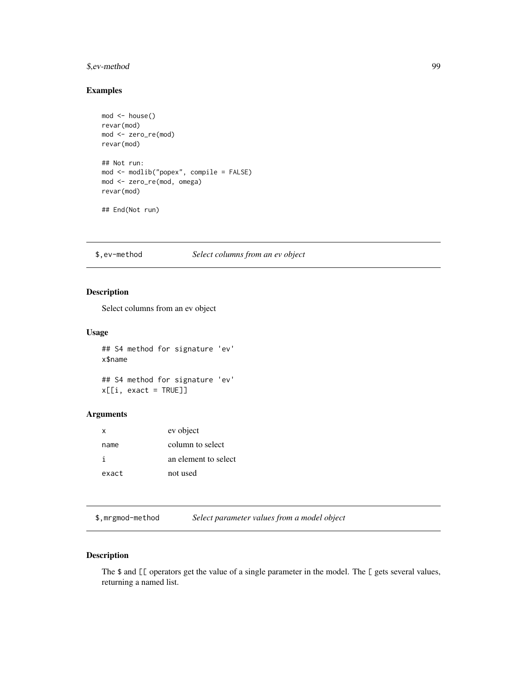#### <span id="page-98-0"></span>\$,ev-method 99

## Examples

```
mod <- house()
revar(mod)
mod <- zero_re(mod)
revar(mod)
## Not run:
mod <- modlib("popex", compile = FALSE)
mod <- zero_re(mod, omega)
revar(mod)
## End(Not run)
```
## \$,ev-method *Select columns from an ev object*

## Description

Select columns from an ev object

#### Usage

## S4 method for signature 'ev' x\$name

## S4 method for signature 'ev' x[[i, exact = TRUE]]

## Arguments

| $\mathsf{X}$ | ev object            |
|--------------|----------------------|
| name         | column to select     |
| j.           | an element to select |
| exact        | not used             |

\$,mrgmod-method *Select parameter values from a model object*

## Description

The \$ and [[ operators get the value of a single parameter in the model. The [ gets several values, returning a named list.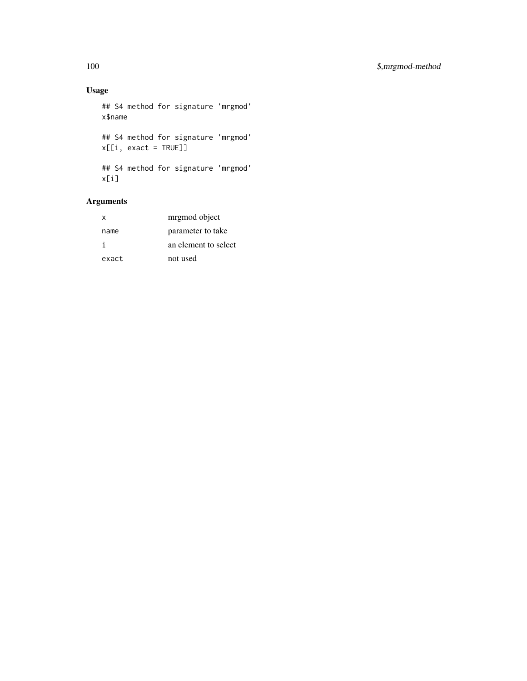## Usage

```
## S4 method for signature 'mrgmod'
x$name
## S4 method for signature 'mrgmod'
x[[i, exact = TRUE]]
## S4 method for signature 'mrgmod'
x[i]
```

| x     | mrgmod object        |
|-------|----------------------|
| name  | parameter to take    |
| i     | an element to select |
| exact | not used             |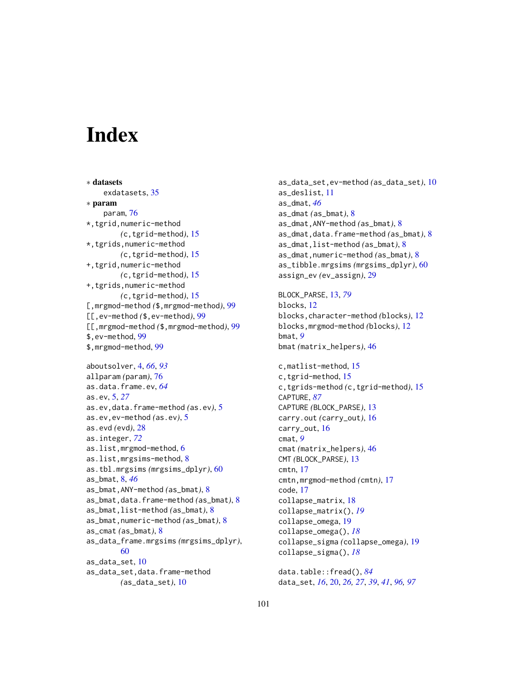# **Index**

∗ datasets exdatasets, [35](#page-34-0) ∗ param param, [76](#page-75-1) \*,tgrid,numeric-method *(*c,tgrid-method*)*, [15](#page-14-0) \*,tgrids,numeric-method *(*c,tgrid-method*)*, [15](#page-14-0) +,tgrid,numeric-method *(*c,tgrid-method*)*, [15](#page-14-0) +,tgrids,numeric-method *(*c,tgrid-method*)*, [15](#page-14-0) [,mrgmod-method *(*\$,mrgmod-method*)*, [99](#page-98-0) [[,ev-method *(*\$,ev-method*)*, [99](#page-98-0) [[,mrgmod-method *(*\$,mrgmod-method*)*, [99](#page-98-0) \$,ev-method, [99](#page-98-0) \$,mrgmod-method, [99](#page-98-0) aboutsolver, [4,](#page-3-1) *[66](#page-65-0)*, *[93](#page-92-0)* allparam *(*param*)*, [76](#page-75-1) as.data.frame.ev, *[64](#page-63-0)* as.ev, [5,](#page-4-0) *[27](#page-26-0)* as.ev,data.frame-method *(*as.ev*)*, [5](#page-4-0) as.ev,ev-method *(*as.ev*)*, [5](#page-4-0) as.evd *(*evd*)*, [28](#page-27-0) as.integer, *[72](#page-71-0)* as.list,mrgmod-method, [6](#page-5-0) as.list,mrgsims-method, [8](#page-7-0) as.tbl.mrgsims *(*mrgsims\_dplyr*)*, [60](#page-59-0) as\_bmat, [8,](#page-7-0) *[46](#page-45-0)* as\_bmat,ANY-method *(*as\_bmat*)*, [8](#page-7-0) as\_bmat,data.frame-method *(*as\_bmat*)*, [8](#page-7-0) as\_bmat,list-method *(*as\_bmat*)*, [8](#page-7-0) as\_bmat,numeric-method *(*as\_bmat*)*, [8](#page-7-0) as\_cmat *(*as\_bmat*)*, [8](#page-7-0) as\_data\_frame.mrgsims *(*mrgsims\_dplyr*)*, [60](#page-59-0) as\_data\_set, [10](#page-9-0) as\_data\_set,data.frame-method *(*as\_data\_set*)*, [10](#page-9-0)

as\_data\_set,ev-method *(*as\_data\_set*)*, [10](#page-9-0) as\_deslist, [11](#page-10-0) as\_dmat, *[46](#page-45-0)* as\_dmat *(*as\_bmat*)*, [8](#page-7-0) as\_dmat,ANY-method *(*as\_bmat*)*, [8](#page-7-0) as\_dmat,data.frame-method *(*as\_bmat*)*, [8](#page-7-0) as\_dmat,list-method *(*as\_bmat*)*, [8](#page-7-0) as\_dmat,numeric-method *(*as\_bmat*)*, [8](#page-7-0) as\_tibble.mrgsims *(*mrgsims\_dplyr*)*, [60](#page-59-0) assign\_ev *(*ev\_assign*)*, [29](#page-28-0) BLOCK\_PARSE, [13,](#page-12-2) *[79](#page-78-0)* blocks, [12](#page-11-0) blocks,character-method *(*blocks*)*, [12](#page-11-0) blocks,mrgmod-method *(*blocks*)*, [12](#page-11-0) bmat, *[9](#page-8-0)* bmat *(*matrix\_helpers*)*, [46](#page-45-0) c,matlist-method, [15](#page-14-0) c,tgrid-method, [15](#page-14-0) c,tgrids-method *(*c,tgrid-method*)*, [15](#page-14-0) CAPTURE, *[87](#page-86-0)* CAPTURE *(*BLOCK\_PARSE*)*, [13](#page-12-2) carry.out *(*carry\_out*)*, [16](#page-15-0) carry\_out, [16](#page-15-0) cmat, *[9](#page-8-0)* cmat *(*matrix\_helpers*)*, [46](#page-45-0) CMT *(*BLOCK\_PARSE*)*, [13](#page-12-2) cmtn, [17](#page-16-0) cmtn,mrgmod-method *(*cmtn*)*, [17](#page-16-0) code, [17](#page-16-0) collapse\_matrix, [18](#page-17-0) collapse\_matrix(), *[19](#page-18-0)* collapse\_omega, [19](#page-18-0) collapse\_omega(), *[18](#page-17-0)* collapse\_sigma *(*collapse\_omega*)*, [19](#page-18-0) collapse\_sigma(), *[18](#page-17-0)* data.table::fread(), *[84](#page-83-0)*

data\_set, *[16](#page-15-0)*, [20,](#page-19-1) *[26,](#page-25-0) [27](#page-26-0)*, *[39](#page-38-0)*, *[41](#page-40-0)*, *[96,](#page-95-1) [97](#page-96-2)*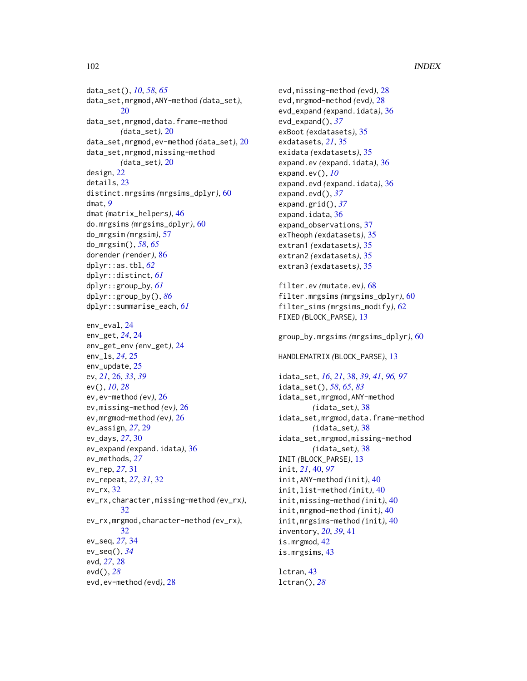#### 102 INDEX

data\_set(), *[10](#page-9-0)*, *[58](#page-57-0)*, *[65](#page-64-1)* data\_set,mrgmod,ANY-method *(*data\_set*)*, [20](#page-19-1) data\_set,mrgmod,data.frame-method *(*data\_set*)*, [20](#page-19-1) data\_set,mrgmod,ev-method *(*data\_set*)*, [20](#page-19-1) data\_set,mrgmod,missing-method *(*data\_set*)*, [20](#page-19-1) design, [22](#page-21-0) details, [23](#page-22-0) distinct.mrgsims *(*mrgsims\_dplyr*)*, [60](#page-59-0) dmat, *[9](#page-8-0)* dmat *(*matrix\_helpers*)*, [46](#page-45-0) do.mrgsims *(*mrgsims\_dplyr*)*, [60](#page-59-0) do\_mrgsim *(*mrgsim*)*, [57](#page-56-1) do\_mrgsim(), *[58](#page-57-0)*, *[65](#page-64-1)* dorender *(*render*)*, [86](#page-85-0) dplyr::as.tbl, *[62](#page-61-0)* dplyr::distinct, *[61](#page-60-0)* dplyr::group\_by, *[61](#page-60-0)* dplyr::group\_by(), *[86](#page-85-0)* dplyr::summarise\_each, *[61](#page-60-0)* env\_eval, [24](#page-23-0) env\_get, *[24](#page-23-0)*, [24](#page-23-0) env\_get\_env *(*env\_get*)*, [24](#page-23-0) env\_ls, *[24](#page-23-0)*, [25](#page-24-0) env\_update, [25](#page-24-0) ev, *[21](#page-20-0)*, [26,](#page-25-0) *[33](#page-32-0)*, *[39](#page-38-0)* ev(), *[10](#page-9-0)*, *[28](#page-27-0)* ev,ev-method *(*ev*)*, [26](#page-25-0) ev,missing-method *(*ev*)*, [26](#page-25-0) ev,mrgmod-method *(*ev*)*, [26](#page-25-0) ev\_assign, *[27](#page-26-0)*, [29](#page-28-0) ev\_days, *[27](#page-26-0)*, [30](#page-29-0) ev\_expand *(*expand.idata*)*, [36](#page-35-0) ev\_methods, *[27](#page-26-0)* ev\_rep, *[27](#page-26-0)*, [31](#page-30-0) ev\_repeat, *[27](#page-26-0)*, *[31](#page-30-0)*, [32](#page-31-0)  $ev_{rr}$ x,  $32$ ev\_rx,character,missing-method *(*ev\_rx*)*, [32](#page-31-0) ev\_rx,mrgmod,character-method *(*ev\_rx*)*, [32](#page-31-0) ev\_seq, *[27](#page-26-0)*, [34](#page-33-0) ev\_seq(), *[34](#page-33-0)* evd, *[27](#page-26-0)*, [28](#page-27-0) evd(), *[28](#page-27-0)* evd,ev-method *(*evd*)*, [28](#page-27-0)

evd,missing-method *(*evd*)*, [28](#page-27-0) evd,mrgmod-method *(*evd*)*, [28](#page-27-0) evd\_expand *(*expand.idata*)*, [36](#page-35-0) evd\_expand(), *[37](#page-36-0)* exBoot *(*exdatasets*)*, [35](#page-34-0) exdatasets, *[21](#page-20-0)*, [35](#page-34-0) exidata *(*exdatasets*)*, [35](#page-34-0) expand.ev *(*expand.idata*)*, [36](#page-35-0) expand.ev(), *[10](#page-9-0)* expand.evd *(*expand.idata*)*, [36](#page-35-0) expand.evd(), *[37](#page-36-0)* expand.grid(), *[37](#page-36-0)* expand.idata, [36](#page-35-0) expand\_observations, [37](#page-36-0) exTheoph *(*exdatasets*)*, [35](#page-34-0) extran1 *(*exdatasets*)*, [35](#page-34-0) extran2 *(*exdatasets*)*, [35](#page-34-0) extran3 *(*exdatasets*)*, [35](#page-34-0) filter.ev *(*mutate.ev*)*, [68](#page-67-0) filter.mrgsims *(*mrgsims\_dplyr*)*, [60](#page-59-0) filter\_sims *(*mrgsims\_modify*)*, [62](#page-61-0) FIXED *(*BLOCK\_PARSE*)*, [13](#page-12-2) group\_by.mrgsims *(*mrgsims\_dplyr*)*, [60](#page-59-0) HANDLEMATRIX *(*BLOCK\_PARSE*)*, [13](#page-12-2) idata\_set, *[16](#page-15-0)*, *[21](#page-20-0)*, [38,](#page-37-1) *[39](#page-38-0)*, *[41](#page-40-0)*, *[96,](#page-95-1) [97](#page-96-2)* idata\_set(), *[58](#page-57-0)*, *[65](#page-64-1)*, *[83](#page-82-0)* idata\_set,mrgmod,ANY-method *(*idata\_set*)*, [38](#page-37-1) idata\_set,mrgmod,data.frame-method *(*idata\_set*)*, [38](#page-37-1) idata\_set,mrgmod,missing-method *(*idata\_set*)*, [38](#page-37-1) INIT *(*BLOCK\_PARSE*)*, [13](#page-12-2) init, *[21](#page-20-0)*, [40,](#page-39-1) *[97](#page-96-2)* init,ANY-method *(*init*)*, [40](#page-39-1) init,list-method *(*init*)*, [40](#page-39-1) init,missing-method *(*init*)*, [40](#page-39-1) init,mrgmod-method *(*init*)*, [40](#page-39-1) init,mrgsims-method *(*init*)*, [40](#page-39-1) inventory, *[20](#page-19-1)*, *[39](#page-38-0)*, [41](#page-40-0) is.mrgmod, [42](#page-41-0) is.mrgsims, [43](#page-42-0) lctran, [43](#page-42-0)

lctran(), *[28](#page-27-0)*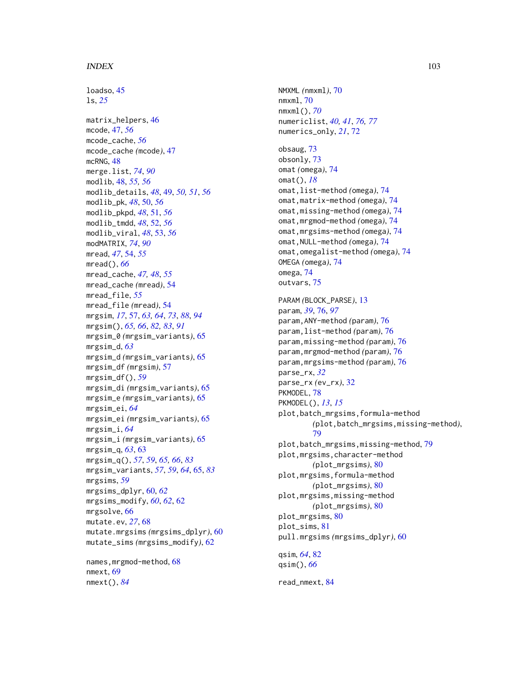#### INDEX  $103$

loadso, [45](#page-44-0) ls, *[25](#page-24-0)* matrix\_helpers, [46](#page-45-0) mcode, [47,](#page-46-0) *[56](#page-55-0)* mcode\_cache, *[56](#page-55-0)* mcode\_cache *(*mcode*)*, [47](#page-46-0) mcRNG, [48](#page-47-0) merge.list, *[74](#page-73-0)*, *[90](#page-89-0)* modlib, [48,](#page-47-0) *[55,](#page-54-0) [56](#page-55-0)* modlib\_details, *[48](#page-47-0)*, [49,](#page-48-0) *[50,](#page-49-0) [51](#page-50-0)*, *[56](#page-55-0)* modlib\_pk, *[48](#page-47-0)*, [50,](#page-49-0) *[56](#page-55-0)* modlib\_pkpd, *[48](#page-47-0)*, [51,](#page-50-0) *[56](#page-55-0)* modlib\_tmdd, *[48](#page-47-0)*, [52,](#page-51-0) *[56](#page-55-0)* modlib\_viral, *[48](#page-47-0)*, [53,](#page-52-0) *[56](#page-55-0)* modMATRIX, *[74](#page-73-0)*, *[90](#page-89-0)* mread, *[47](#page-46-0)*, [54,](#page-53-0) *[55](#page-54-0)* mread(), *[66](#page-65-0)* mread\_cache, *[47,](#page-46-0) [48](#page-47-0)*, *[55](#page-54-0)* mread\_cache *(*mread*)*, [54](#page-53-0) mread\_file, *[55](#page-54-0)* mread\_file *(*mread*)*, [54](#page-53-0) mrgsim, *[17](#page-16-0)*, [57,](#page-56-1) *[63,](#page-62-1) [64](#page-63-0)*, *[73](#page-72-0)*, *[88](#page-87-0)*, *[94](#page-93-1)* mrgsim(), *[65,](#page-64-1) [66](#page-65-0)*, *[82,](#page-81-0) [83](#page-82-0)*, *[91](#page-90-0)* mrgsim\_0 *(*mrgsim\_variants*)*, [65](#page-64-1) mrgsim\_d, *[63](#page-62-1)* mrgsim\_d *(*mrgsim\_variants*)*, [65](#page-64-1) mrgsim\_df *(*mrgsim*)*, [57](#page-56-1) mrgsim\_df(), *[59](#page-58-0)* mrgsim\_di *(*mrgsim\_variants*)*, [65](#page-64-1) mrgsim\_e *(*mrgsim\_variants*)*, [65](#page-64-1) mrgsim\_ei, *[64](#page-63-0)* mrgsim\_ei *(*mrgsim\_variants*)*, [65](#page-64-1) mrgsim\_i, *[64](#page-63-0)* mrgsim\_i *(*mrgsim\_variants*)*, [65](#page-64-1) mrgsim\_q, *[63](#page-62-1)*, [63](#page-62-1) mrgsim\_q(), *[57](#page-56-1)*, *[59](#page-58-0)*, *[65,](#page-64-1) [66](#page-65-0)*, *[83](#page-82-0)* mrgsim\_variants, *[57](#page-56-1)*, *[59](#page-58-0)*, *[64](#page-63-0)*, [65,](#page-64-1) *[83](#page-82-0)* mrgsims, *[59](#page-58-0)* mrgsims\_dplyr, [60,](#page-59-0) *[62](#page-61-0)* mrgsims\_modify, *[60](#page-59-0)*, *[62](#page-61-0)*, [62](#page-61-0) mrgsolve, [66](#page-65-0) mutate.ev, *[27](#page-26-0)*, [68](#page-67-0) mutate.mrgsims *(*mrgsims\_dplyr*)*, [60](#page-59-0) mutate\_sims *(*mrgsims\_modify*)*, [62](#page-61-0)

names, mrgmod-method, [68](#page-67-0) nmext, [69](#page-68-1) nmext(), *[84](#page-83-0)*

NMXML *(*nmxml*)*, [70](#page-69-0) nmxml, [70](#page-69-0) nmxml(), *[70](#page-69-0)* numericlist, *[40,](#page-39-1) [41](#page-40-0)*, *[76,](#page-75-1) [77](#page-76-0)* numerics\_only, *[21](#page-20-0)*, [72](#page-71-0) obsaug, [73](#page-72-0) obsonly, [73](#page-72-0) omat *(*omega*)*, [74](#page-73-0) omat(), *[18](#page-17-0)* omat,list-method *(*omega*)*, [74](#page-73-0) omat,matrix-method *(*omega*)*, [74](#page-73-0) omat,missing-method *(*omega*)*, [74](#page-73-0) omat,mrgmod-method *(*omega*)*, [74](#page-73-0) omat,mrgsims-method *(*omega*)*, [74](#page-73-0) omat,NULL-method *(*omega*)*, [74](#page-73-0) omat,omegalist-method *(*omega*)*, [74](#page-73-0) OMEGA *(*omega*)*, [74](#page-73-0) omega, [74](#page-73-0) outvars, [75](#page-74-0) PARAM *(*BLOCK\_PARSE*)*, [13](#page-12-2) param, *[39](#page-38-0)*, [76,](#page-75-1) *[97](#page-96-2)* param,ANY-method *(*param*)*, [76](#page-75-1) param,list-method *(*param*)*, [76](#page-75-1) param,missing-method *(*param*)*, [76](#page-75-1) param,mrgmod-method *(*param*)*, [76](#page-75-1) param,mrgsims-method *(*param*)*, [76](#page-75-1) parse\_rx, *[32](#page-31-0)* parse\_rx *(*ev\_rx*)*, [32](#page-31-0) PKMODEL, [78](#page-77-0) PKMODEL(), *[13](#page-12-2)*, *[15](#page-14-0)* plot,batch\_mrgsims,formula-method *(*plot,batch\_mrgsims,missing-method*)*, [79](#page-78-0) plot,batch\_mrgsims,missing-method, [79](#page-78-0) plot,mrgsims,character-method *(*plot\_mrgsims*)*, [80](#page-79-0) plot,mrgsims,formula-method *(*plot\_mrgsims*)*, [80](#page-79-0) plot,mrgsims,missing-method *(*plot\_mrgsims*)*, [80](#page-79-0) plot\_mrgsims, [80](#page-79-0) plot\_sims, [81](#page-80-0) pull.mrgsims *(*mrgsims\_dplyr*)*, [60](#page-59-0) qsim, *[64](#page-63-0)*, [82](#page-81-0) qsim(), *[66](#page-65-0)*

read\_nmext, [84](#page-83-0)